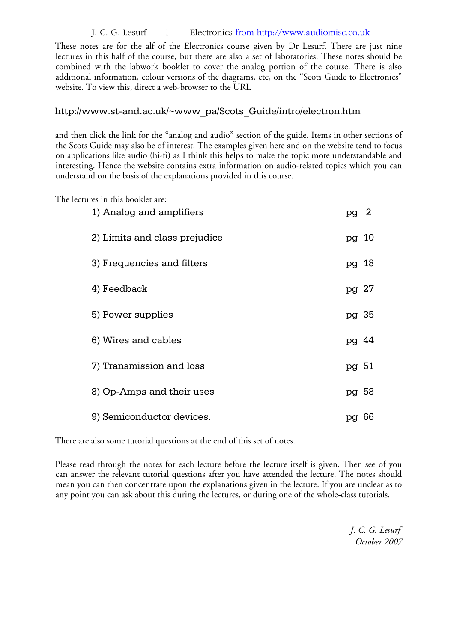## J. C. G. Lesurf — 1 — Electronics from http://www.audiomisc.co.uk

These notes are for the alf of the Electronics course given by Dr Lesurf. There are just nine lectures in this half of the course, but there are also a set of laboratories. These notes should be combined with the labwork booklet to cover the analog portion of the course. There is also additional information, colour versions of the diagrams, etc, on the "Scots Guide to Electronics" website. To view this, direct a web-browser to the URL

## http://www.st-and.ac.uk/~www\_pa/Scots\_Guide/intro/electron.htm

and then click the link for the "analog and audio" section of the guide. Items in other sections of the Scots Guide may also be of interest. The examples given here and on the website tend to focus on applications like audio (hi-fi) as I think this helps to make the topic more understandable and interesting. Hence the website contains extra information on audio-related topics which you can understand on the basis of the explanations provided in this course.

The lectures in this booklet are:

| 1) Analog and amplifiers      | pg 2  |    |
|-------------------------------|-------|----|
| 2) Limits and class prejudice | pg 10 |    |
| 3) Frequencies and filters    | pg 18 |    |
| 4) Feedback                   | pg 27 |    |
| 5) Power supplies             | pg 35 |    |
| 6) Wires and cables           | pg 44 |    |
| 7) Transmission and loss      | pg 51 |    |
| 8) Op-Amps and their uses     | pg 58 |    |
| 9) Semiconductor devices.     | pg    | 66 |

There are also some tutorial questions at the end of this set of notes.

Please read through the notes for each lecture before the lecture itself is given. Then see of you can answer the relevant tutorial questions after you have attended the lecture. The notes should mean you can then concentrate upon the explanations given in the lecture. If you are unclear as to any point you can ask about this during the lectures, or during one of the whole-class tutorials.

> *J. C. G. Lesurf October 2007*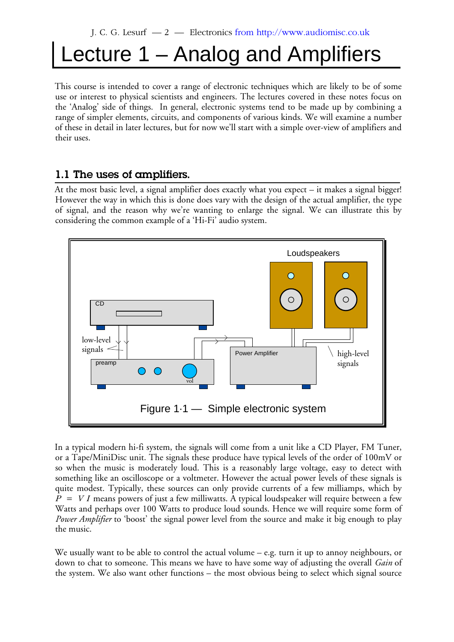# Lecture 1 – Analog and Amplifiers

This course is intended to cover a range of electronic techniques which are likely to be of some use or interest to physical scientists and engineers. The lectures covered in these notes focus on the 'Analog' side of things. In general, electronic systems tend to be made up by combining a range of simpler elements, circuits, and components of various kinds. We will examine a number of these in detail in later lectures, but for now we'll start with a simple over-view of amplifiers and their uses.

## **1.1 The uses of amplifiers.**

At the most basic level, a signal amplifier does exactly what you expect – it makes a signal bigger! However the way in which this is done does vary with the design of the actual amplifier, the type of signal, and the reason why we're wanting to enlarge the signal. We can illustrate this by considering the common example of a 'Hi-Fi' audio system.



In a typical modern hi-fi system, the signals will come from a unit like a CD Player, FM Tuner, or a Tape/MiniDisc unit. The signals these produce have typical levels of the order of 100mV or so when the music is moderately loud. This is a reasonably large voltage, easy to detect with something like an oscilloscope or a voltmeter. However the actual power levels of these signals is quite modest. Typically, these sources can only provide currents of a few milliamps, which by  $P = VI$  means powers of just a few milliwatts. A typical loudspeaker will require between a few Watts and perhaps over 100 Watts to produce loud sounds. Hence we will require some form of *Power Amplifier* to 'boost' the signal power level from the source and make it big enough to play the music.

We usually want to be able to control the actual volume – e.g. turn it up to annoy neighbours, or down to chat to someone. This means we have to have some way of adjusting the overall *Gain* of the system. We also want other functions – the most obvious being to select which signal source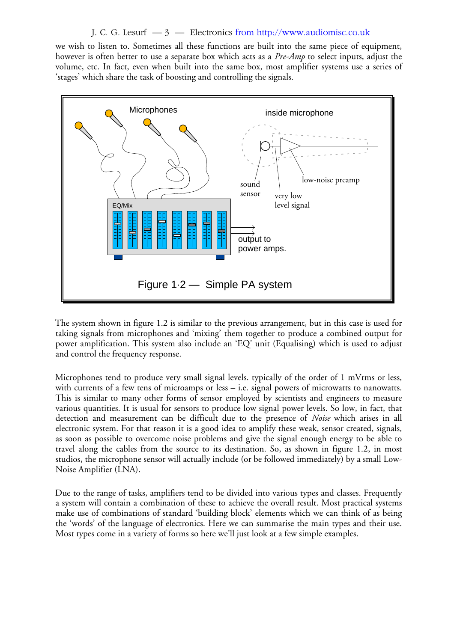## J. C. G. Lesurf  $-3$  — Electronics from http://www.audiomisc.co.uk

we wish to listen to. Sometimes all these functions are built into the same piece of equipment, however is often better to use a separate box which acts as a *Pre-Amp* to select inputs, adjust the volume, etc. In fact, even when built into the same box, most amplifier systems use a series of 'stages' which share the task of boosting and controlling the signals.



The system shown in figure 1.2 is similar to the previous arrangement, but in this case is used for taking signals from microphones and 'mixing' them together to produce a combined output for power amplification. This system also include an 'EQ' unit (Equalising) which is used to adjust and control the frequency response.

Microphones tend to produce very small signal levels. typically of the order of 1 mVrms or less, with currents of a few tens of microamps or less – i.e. signal powers of microwatts to nanowatts. This is similar to many other forms of sensor employed by scientists and engineers to measure various quantities. It is usual for sensors to produce low signal power levels. So low, in fact, that detection and measurement can be difficult due to the presence of *Noise* which arises in all electronic system. For that reason it is a good idea to amplify these weak, sensor created, signals, as soon as possible to overcome noise problems and give the signal enough energy to be able to travel along the cables from the source to its destination. So, as shown in figure 1.2, in most studios, the microphone sensor will actually include (or be followed immediately) by a small Low-Noise Amplifier (LNA).

Due to the range of tasks, amplifiers tend to be divided into various types and classes. Frequently a system will contain a combination of these to achieve the overall result. Most practical systems make use of combinations of standard 'building block' elements which we can think of as being the 'words' of the language of electronics. Here we can summarise the main types and their use. Most types come in a variety of forms so here we'll just look at a few simple examples.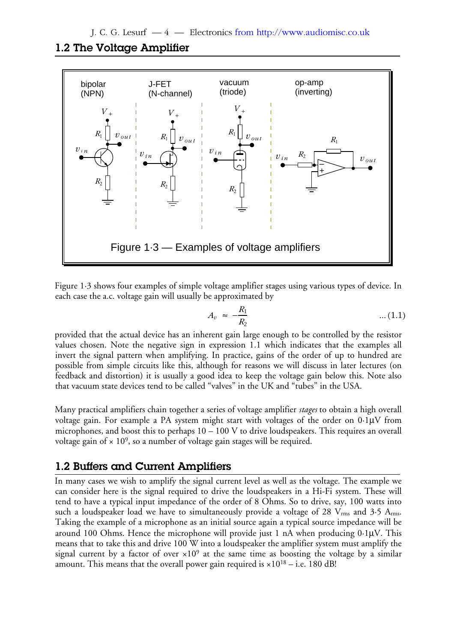## **1.2 The Voltage Amplifier**



Figure 1·3 shows four examples of simple voltage amplifier stages using various types of device. In each case the a.c. voltage gain will usually be approximated by

$$
A_v \approx -\frac{R_1}{R_2} \tag{1.1}
$$

provided that the actual device has an inherent gain large enough to be controlled by the resistor values chosen. Note the negative sign in expression 1.1 which indicates that the examples all invert the signal pattern when amplifying. In practice, gains of the order of up to hundred are possible from simple circuits like this, although for reasons we will discuss in later lectures (on feedback and distortion) it is usually a good idea to keep the voltage gain below this. Note also that vacuum state devices tend to be called "valves" in the UK and "tubes" in the USA.

Many practical amplifiers chain together a series of voltage amplifier *stages* to obtain a high overall voltage gain. For example a PA system might start with voltages of the order on 0·1µV from microphones, and boost this to perhaps  $10 - 100$  V to drive loudspeakers. This requires an overall voltage gain of  $\times$  10<sup>9</sup>, so a number of voltage gain stages will be required.

## **1.2 Buffers and Current Amplifiers**

In many cases we wish to amplify the signal current level as well as the voltage. The example we can consider here is the signal required to drive the loudspeakers in a Hi-Fi system. These will tend to have a typical input impedance of the order of 8 Ohms. So to drive, say, 100 watts into such a loudspeaker load we have to simultaneously provide a voltage of 28  $V_{rms}$  and 3.5  $A_{rms}$ . Taking the example of a microphone as an initial source again a typical source impedance will be around 100 Ohms. Hence the microphone will provide just 1 nA when producing 0·1µV. This means that to take this and drive 100 W into a loudspeaker the amplifier system must amplify the signal current by a factor of over  $\times 10^9$  at the same time as boosting the voltage by a similar amount. This means that the overall power gain required is  $\times 10^{18} - i.e.$  180 dB!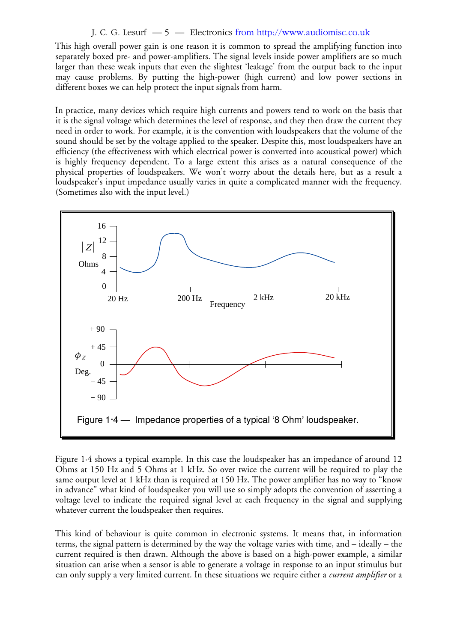## J. C. G. Lesurf — 5 — Electronics from http://www.audiomisc.co.uk

This high overall power gain is one reason it is common to spread the amplifying function into separately boxed pre- and power-amplifiers. The signal levels inside power amplifiers are so much larger than these weak inputs that even the slightest 'leakage' from the output back to the input may cause problems. By putting the high-power (high current) and low power sections in different boxes we can help protect the input signals from harm.

In practice, many devices which require high currents and powers tend to work on the basis that it is the signal voltage which determines the level of response, and they then draw the current they need in order to work. For example, it is the convention with loudspeakers that the volume of the sound should be set by the voltage applied to the speaker. Despite this, most loudspeakers have an efficiency (the effectiveness with which electrical power is converted into acoustical power) which is highly frequency dependent. To a large extent this arises as a natural consequence of the physical properties of loudspeakers. We won't worry about the details here, but as a result a loudspeaker's input impedance usually varies in quite a complicated manner with the frequency. (Sometimes also with the input level.)



Figure 1·4 shows a typical example. In this case the loudspeaker has an impedance of around 12 Ohms at 150 Hz and 5 Ohms at 1 kHz. So over twice the current will be required to play the same output level at 1 kHz than is required at 150 Hz. The power amplifier has no way to "know in advance" what kind of loudspeaker you will use so simply adopts the convention of asserting a voltage level to indicate the required signal level at each frequency in the signal and supplying whatever current the loudspeaker then requires.

This kind of behaviour is quite common in electronic systems. It means that, in information terms, the signal pattern is determined by the way the voltage varies with time, and – ideally – the current required is then drawn. Although the above is based on a high-power example, a similar situation can arise when a sensor is able to generate a voltage in response to an input stimulus but can only supply a very limited current. In these situations we require either a *current amplifier* or a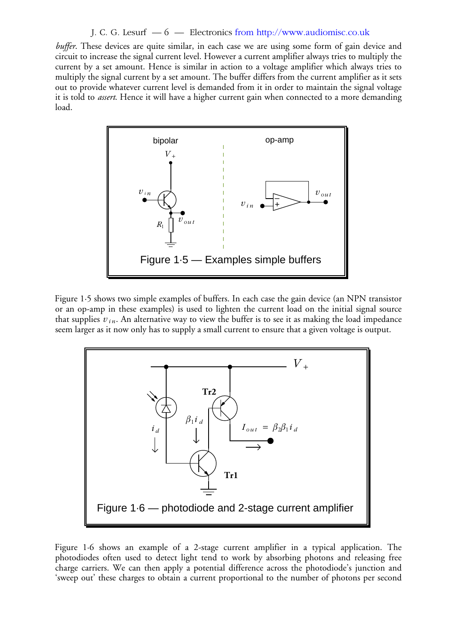#### J. C. G. Lesurf — 6 — Electronics from http://www.audiomisc.co.uk

*buffer*. These devices are quite similar, in each case we are using some form of gain device and circuit to increase the signal current level. However a current amplifier always tries to multiply the current by a set amount. Hence is similar in action to a voltage amplifier which always tries to multiply the signal current by a set amount. The buffer differs from the current amplifier as it sets out to provide whatever current level is demanded from it in order to maintain the signal voltage it is told to *assert*. Hence it will have a higher current gain when connected to a more demanding load.



Figure 1·5 shows two simple examples of buffers. In each case the gain device (an NPN transistor or an op-amp in these examples) is used to lighten the current load on the initial signal source that supplies  $v_{in}$ . An alternative way to view the buffer is to see it as making the load impedance seem larger as it now only has to supply a small current to ensure that a given voltage is output.



Figure 1·6 shows an example of a 2-stage current amplifier in a typical application. The photodiodes often used to detect light tend to work by absorbing photons and releasing free charge carriers. We can then apply a potential difference across the photodiode's junction and 'sweep out' these charges to obtain a current proportional to the number of photons per second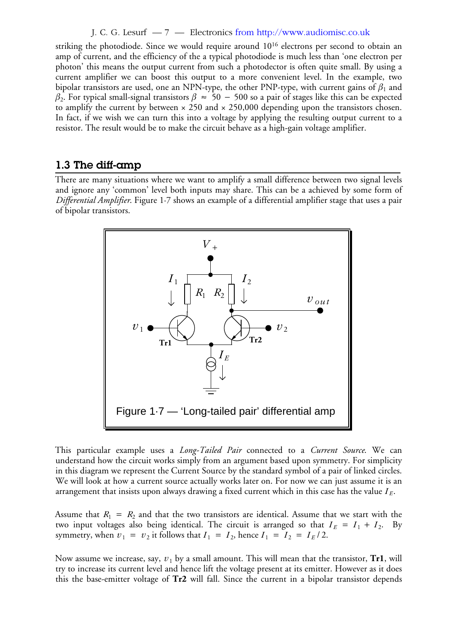#### J. C. G. Lesurf — 7 — Electronics from http://www.audiomisc.co.uk

striking the photodiode. Since we would require around 10<sup>16</sup> electrons per second to obtain an amp of current, and the efficiency of the a typical photodiode is much less than 'one electron per photon' this means the output current from such a photodector is often quite small. By using a current amplifier we can boost this output to a more convenient level. In the example, two bipolar transistors are used, one an NPN-type, the other PNP-type, with current gains of  $\beta_1$  and  $\beta_2$ . For typical small-signal transistors  $\beta~\approx~$  50  $-~$  500 so a pair of stages like this can be expected to amplify the current by between  $\times$  250 and  $\times$  250,000 depending upon the transistors chosen. In fact, if we wish we can turn this into a voltage by applying the resulting output current to a resistor. The result would be to make the circuit behave as a high-gain voltage amplifier.

## **1.3 The diff-amp**

There are many situations where we want to amplify a small difference between two signal levels and ignore any 'common' level both inputs may share. This can be a achieved by some form of *Differential Amplifier*. Figure 1·7 shows an example of a differential amplifier stage that uses a pair of bipolar transistors.



This particular example uses a *Long-Tailed Pair* connected to a *Current Source*. We can understand how the circuit works simply from an argument based upon symmetry. For simplicity in this diagram we represent the Current Source by the standard symbol of a pair of linked circles. We will look at how a current source actually works later on. For now we can just assume it is an arrangement that insists upon always drawing a fixed current which in this case has the value *I <sup>E</sup>* .

Assume that  $R_1 = R_2$  and that the two transistors are identical. Assume that we start with the two input voltages also being identical. The circuit is arranged so that  $I_E = I_1 + I_2$ . By symmetry, when  $v_1 = v_2$  it follows that  $I_1 = I_2$ , hence  $I_1 = I_2 = I_E/2$ .

Now assume we increase, say,  $v_1$  by a small amount. This will mean that the transistor,  $\mathbf{Tr1},$  will try to increase its current level and hence lift the voltage present at its emitter. However as it does this the base-emitter voltage of **Tr2** will fall. Since the current in a bipolar transistor depends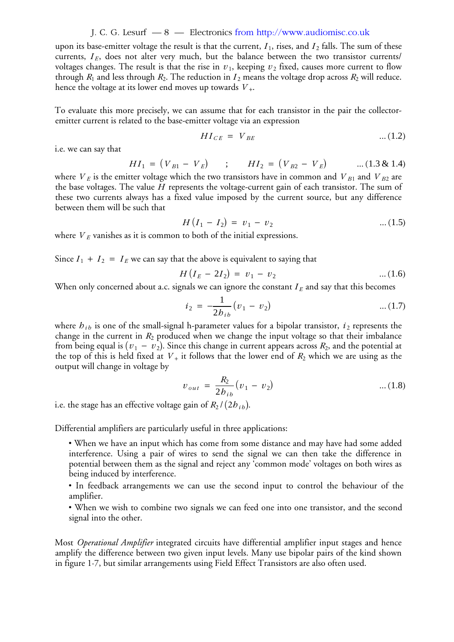#### J. C. G. Lesurf — 8 — Electronics from http://www.audiomisc.co.uk

upon its base-emitter voltage the result is that the current,  $I_1$ , rises, and  $I_2$  falls. The sum of these currents,  $I_E$ , does not alter very much, but the balance between the two transistor currents/ voltages changes. The result is that the rise in  $v_1$ , keeping  $v_2$  fixed, causes more current to flow through  $R_1$  and less through  $R_2$ . The reduction in  $I_2$  means the voltage drop across  $R_2$  will reduce. hence the voltage at its lower end moves up towards  $V_+.$ 

To evaluate this more precisely, we can assume that for each transistor in the pair the collectoremitter current is related to the base-emitter voltage via an expression

$$
HI_{CE} = V_{BE} \tag{1.2}
$$

i.e. we can say that

$$
HI_1 = (V_{B1} - V_E) \qquad ; \qquad HI_2 = (V_{B2} - V_E) \qquad \dots (1.3 \& 1.4)
$$

where  $\overline{V}_E$  is the emitter voltage which the two transistors have in common and  $\overline{V}_{B1}$  and  $\overline{V}_{B2}$  are the base voltages. The value  $H$  represents the voltage-current gain of each transistor. The sum of these two currents always has a fixed value imposed by the current source, but any difference between them will be such that

$$
H(I_1 - I_2) = v_1 - v_2 \tag{1.5}
$$

where  $V_E$  vanishes as it is common to both of the initial expressions.

Since  $I_1 + I_2 = I_E$  we can say that the above is equivalent to saying that

$$
H(I_E - 2I_2) = v_1 - v_2 \tag{1.6}
$$

When only concerned about a.c. signals we can ignore the constant  $I_E$  and say that this becomes

$$
i_2 = -\frac{1}{2b_{ib}}(v_1 - v_2) \tag{1.7}
$$

where  $h_{ib}$  is one of the small-signal h-parameter values for a bipolar transistor,  $i_2$  represents the change in the current in  $R_2$  produced when we change the input voltage so that their imbalance from being equal is (  $v_1$  –  $v_2$ ). Since this change in current appears across  $R_2$ , and the potential at the top of this is held fixed at  $V_+$  it follows that the lower end of  $R_2$  which we are using as the output will change in voltage by

$$
v_{out} = \frac{R_2}{2b_{ib}}(v_1 - v_2) \tag{1.8}
$$

i.e. the stage has an effective voltage gain of  $R_2$  /(2*h*  $\bar{b}$ *b*).

Differential amplifiers are particularly useful in three applications:

• When we have an input which has come from some distance and may have had some added interference. Using a pair of wires to send the signal we can then take the difference in potential between them as the signal and reject any 'common mode' voltages on both wires as being induced by interference.

• In feedback arrangements we can use the second input to control the behaviour of the amplifier.

• When we wish to combine two signals we can feed one into one transistor, and the second signal into the other.

Most *Operational Amplifier* integrated circuits have differential amplifier input stages and hence amplify the difference between two given input levels. Many use bipolar pairs of the kind shown in figure 1·7, but similar arrangements using Field Effect Transistors are also often used.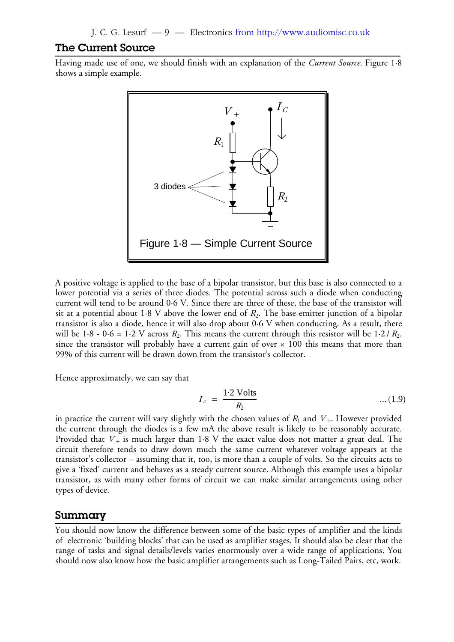## **The Current Source**

Having made use of one, we should finish with an explanation of the *Current Source*. Figure 1·8 shows a simple example.



A positive voltage is applied to the base of a bipolar transistor, but this base is also connected to a lower potential via a series of three diodes. The potential across such a diode when conducting current will tend to be around 0·6 V. Since there are three of these, the base of the transistor will sit at a potential about  $1\cdot 8$  V above the lower end of  $R_2.$  The base-emitter junction of a bipolar transistor is also a diode, hence it will also drop about 0·6 V when conducting. As a result, there will be  $1.8$  -  $0.6$  =  $1.2$  V across  $R_2$ . This means the current through this resistor will be  $1.2 / R_2$ . since the transistor will probably have a current gain of over  $\times$  100 this means that more than 99% of this current will be drawn down from the transistor's collector.

Hence approximately, we can say that

$$
I_c = \frac{1.2 \text{ Volts}}{R_2} \qquad \qquad \dots (1.9)
$$

in practice the current will vary slightly with the chosen values of  $R_1$  and  $V_+$ . However provided the current through the diodes is a few mA the above result is likely to be reasonably accurate. Provided that  $V_+$  is much larger than 1·8 V the exact value does not matter a great deal. The circuit therefore tends to draw down much the same current whatever voltage appears at the transistor's collector – assuming that it, too, is more than a couple of volts. So the circuits acts to give a 'fixed' current and behaves as a steady current source. Although this example uses a bipolar transistor, as with many other forms of circuit we can make similar arrangements using other types of device.

#### **Summary**

You should now know the difference between some of the basic types of amplifier and the kinds of electronic 'building blocks' that can be used as amplifier stages. It should also be clear that the range of tasks and signal details/levels varies enormously over a wide range of applications. You should now also know how the basic amplifier arrangements such as Long-Tailed Pairs, etc, work.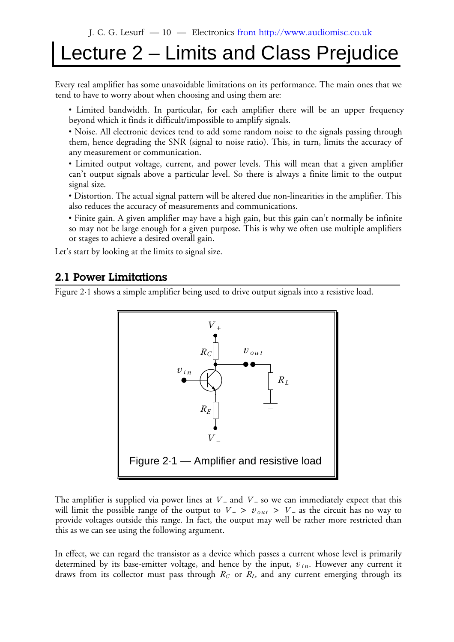## Lecture 2 – Limits and Class Prejudice

Every real amplifier has some unavoidable limitations on its performance. The main ones that we tend to have to worry about when choosing and using them are:

• Limited bandwidth. In particular, for each amplifier there will be an upper frequency beyond which it finds it difficult/impossible to amplify signals.

• Noise. All electronic devices tend to add some random noise to the signals passing through them, hence degrading the SNR (signal to noise ratio). This, in turn, limits the accuracy of any measurement or communication.

• Limited output voltage, current, and power levels. This will mean that a given amplifier can't output signals above a particular level. So there is always a finite limit to the output signal size.

• Distortion. The actual signal pattern will be altered due non-linearities in the amplifier. This also reduces the accuracy of measurements and communications.

• Finite gain. A given amplifier may have a high gain, but this gain can't normally be infinite so may not be large enough for a given purpose. This is why we often use multiple amplifiers or stages to achieve a desired overall gain.

Let's start by looking at the limits to signal size.

## **2.1 Power Limitations**

Figure 2·1 shows a simple amplifier being used to drive output signals into a resistive load.



The amplifier is supplied via power lines at  $V_+$  and  $V_-$  so we can immediately expect that this will limit the possible range of the output to  $V_+ > v_{out} > V_-$  as the circuit has no way to provide voltages outside this range. In fact, the output may well be rather more restricted than this as we can see using the following argument.

In effect, we can regard the transistor as a device which passes a current whose level is primarily determined by its base-emitter voltage, and hence by the input,  $v_{in}$ . However any current it draws from its collector must pass through  $R_C$  or  $R_L$ , and any current emerging through its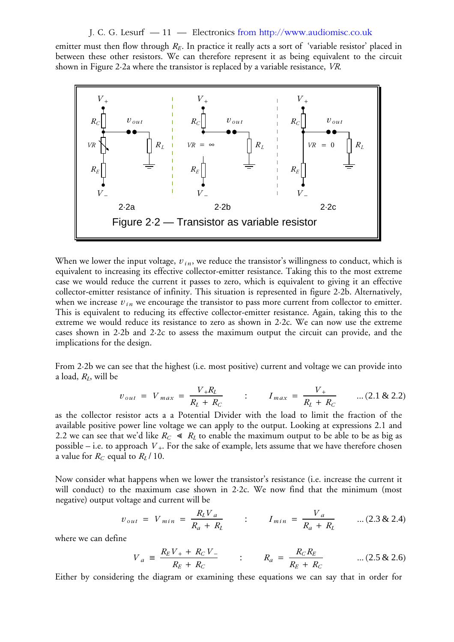J. C. G. Lesurf — 11 — Electronics from http://www.audiomisc.co.uk

emitter must then flow through  $R_E$ . In practice it really acts a sort of 'variable resistor' placed in between these other resistors. We can therefore represent it as being equivalent to the circuit shown in Figure 2·2a where the transistor is replaced by a variable resistance, *VR*.



When we lower the input voltage,  $v_{in}$ , we reduce the transistor's willingness to conduct, which is equivalent to increasing its effective collector-emitter resistance. Taking this to the most extreme case we would reduce the current it passes to zero, which is equivalent to giving it an effective collector-emitter resistance of infinity. This situation is represented in figure 2·2b. Alternatively, when we increase  $v_{in}$  we encourage the transistor to pass more current from collector to emitter. This is equivalent to reducing its effective collector-emitter resistance. Again, taking this to the extreme we would reduce its resistance to zero as shown in 2·2c. We can now use the extreme cases shown in 2·2b and 2·2c to assess the maximum output the circuit can provide, and the implications for the design.

From 2·2b we can see that the highest (i.e. most positive) current and voltage we can provide into a load, *R<sup>L</sup>* , will be

$$
v_{out} = V_{max} = \frac{V_{+}R_{L}}{R_{L} + R_{C}} \qquad : \qquad I_{max} = \frac{V_{+}}{R_{L} + R_{C}} \qquad \dots (2.1 \& 2.2)
$$

as the collector resistor acts a a Potential Divider with the load to limit the fraction of the available positive power line voltage we can apply to the output. Looking at expressions 2.1 and 2.2 we can see that we'd like  $R_C \ll R_L$  to enable the maximum output to be able to be as big as possible – i.e. to approach  $\,V_{+}.$  For the sake of example, lets assume that we have therefore chosen a value for  $R_C$  equal to  $R_L$  / 10.

Now consider what happens when we lower the transistor's resistance (i.e. increase the current it will conduct) to the maximum case shown in 2·2c. We now find that the minimum (most negative) output voltage and current will be

$$
v_{out} = V_{min} = \frac{R_L V_a}{R_a + R_L} \qquad : \qquad I_{min} = \frac{V_a}{R_a + R_L} \qquad ... (2.3 \& 2.4)
$$

where we can define

$$
V_a \equiv \frac{R_E V_+ + R_C V_-}{R_E + R_C} \qquad \qquad ; \qquad R_a = \frac{R_C R_E}{R_E + R_C} \qquad \qquad \dots (2.5 \& 2.6)
$$

Either by considering the diagram or examining these equations we can say that in order for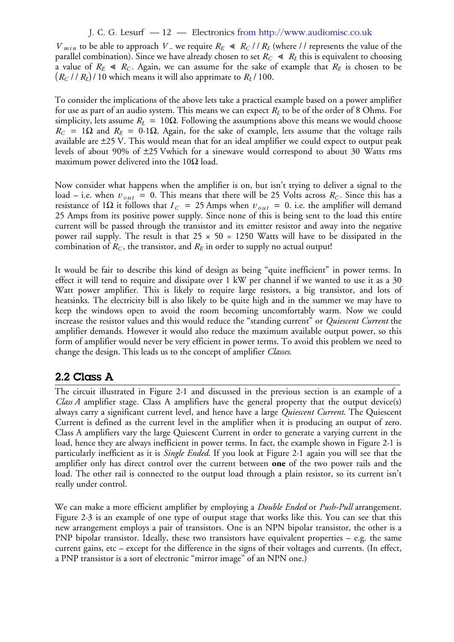## J. C. G. Lesurf — 12 — Electronics from http://www.audiomisc.co.uk

*V*  $_{min}$  to be able to approach  $V =$  we require  $R_E \ll R_C / / R_L$  (where // represents the value of the parallel combination). Since we have already chosen to set  $R_C \; \ll \; R_L$  this is equivalent to choosing a value of  $R_E \ll R_C$ . Again, we can assume for the sake of example that  $R_E$  is chosen to be  $(R_C / R_L)$  / 10 which means it will also apprimate to  $R_L$  / 100.

To consider the implications of the above lets take a practical example based on a power amplifier for use as part of an audio system. This means we can expect  $R_L$  to be of the order of 8 Ohms. For simplicity, lets assume  $R_L$  = 10 $\Omega$ . Following the assumptions above this means we would choose  $R_C = 1\Omega$  and  $R_E = 0.1\Omega$ . Again, for the sake of example, lets assume that the voltage rails available are  $\pm 25$  V. This would mean that for an ideal amplifier we could expect to output peak levels of about 90% of  $\pm 25$  Vwhich for a sinewave would correspond to about 30 Watts rms maximum power delivered into the 10 $\Omega$  load.

Now consider what happens when the amplifier is on, but isn't trying to deliver a signal to the  $\alpha$  load – i.e. when  $v_{out}$  = 0. This means that there will be 25 Volts across  $R_C$ . Since this has a resistance of 1Ω it follows that  $I_C = 25$  Amps when  $v_{out} = 0$ . i.e. the amplifier will demand 25 Amps from its positive power supply. Since none of this is being sent to the load this entire current will be passed through the transistor and its emitter resistor and away into the negative power rail supply. The result is that  $25 \times 50 = 1250$  Watts will have to be dissipated in the combination of  $R_C$ , the transistor, and  $R_E$  in order to supply no actual output!

It would be fair to describe this kind of design as being "quite inefficient" in power terms. In effect it will tend to require and dissipate over 1 kW per channel if we wanted to use it as a 30 Watt power amplifier. This is likely to require large resistors, a big transistor, and lots of heatsinks. The electricity bill is also likely to be quite high and in the summer we may have to keep the windows open to avoid the room becoming uncomfortably warm. Now we could increase the resistor values and this would reduce the "standing current" or *Quiescent Current* the amplifier demands. However it would also reduce the maximum available output power, so this form of amplifier would never be very efficient in power terms. To avoid this problem we need to change the design. This leads us to the concept of amplifier *Classes*.

## **2.2 Class A**

The circuit illustrated in Figure 2·1 and discussed in the previous section is an example of a *Class A* amplifier stage. Class A amplifiers have the general property that the output device(s) always carry a significant current level, and hence have a large *Quiescent Current*. The Quiescent Current is defined as the current level in the amplifier when it is producing an output of zero. Class A amplifiers vary the large Quiescent Current in order to generate a varying current in the load, hence they are always inefficient in power terms. In fact, the example shown in Figure 2·1 is particularly inefficient as it is *Single Ended*. If you look at Figure 2·1 again you will see that the amplifier only has direct control over the current between **one** of the two power rails and the load. The other rail is connected to the output load through a plain resistor, so its current isn't really under control.

We can make a more efficient amplifier by employing a *Double Ended* or *Push-Pull* arrangement. Figure 2·3 is an example of one type of output stage that works like this. You can see that this new arrangement employs a pair of transistors. One is an NPN bipolar transistor, the other is a PNP bipolar transistor. Ideally, these two transistors have equivalent properties – e.g. the same current gains, etc – except for the difference in the signs of their voltages and currents. (In effect, a PNP transistor is a sort of electronic "mirror image" of an NPN one.)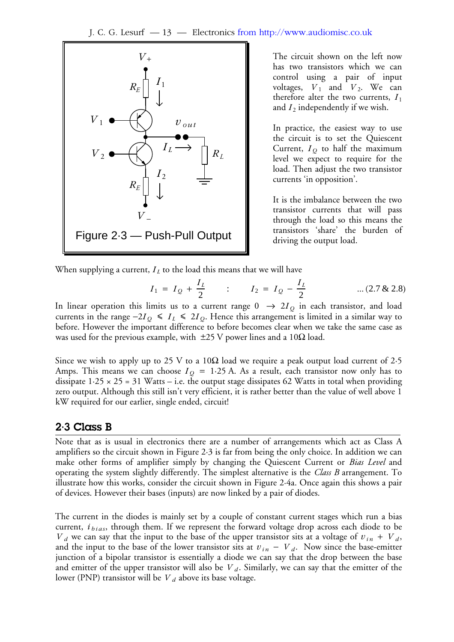

The circuit shown on the left now has two transistors which we can control using a pair of input voltages,  $V_1$  and  $V_2$ . We can therefore alter the two currents,  $I_1$ and  $I_2$  independently if we wish.

In practice, the easiest way to use the circuit is to set the Quiescent Current,  $I_Q$  to half the maximum level we expect to require for the load. Then adjust the two transistor currents 'in opposition'.

It is the imbalance between the two transistor currents that will pass through the load so this means the transistors 'share' the burden of driving the output load.

When supplying a current,  $I_L$  to the load this means that we will have

$$
I_1 = I_Q + \frac{I_L}{2}
$$
 :  $I_2 = I_Q - \frac{I_L}{2}$  ... (2.7 & 2.8)

In linear operation this limits us to a current range  $0$   $\;\rightarrow$   $2I_{\mathcal{Q}}$  in each transistor, and load currents in the range  $-2I_Q \leq I_L \leq 2I_Q$ . Hence this arrangement is limited in a similar way to before. However the important difference to before becomes clear when we take the same case as was used for the previous example, with  $\pm 25$  V power lines and a 10 $\Omega$  load.

Since we wish to apply up to 25 V to a 10 $\Omega$  load we require a peak output load current of 2.5 Amps. This means we can choose  $I_{\mathcal{Q}} = 1.25$  A. As a result, each transistor now only has to dissipate  $1.25 \times 25 = 31$  Watts – i.e. the output stage dissipates 62 Watts in total when providing zero output. Although this still isn't very efficient, it is rather better than the value of well above 1 kW required for our earlier, single ended, circuit!

## **2·3 Class B**

Note that as is usual in electronics there are a number of arrangements which act as Class A amplifiers so the circuit shown in Figure 2·3 is far from being the only choice. In addition we can make other forms of amplifier simply by changing the Quiescent Current or *Bias Level* and operating the system slightly differently. The simplest alternative is the *Class B* arrangement. To illustrate how this works, consider the circuit shown in Figure 2·4a. Once again this shows a pair of devices. However their bases (inputs) are now linked by a pair of diodes.

The current in the diodes is mainly set by a couple of constant current stages which run a bias current,  $i_{bias}$ , through them. If we represent the forward voltage drop across each diode to be  $V_d$  we can say that the input to the base of the upper transistor sits at a voltage of  $v_{in} + V_d$ , and the input to the base of the lower transistor sits at  $v_{in} - V_d$ . Now since the base-emitter junction of a bipolar transistor is essentially a diode we can say that the drop between the base and emitter of the upper transistor will also be  $V_d$ . Similarly, we can say that the emitter of the lower (PNP) transistor will be  $V$   $_d$  above its base voltage.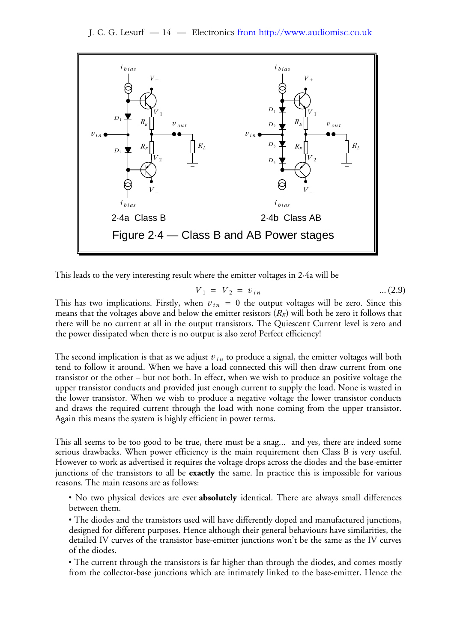J. C. G. Lesurf — 14 — Electronics from http://www.audiomisc.co.uk



This leads to the very interesting result where the emitter voltages in 2·4a will be

$$
V_1 = V_2 = v_{in} \tag{2.9}
$$

This has two implications. Firstly, when  $v_{in} = 0$  the output voltages will be zero. Since this means that the voltages above and below the emitter resistors  $(R_E)$  will both be zero it follows that there will be no current at all in the output transistors. The Quiescent Current level is zero and the power dissipated when there is no output is also zero! Perfect efficiency!

The second implication is that as we adjust  $v_{\mathit{in}}$  to produce a signal, the emitter voltages will both tend to follow it around. When we have a load connected this will then draw current from one transistor or the other – but not both. In effect, when we wish to produce an positive voltage the upper transistor conducts and provided just enough current to supply the load. None is wasted in the lower transistor. When we wish to produce a negative voltage the lower transistor conducts and draws the required current through the load with none coming from the upper transistor. Again this means the system is highly efficient in power terms.

This all seems to be too good to be true, there must be a snag... and yes, there are indeed some serious drawbacks. When power efficiency is the main requirement then Class B is very useful. However to work as advertised it requires the voltage drops across the diodes and the base-emitter junctions of the transistors to all be **exactly** the same. In practice this is impossible for various reasons. The main reasons are as follows:

• No two physical devices are ever **absolutely** identical. There are always small differences between them.

• The diodes and the transistors used will have differently doped and manufactured junctions, designed for different purposes. Hence although their general behaviours have similarities, the detailed IV curves of the transistor base-emitter junctions won't be the same as the IV curves of the diodes.

• The current through the transistors is far higher than through the diodes, and comes mostly from the collector-base junctions which are intimately linked to the base-emitter. Hence the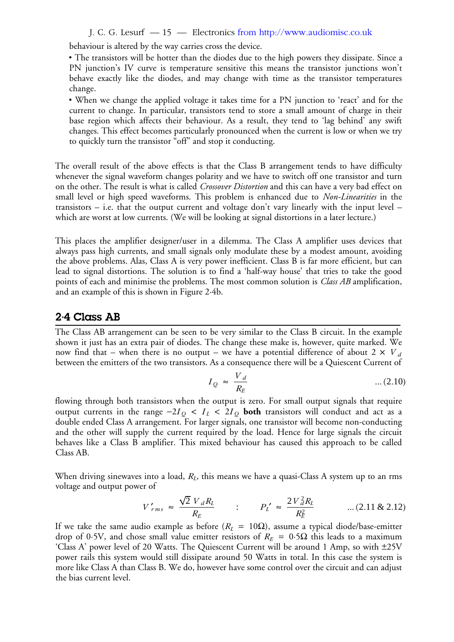J. C. G. Lesurf — 15 — Electronics from http://www.audiomisc.co.uk

behaviour is altered by the way carries cross the device.

• The transistors will be hotter than the diodes due to the high powers they dissipate. Since a PN junction's IV curve is temperature sensitive this means the transistor junctions won't behave exactly like the diodes, and may change with time as the transistor temperatures change.

• When we change the applied voltage it takes time for a PN junction to 'react' and for the current to change. In particular, transistors tend to store a small amount of charge in their base region which affects their behaviour. As a result, they tend to 'lag behind' any swift changes. This effect becomes particularly pronounced when the current is low or when we try to quickly turn the transistor "off" and stop it conducting.

The overall result of the above effects is that the Class B arrangement tends to have difficulty whenever the signal waveform changes polarity and we have to switch off one transistor and turn on the other. The result is what is called *Crossover Distortion* and this can have a very bad effect on small level or high speed waveforms. This problem is enhanced due to *Non-Linearities* in the transistors – i.e. that the output current and voltage don't vary linearly with the input level – which are worst at low currents. (We will be looking at signal distortions in a later lecture.)

This places the amplifier designer/user in a dilemma. The Class A amplifier uses devices that always pass high currents, and small signals only modulate these by a modest amount, avoiding the above problems. Alas, Class A is very power inefficient. Class B is far more efficient, but can lead to signal distortions. The solution is to find a 'half-way house' that tries to take the good points of each and minimise the problems. The most common solution is *Class AB* amplification, and an example of this is shown in Figure 2·4b.

## **2·4 Class AB**

The Class AB arrangement can be seen to be very similar to the Class B circuit. In the example shown it just has an extra pair of diodes. The change these make is, however, quite marked. We now find that – when there is no output – we have a potential difference of about 2  $\times$   $V$  *d* between the emitters of the two transistors. As a consequence there will be a Quiescent Current of

$$
I_Q \approx \frac{V_d}{R_E} \tag{2.10}
$$

flowing through both transistors when the output is zero. For small output signals that require output currents in the range  $-2I_Q < I_L < 2I_Q$  both transistors will conduct and act as a double ended Class A arrangement. For larger signals, one transistor will become non-conducting and the other will supply the current required by the load. Hence for large signals the circuit behaves like a Class B amplifier. This mixed behaviour has caused this approach to be called Class AB.

When driving sinewaves into a load,  $R_L$ , this means we have a quasi-Class A system up to an rms voltage and output power of

$$
V'_{rms} \approx \frac{\sqrt{2} V_d R_L}{R_E} \qquad : \qquad P_L' \approx \frac{2 V_d^2 R_L}{R_E^2} \qquad \qquad ... (2.11 \& 2.12)
$$

If we take the same audio example as before ( $R_L = 10Ω$ ), assume a typical diode/base-emitter drop of 0.5V, and chose small value emitter resistors of  $R_E = 0.5\Omega$  this leads to a maximum 'Class A' power level of 20 Watts. The Quiescent Current will be around 1 Amp, so with ±25Vpower rails this system would still dissipate around 50 Watts in total. In this case the system is more like Class A than Class B. We do, however have some control over the circuit and can adjust the bias current level.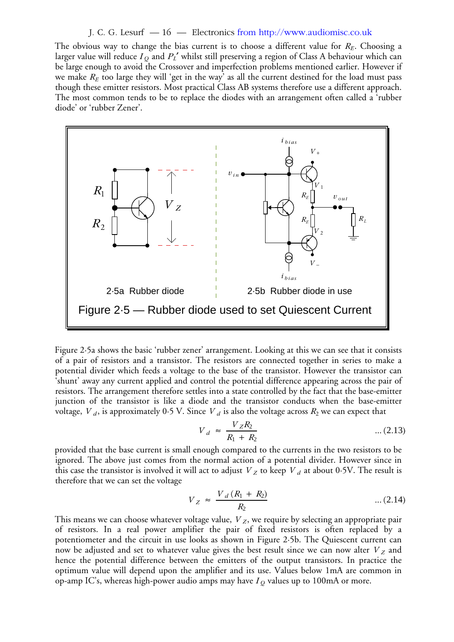#### J. C. G. Lesurf — 16 — Electronics from http://www.audiomisc.co.uk

The obvious way to change the bias current is to choose a different value for  $R_E$ . Choosing a larger value will reduce  $I_{\mathcal{Q}}$  and  $P_L'$  whilst still preserving a region of Class A behaviour which can be large enough to avoid the Crossover and imperfection problems mentioned earlier. However if we make  $R_E$  too large they will 'get in the way' as all the current destined for the load must pass though these emitter resistors. Most practical Class AB systems therefore use a different approach. The most common tends to be to replace the diodes with an arrangement often called a 'rubber diode' or 'rubber Zener'.



Figure 2·5a shows the basic 'rubber zener' arrangement. Looking at this we can see that it consists of a pair of resistors and a transistor. The resistors are connected together in series to make a potential divider which feeds a voltage to the base of the transistor. However the transistor can 'shunt' away any current applied and control the potential difference appearing across the pair of resistors. The arrangement therefore settles into a state controlled by the fact that the base-emitter junction of the transistor is like a diode and the transistor conducts when the base-emitter voltage,  $V_d$ , is approximately 0.5 V. Since  $V_d$  is also the voltage across  $R_2$  we can expect that

$$
V_d \approx \frac{V_Z R_2}{R_1 + R_2} \qquad \qquad \dots (2.13)
$$

provided that the base current is small enough compared to the currents in the two resistors to be ignored. The above just comes from the normal action of a potential divider. However since in this case the transistor is involved it will act to adjust  $\ {V}_Z$  to keep  $\ {V}_d$  at about 0·5V. The result is therefore that we can set the voltage

$$
V_Z \approx \frac{V_d (R_1 + R_2)}{R_2} \qquad \qquad \dots (2.14)
$$

This means we can choose whatever voltage value,  $\emph{V}_{Z}$ , we require by selecting an appropriate pair of resistors. In a real power amplifier the pair of fixed resistors is often replaced by a potentiometer and the circuit in use looks as shown in Figure 2·5b. The Quiescent current can now be adjusted and set to whatever value gives the best result since we can now alter  $V_Z$  and hence the potential difference between the emitters of the output transistors. In practice the optimum value will depend upon the amplifier and its use. Values below 1mA are common in op-amp IC's, whereas high-power audio amps may have  $I_{\mathcal{Q}}$  values up to 100mA or more.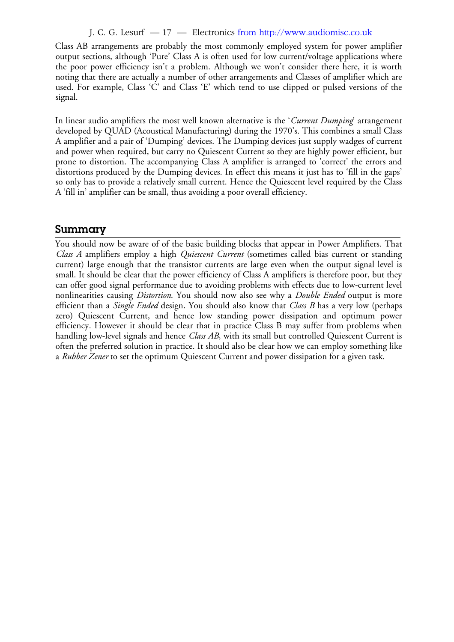### J. C. G. Lesurf — 17 — Electronics from http://www.audiomisc.co.uk

Class AB arrangements are probably the most commonly employed system for power amplifier output sections, although 'Pure' Class A is often used for low current/voltage applications where the poor power efficiency isn't a problem. Although we won't consider there here, it is worth noting that there are actually a number of other arrangements and Classes of amplifier which are used. For example, Class 'C' and Class 'E' which tend to use clipped or pulsed versions of the signal.

In linear audio amplifiers the most well known alternative is the '*Current Dumping*' arrangement developed by QUAD (Acoustical Manufacturing) during the 1970's. This combines a small Class A amplifier and a pair of 'Dumping' devices. The Dumping devices just supply wadges of current and power when required, but carry no Quiescent Current so they are highly power efficient, but prone to distortion. The accompanying Class A amplifier is arranged to 'correct' the errors and distortions produced by the Dumping devices. In effect this means it just has to 'fill in the gaps' so only has to provide a relatively small current. Hence the Quiescent level required by the Class A 'fill in' amplifier can be small, thus avoiding a poor overall efficiency.

## **Summary**

You should now be aware of of the basic building blocks that appear in Power Amplifiers. That *Class A* amplifiers employ a high *Quiescent Current* (sometimes called bias current or standing current) large enough that the transistor currents are large even when the output signal level is small. It should be clear that the power efficiency of Class A amplifiers is therefore poor, but they can offer good signal performance due to avoiding problems with effects due to low-current level nonlinearities causing *Distortion*. You should now also see why a *Double Ended* output is more efficient than a *Single Ended* design. You should also know that *Class B* has a very low (perhaps zero) Quiescent Current, and hence low standing power dissipation and optimum power efficiency. However it should be clear that in practice Class B may suffer from problems when handling low-level signals and hence *Class AB*, with its small but controlled Quiescent Current is often the preferred solution in practice. It should also be clear how we can employ something like a *Rubber Zener* to set the optimum Quiescent Current and power dissipation for a given task.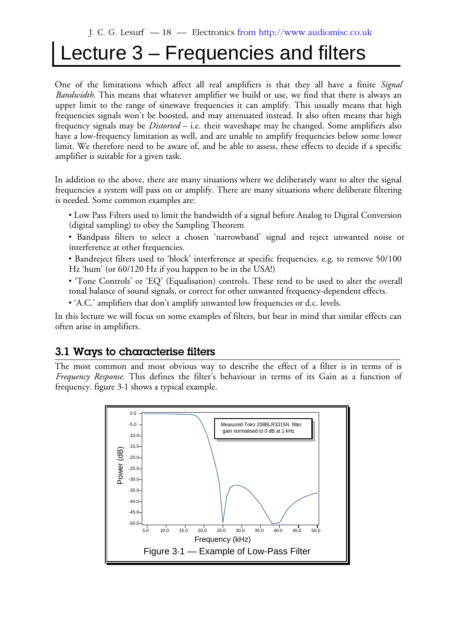## Lecture 3 – Frequencies and filters

One of the limitations which affect all real amplifiers is that they all have a finite *Signal Bandwidth*. This means that whatever amplifier we build or use, we find that there is always an upper limit to the range of sinewave frequencies it can amplify. This usually means that high frequencies signals won't be boosted, and may attenuated instead. It also often means that high frequency signals may be *Distorted* – i.e. their waveshape may be changed. Some amplifiers also have a low-frequency limitation as well, and are unable to amplify frequencies below some lower limit. We therefore need to be aware of, and be able to assess, these effects to decide if a specific amplifier is suitable for a given task.

In addition to the above, there are many situations where we deliberately want to alter the signal frequencies a system will pass on or amplify. There are many situations where deliberate filtering is needed. Some common examples are:

- Low Pass Filters used to limit the bandwidth of a signal before Analog to Digital Conversion (digital sampling) to obey the Sampling Theorem
- Bandpass filters to select a chosen 'narrowband' signal and reject unwanted noise or interference at other frequencies.
- Bandreject filters used to 'block' interference at specific frequencies. e.g. to remove 50/100 Hz 'hum' (or 60/120 Hz if you happen to be in the USA!)
- 'Tone Controls' or 'EQ' (Equalisation) controls. These tend to be used to alter the overall tonal balance of sound signals, or correct for other unwanted frequency-dependent effects.
- 'A.C.' amplifiers that don't amplify unwanted low frequencies or d.c. levels.

In this lecture we will focus on some examples of filters, but bear in mind that similar effects can often arise in amplifiers.

## **3.1 Ways to characterise filters**

The most common and most obvious way to describe the effect of a filter is in terms of is *Frequency Response*. This defines the filter's behaviour in terms of its Gain as a function of frequency. figure 3·1 shows a typical example.

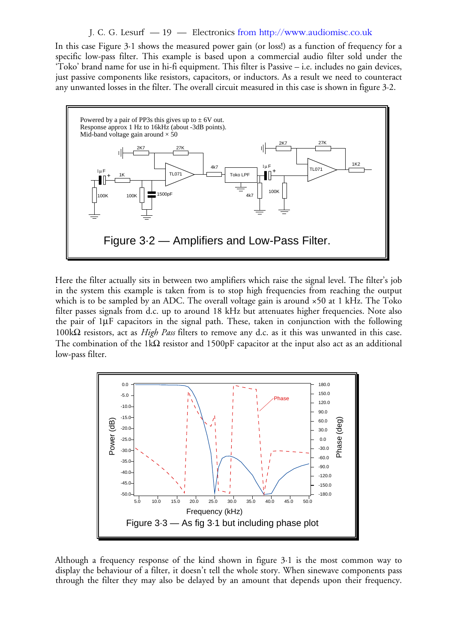#### J. C. G. Lesurf — 19 — Electronics from http://www.audiomisc.co.uk

In this case Figure 3·1 shows the measured power gain (or loss!) as a function of frequency for a specific low-pass filter. This example is based upon a commercial audio filter sold under the 'Toko' brand name for use in hi-fi equipment. This filter is Passive – i.e. includes no gain devices, just passive components like resistors, capacitors, or inductors. As a result we need to counteract any unwanted losses in the filter. The overall circuit measured in this case is shown in figure 3·2.



Here the filter actually sits in between two amplifiers which raise the signal level. The filter's job in the system this example is taken from is to stop high frequencies from reaching the output which is to be sampled by an ADC. The overall voltage gain is around  $\times$ 50 at 1 kHz. The Toko filter passes signals from d.c. up to around 18 kHz but attenuates higher frequencies. Note also the pair of  $1\mu$ F capacitors in the signal path. These, taken in conjunction with the following 100kΩ resistors, act as *High Pass* filters to remove any d.c. as it this was unwanted in this case. The combination of the 1k $\Omega$  resistor and 1500pF capacitor at the input also act as an additional low-pass filter.



Although a frequency response of the kind shown in figure 3·1 is the most common way to display the behaviour of a filter, it doesn't tell the whole story. When sinewave components pass through the filter they may also be delayed by an amount that depends upon their frequency.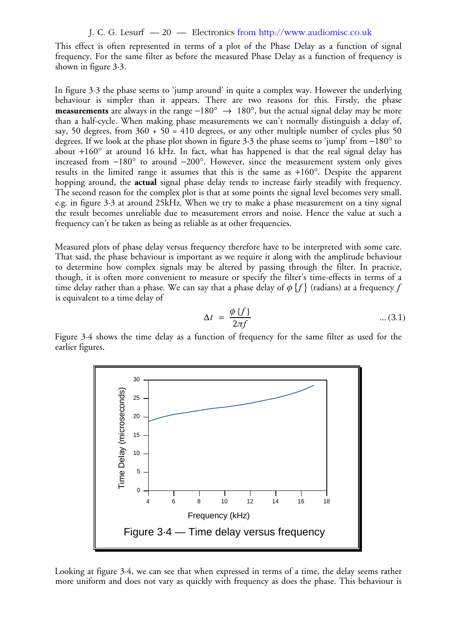J. C. G. Lesurf — 20 — Electronics from http://www.audiomisc.co.uk

This effect is often represented in terms of a plot of the Phase Delay as a function of signal frequency. For the same filter as before the measured Phase Delay as a function of frequency is shown in figure 3·3.

In figure 3·3 the phase seems to 'jump around' in quite a complex way. However the underlying behaviour is simpler than it appears. There are two reasons for this. Firstly, the phase **measurements** are always in the range –180°  $\rightarrow$  180°, but the actual signal delay may be more than a half-cycle. When making phase measurements we can't normally distinguish a delay of, say, 50 degrees, from  $360 + 50 = 410$  degrees, or any other multiple number of cycles plus 50 degrees. If we look at the phase plot shown in figure 3 $\cdot$ 3 the phase seems to 'jump' from  $-180^\circ$  to about +160 $^{\circ}$  at around 16 kHz. In fact, what has happened is that the real signal delay has increased from  $-180^\circ$  to around  $-200^\circ$ . However, since the measurement system only gives results in the limited range it assumes that this is the same as  $+160^\circ$ . Despite the apparent hopping around, the **actual** signal phase delay tends to increase fairly steadily with frequency. The second reason for the complex plot is that at some points the signal level becomes very small. e.g. in figure 3·3 at around 25kHz. When we try to make a phase measurement on a tiny signal the result becomes unreliable due to measurement errors and noise. Hence the value at such a frequency can't be taken as being as reliable as at other frequencies.

Measured plots of phase delay versus frequency therefore have to be interpreted with some care. That said, the phase behaviour is important as we require it along with the amplitude behaviour to determine how complex signals may be altered by passing through the filter. In practice, though, it is often more convenient to measure or specify the filter's time-effects in terms of a time delay rather than a phase. We can say that a phase delay of  $\phi$   $\{f\}$  (radians) at a frequency  $f$ is equivalent to a time delay of

$$
\Delta t = \frac{\phi \{f\}}{2\pi f} \qquad \qquad \dots (3.1)
$$

Figure 3·4 shows the time delay as a function of frequency for the same filter as used for the earlier figures.



Looking at figure 3·4, we can see that when expressed in terms of a time, the delay seems rather more uniform and does not vary as quickly with frequency as does the phase. This behaviour is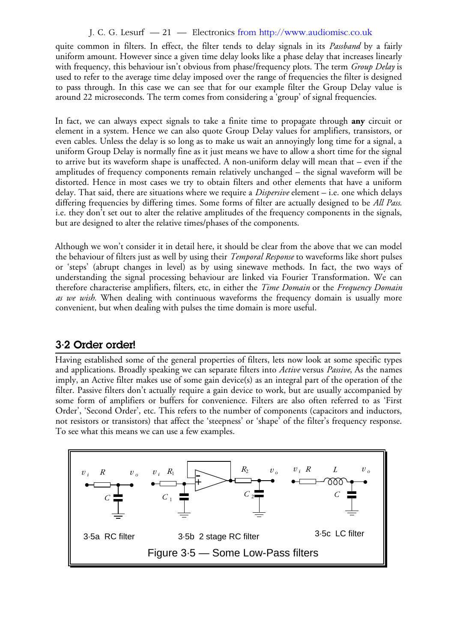## J. C. G. Lesurf — 21 — Electronics from http://www.audiomisc.co.uk

quite common in filters. In effect, the filter tends to delay signals in its *Passband* by a fairly uniform amount. However since a given time delay looks like a phase delay that increases linearly with frequency, this behaviour isn't obvious from phase/frequency plots. The term *Group Delay* is used to refer to the average time delay imposed over the range of frequencies the filter is designed to pass through. In this case we can see that for our example filter the Group Delay value is around 22 microseconds. The term comes from considering a 'group' of signal frequencies.

In fact, we can always expect signals to take a finite time to propagate through **any** circuit or element in a system. Hence we can also quote Group Delay values for amplifiers, transistors, or even cables. Unless the delay is so long as to make us wait an annoyingly long time for a signal, a uniform Group Delay is normally fine as it just means we have to allow a short time for the signal to arrive but its waveform shape is unaffected. A non-uniform delay will mean that – even if the amplitudes of frequency components remain relatively unchanged – the signal waveform will be distorted. Hence in most cases we try to obtain filters and other elements that have a uniform delay. That said, there are situations where we require a *Dispersive* element – i.e. one which delays differing frequencies by differing times. Some forms of filter are actually designed to be *All Pass*. i.e. they don't set out to alter the relative amplitudes of the frequency components in the signals, but are designed to alter the relative times/phases of the components.

Although we won't consider it in detail here, it should be clear from the above that we can model the behaviour of filters just as well by using their *Temporal Response* to waveforms like short pulses or 'steps' (abrupt changes in level) as by using sinewave methods. In fact, the two ways of understanding the signal processing behaviour are linked via Fourier Transformation. We can therefore characterise amplifiers, filters, etc, in either the *Time Domain* or the *Frequency Domain as we wish.* When dealing with continuous waveforms the frequency domain is usually more convenient, but when dealing with pulses the time domain is more useful.

## **3·2 Order order!**

Having established some of the general properties of filters, lets now look at some specific types and applications. Broadly speaking we can separate filters into *Active* versus *Passive*, As the names imply, an Active filter makes use of some gain device(s) as an integral part of the operation of the filter. Passive filters don't actually require a gain device to work, but are usually accompanied by some form of amplifiers or buffers for convenience. Filters are also often referred to as 'First Order', 'Second Order', etc. This refers to the number of components (capacitors and inductors, not resistors or transistors) that affect the 'steepness' or 'shape' of the filter's frequency response. To see what this means we can use a few examples.

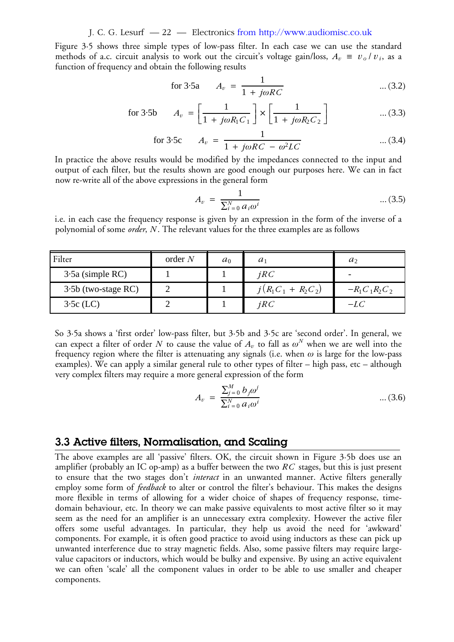J. C. G. Lesurf — 22 — Electronics from http://www.audiomisc.co.uk

Figure 3·5 shows three simple types of low-pass filter. In each case we can use the standard methods of a.c. circuit analysis to work out the circuit's voltage gain/loss,  $A_v \equiv v_o/v_i$ , as a function of frequency and obtain the following results

for 3.5a 
$$
A_v = \frac{1}{1 + j\omega RC}
$$
 ... (3.2)

for 3.5b 
$$
A_v = \left[\frac{1}{1 + j\omega R_1 C_1}\right] \times \left[\frac{1}{1 + j\omega R_2 C_2}\right]
$$
 ... (3.3)

for 3.5c 
$$
A_v = \frac{1}{1 + j\omega RC - \omega^2 LC}
$$
 ... (3.4)

In practice the above results would be modified by the impedances connected to the input and output of each filter, but the results shown are good enough our purposes here. We can in fact now re-write all of the above expressions in the general form

$$
A_v = \frac{1}{\sum_{i=0}^{N} a_i \omega^i} \qquad \qquad \dots (3.5)
$$

i.e. in each case the frequency response is given by an expression in the form of the inverse of a polynomial of some *order*, *N* . The relevant values for the three examples are as follows

| Filter                | order $N$ | $a_0$ | $\mathfrak{a}$       | $a_2$           |
|-----------------------|-----------|-------|----------------------|-----------------|
| $3.5a$ (simple RC)    |           |       | iRC                  |                 |
| $3.5b$ (two-stage RC) |           |       | $j(R_1C_1 + R_2C_2)$ | $-R_1C_1R_2C_2$ |
| $3.5c$ (LC)           |           |       | iRC                  | $-LC$           |

So 3·5a shows a 'first order' low-pass filter, but 3·5b and 3·5c are 'second order'. In general, we can expect a filter of order N to cause the value of  $A_v$  to fall as  $\omega^N$  when we are well into the frequency region where the filter is attenuating any signals (i.e. when  $\omega$  is large for the low-pass examples). We can apply a similar general rule to other types of filter – high pass, etc – although very complex filters may require a more general expression of the form

$$
A_v = \frac{\sum_{j=0}^{M} b_j \omega^j}{\sum_{i=0}^{N} a_i \omega^i} \qquad \qquad \dots (3.6)
$$

## **3.3 Active filters, Normalisation, and Scaling**

The above examples are all 'passive' filters. OK, the circuit shown in Figure 3·5b does use an amplifier (probably an IC op-amp) as a buffer between the two  $RC$  stages, but this is just present to ensure that the two stages don't *interact* in an unwanted manner. Active filters generally employ some form of *feedback* to alter or control the filter's behaviour. This makes the designs more flexible in terms of allowing for a wider choice of shapes of frequency response, timedomain behaviour, etc. In theory we can make passive equivalents to most active filter so it may seem as the need for an amplifier is an unnecessary extra complexity. However the active filer offers some useful advantages. In particular, they help us avoid the need for 'awkward' components. For example, it is often good practice to avoid using inductors as these can pick up unwanted interference due to stray magnetic fields. Also, some passive filters may require largevalue capacitors or inductors, which would be bulky and expensive. By using an active equivalent we can often 'scale' all the component values in order to be able to use smaller and cheaper components.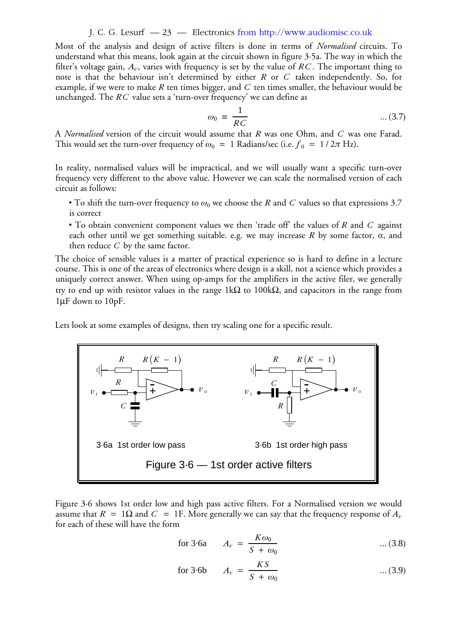#### J. C. G. Lesurf — 23 — Electronics from http://www.audiomisc.co.uk

Most of the analysis and design of active filters is done in terms of *Normalised* circuits. To understand what this means, look again at the circuit shown in figure 3·5a. The way in which the filter's voltage gain,  $A_v$ , varies with frequency is set by the value of  $RC.$  The important thing to note is that the behaviour isn't determined by either  $R$  or  $C$  taken independently. So, for example, if we were to make  $R$  ten times bigger, and  $C$  ten times smaller, the behaviour would be unchanged. The  $RC$  value sets a 'turn-over frequency' we can define as

$$
\omega_0 = \frac{1}{RC} \qquad \qquad \dots (3.7)
$$

A *Normalised* version of the circuit would assume that R was one Ohm, and C was one Farad. This would set the turn-over frequency of  $\omega_0 = 1$  Radians/sec (i.e.  $f_0 = 1 / 2\pi$  Hz).

In reality, normalised values will be impractical, and we will usually want a specific turn-over frequency very different to the above value. However we can scale the normalised version of each circuit as follows:

- To shift the turn-over frequency to  $\omega_0$  we choose the R and C values so that expressions 3.7 is correct
- To obtain convenient component values we then 'trade off' the values of  $R$  and  $C$  against each other until we get something suitable. e.g. we may increase  $R$  by some factor,  $\alpha$ , and then reduce  $C$  by the same factor.

The choice of sensible values is a matter of practical experience so is hard to define in a lecture course. This is one of the areas of electronics where design is a skill, not a science which provides a uniquely correct answer. When using op-amps for the amplifiers in the active filer, we generally try to end up with resistor values in the range 1kΩ to 100kΩ, and capacitors in the range from 1µF down to 10pF.

Lets look at some examples of designs, then try scaling one for a specific result.



Figure 3·6 shows 1st order low and high pass active filters. For a Normalised version we would assume that  $R~=~1\Omega$  and  $C~=~1\text{F}.$  More generally we can say that the frequency response of  $A_\iota$ for each of these will have the form

for 3-6a 
$$
A_v = \frac{K\omega_0}{S + \omega_0} \qquad \qquad \dots (3.8)
$$

for 3-6b 
$$
A_v = \frac{KS}{S + \omega_0} \qquad \qquad \dots (3.9)
$$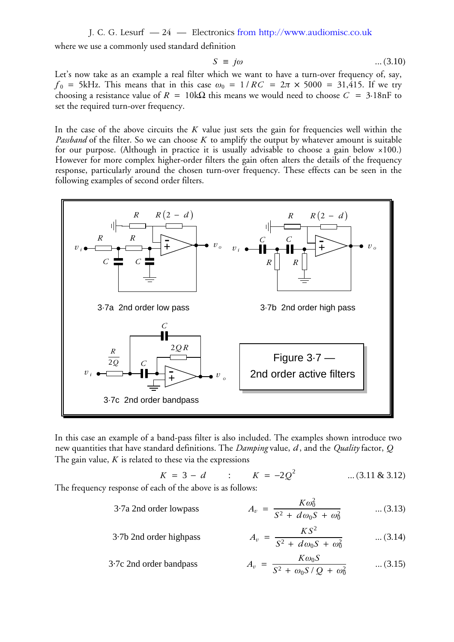J. C. G. Lesurf — 24 — Electronics from http://www.audiomisc.co.uk

where we use a commonly used standard definition

$$
S = j\omega \qquad \qquad \dots (3.10)
$$

Let's now take as an example a real filter which we want to have a turn-over frequency of, say,  $f_0$  = 5kHz. This means that in this case  $\omega_0$  = 1/RC =  $2\pi \times 5000$  = 31,415. If we try choosing a resistance value of  $R = 10 \text{k}\Omega$  this means we would need to choose  $C = 3.18 \text{nF}$  to set the required turn-over frequency.

In the case of the above circuits the  $K$  value just sets the gain for frequencies well within the *Passband* of the filter. So we can choose K to amplify the output by whatever amount is suitable for our purpose. (Although in practice it is usually advisable to choose a gain below ×100.) However for more complex higher-order filters the gain often alters the details of the frequency response, particularly around the chosen turn-over frequency. These effects can be seen in the following examples of second order filters.



In this case an example of a band-pass filter is also included. The examples shown introduce two new quantities that have standard definitions. The *Damping* value, *d* , and the *Quality* factor, *Q* The gain value, *K* is related to these via the expressions

$$
K = 3 - d \qquad : \qquad K = -2Q^2 \qquad \qquad \dots (3.11 \& 3.12)
$$

 $\overline{2}$ 

The frequency response of each of the above is as follows:

$$
3.7a \text{ 2nd order lowpass} \qquad A_v = \frac{K\omega_0^2}{S^2 + d\omega_0 S + \omega_0^2} \qquad \dots (3.13)
$$

$$
3.7b \text{ 2nd order highpass} \qquad A_v = \frac{KS^2}{S^2 + d\omega_0 S + \omega_0^2} \qquad \dots (3.14)
$$

3-7c 2nd order bandpass 
$$
A_v = \frac{K\omega_0 S}{S^2 + \omega_0 S / Q + \omega_0^2}
$$
 ... (3.15)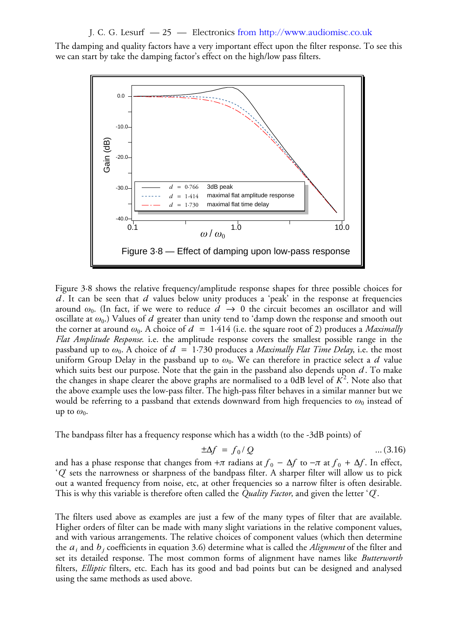J. C. G. Lesurf — 25 — Electronics from http://www.audiomisc.co.uk

The damping and quality factors have a very important effect upon the filter response. To see this we can start by take the damping factor's effect on the high/low pass filters.



Figure 3·8 shows the relative frequency/amplitude response shapes for three possible choices for *d*. It can be seen that *d* values below unity produces a 'peak' in the response at frequencies around  $\omega_0$ . (In fact, if we were to reduce  $d \rightarrow 0$  the circuit becomes an oscillator and will oscillate at  $\omega_0$ .) Values of  $d$  greater than unity tend to 'damp down the response and smooth out the corner at around  $\omega_0$ . A choice of  $d = 1.414$  (i.e. the square root of 2) produces a *Maximally Flat Amplitude Response*. i.e. the amplitude response covers the smallest possible range in the passband up to  $ω_0$ . A choice of  $d = 1.730$  produces a *Maximally Flat Time Delay*, i.e. the most uniform Group Delay in the passband up to  $\omega_0$ . We can therefore in practice select a  $d$  value which suits best our purpose. Note that the gain in the passband also depends upon  $d$  . To make the changes in shape clearer the above graphs are normalised to a 0dB level of  $K^2$ . Note also that the above example uses the low-pass filter. The high-pass filter behaves in a similar manner but we would be referring to a passband that extends downward from high frequencies to  $ω_0$  instead of up to  $\omega_0$ .

The bandpass filter has a frequency response which has a width (to the -3dB points) of

$$
\pm \Delta f = f_0 / Q \qquad \qquad \dots (3.16)
$$

and has a phase response that changes from + $\pi$  radians at  $f_0 - \Delta f$  to  $-\pi$  at  $f_0 + \Delta f.$  In effect, '*Q*' sets the narrowness or sharpness of the bandpass filter. A sharper filter will allow us to pick out a wanted frequency from noise, etc, at other frequencies so a narrow filter is often desirable. This is why this variable is therefore often called the *Quality Factor*, and given the letter '*Q*'.

The filters used above as examples are just a few of the many types of filter that are available. Higher orders of filter can be made with many slight variations in the relative component values, and with various arrangements. The relative choices of component values (which then determine the  $a_i$  and  $b_j$  coefficients in equation 3.6) determine what is called the *Alignment* of the filter and set its detailed response. The most common forms of alignment have names like *Butterworth* filters, *Elliptic* filters, etc. Each has its good and bad points but can be designed and analysed using the same methods as used above.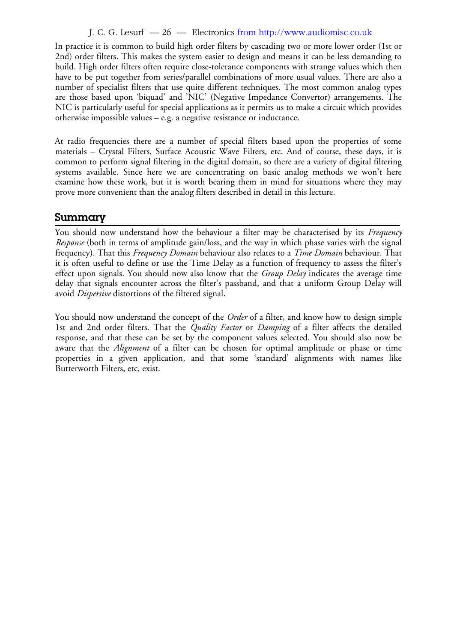## J. C. G. Lesurf — 26 — Electronics from http://www.audiomisc.co.uk

In practice it is common to build high order filters by cascading two or more lower order (1st or 2nd) order filters. This makes the system easier to design and means it can be less demanding to build. High order filters often require close-tolerance components with strange values which then have to be put together from series/parallel combinations of more usual values. There are also a number of specialist filters that use quite different techniques. The most common analog types are those based upon 'biquad' and 'NIC' (Negative Impedance Convertor) arrangements. The NIC is particularly useful for special applications as it permits us to make a circuit which provides otherwise impossible values – e.g. a negative resistance or inductance.

At radio frequencies there are a number of special filters based upon the properties of some materials – Crystal Filters, Surface Acoustic Wave Filters, etc. And of course, these days, it is common to perform signal filtering in the digital domain, so there are a variety of digital filtering systems available. Since here we are concentrating on basic analog methods we won't here examine how these work, but it is worth bearing them in mind for situations where they may prove more convenient than the analog filters described in detail in this lecture.

## **Summary**

You should now understand how the behaviour a filter may be characterised by its *Frequency Response* (both in terms of amplitude gain/loss, and the way in which phase varies with the signal frequency). That this *Frequency Domain* behaviour also relates to a *Time Domain* behaviour. That it is often useful to define or use the Time Delay as a function of frequency to assess the filter's effect upon signals. You should now also know that the *Group Delay* indicates the average time delay that signals encounter across the filter's passband, and that a uniform Group Delay will avoid *Dispersive* distortions of the filtered signal.

You should now understand the concept of the *Order* of a filter, and know how to design simple 1st and 2nd order filters. That the *Quality Factor* or *Damping* of a filter affects the detailed response, and that these can be set by the component values selected. You should also now be aware that the *Alignment* of a filter can be chosen for optimal amplitude or phase or time properties in a given application, and that some 'standard' alignments with names like Butterworth Filters, etc, exist.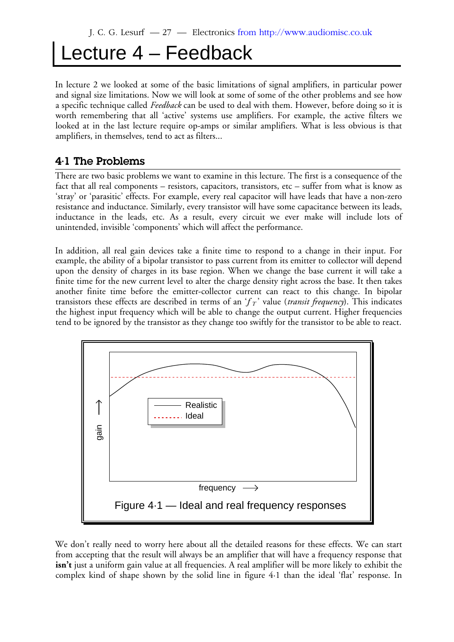## Lecture 4 – Feedback

In lecture 2 we looked at some of the basic limitations of signal amplifiers, in particular power and signal size limitations. Now we will look at some of some of the other problems and see how a specific technique called *Feedback* can be used to deal with them. However, before doing so it is worth remembering that all 'active' systems use amplifiers. For example, the active filters we looked at in the last lecture require op-amps or similar amplifiers. What is less obvious is that amplifiers, in themselves, tend to act as filters...

## **4·1 The Problems**

There are two basic problems we want to examine in this lecture. The first is a consequence of the fact that all real components – resistors, capacitors, transistors, etc – suffer from what is know as 'stray' or 'parasitic' effects. For example, every real capacitor will have leads that have a non-zero resistance and inductance. Similarly, every transistor will have some capacitance between its leads, inductance in the leads, etc. As a result, every circuit we ever make will include lots of unintended, invisible 'components' which will affect the performance.

In addition, all real gain devices take a finite time to respond to a change in their input. For example, the ability of a bipolar transistor to pass current from its emitter to collector will depend upon the density of charges in its base region. When we change the base current it will take a finite time for the new current level to alter the charge density right across the base. It then takes another finite time before the emitter-collector current can react to this change. In bipolar transistors these effects are described in terms of an 'f <sub>T</sub>' value (*transit frequency*). This indicates the highest input frequency which will be able to change the output current. Higher frequencies tend to be ignored by the transistor as they change too swiftly for the transistor to be able to react.



We don't really need to worry here about all the detailed reasons for these effects. We can start from accepting that the result will always be an amplifier that will have a frequency response that isn't just a uniform gain value at all frequencies. A real amplifier will be more likely to exhibit the complex kind of shape shown by the solid line in figure 4·1 than the ideal 'flat' response. In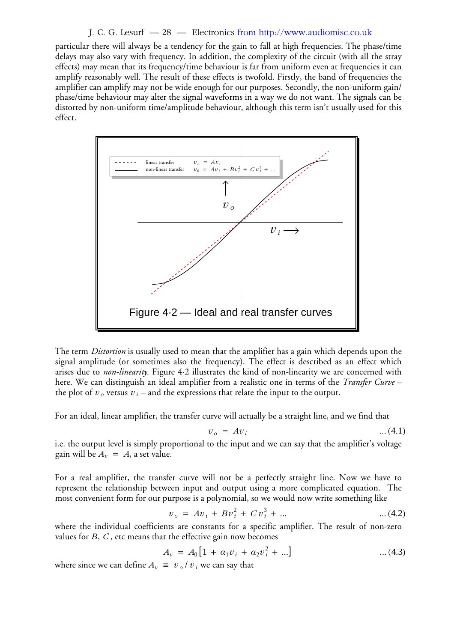#### J. C. G. Lesurf — 28 — Electronics from http://www.audiomisc.co.uk

particular there will always be a tendency for the gain to fall at high frequencies. The phase/time delays may also vary with frequency. In addition, the complexity of the circuit (with all the stray effects) may mean that its frequency/time behaviour is far from uniform even at frequencies it can amplify reasonably well. The result of these effects is twofold. Firstly, the band of frequencies the amplifier can amplify may not be wide enough for our purposes. Secondly, the non-uniform gain/ phase/time behaviour may alter the signal waveforms in a way we do not want. The signals can be distorted by non-uniform time/amplitude behaviour, although this term isn't usually used for this effect.



The term *Distortion* is usually used to mean that the amplifier has a gain which depends upon the signal amplitude (or sometimes also the frequency). The effect is described as an effect which arises due to *non-linearity*. Figure 4·2 illustrates the kind of non-linearity we are concerned with here. We can distinguish an ideal amplifier from a realistic one in terms of the *Transfer Curve* – the plot of  $v_o$  versus  $v_i$  – and the expressions that relate the input to the output.

For an ideal, linear amplifier, the transfer curve will actually be a straight line, and we find that

$$
v_o = Av_i \tag{4.1}
$$

i.e. the output level is simply proportional to the input and we can say that the amplifier's voltage gain will be  $A_v = A$ , a set value.

For a real amplifier, the transfer curve will not be a perfectly straight line. Now we have to represent the relationship between input and output using a more complicated equation. The most convenient form for our purpose is a polynomial, so we would now write something like

$$
v_o = Av_i + Bv_i^2 + Cv_i^3 + \dots \tag{4.2}
$$

where the individual coefficients are constants for a specific amplifier. The result of non-zero values for *B*, *C* , etc means that the effective gain now becomes

$$
A_v = A_0 \left[ 1 + a_1 v_i + a_2 v_i^2 + \ldots \right] \tag{4.3}
$$

where since we can define  $A_v \equiv v_o / v_i$  we can say that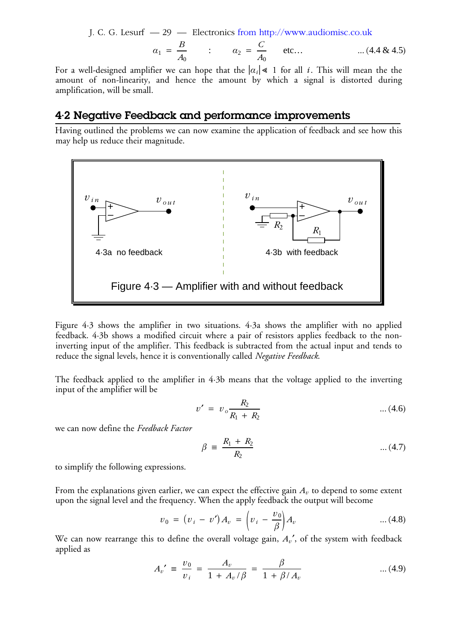J. C. G. Lesurf — 29 — Electronics from http://www.audiomisc.co.uk

$$
a_1 = \frac{B}{A_0} \qquad : \qquad a_2 = \frac{C}{A_0} \qquad \text{etc...} \qquad \qquad \dots (4.4 \& 4.5)
$$

For a well-designed amplifier we can hope that the  $|\alpha_i| \leq 1$  for all *i*. This will mean the the amount of non-linearity, and hence the amount by which a signal is distorted during amplification, will be small.

## **4·2 Negative Feedback and performance improvements**

Having outlined the problems we can now examine the application of feedback and see how this may help us reduce their magnitude.



Figure 4·3 shows the amplifier in two situations. 4·3a shows the amplifier with no applied feedback. 4·3b shows a modified circuit where a pair of resistors applies feedback to the noninverting input of the amplifier. This feedback is subtracted from the actual input and tends to reduce the signal levels, hence it is conventionally called *Negative Feedback*.

The feedback applied to the amplifier in 4·3b means that the voltage applied to the inverting input of the amplifier will be

$$
v' = v_o \frac{R_2}{R_1 + R_2} \qquad \qquad \dots (4.6)
$$

we can now define the *Feedback Factor*

$$
\beta = \frac{R_1 + R_2}{R_2} \qquad \qquad \dots (4.7)
$$

to simplify the following expressions.

From the explanations given earlier, we can expect the effective gain  $A_v$  to depend to some extent upon the signal level and the frequency. When the apply feedback the output will become

$$
v_0 = (v_i - v')A_v = \left(v_i - \frac{v_0}{\beta}\right)A_v \qquad \qquad \dots (4.8)
$$

We can now rearrange this to define the overall voltage gain,  $A_v'$ , of the system with feedback applied as

$$
A_v' \equiv \frac{v_0}{v_i} = \frac{A_v}{1 + A_v/\beta} = \frac{\beta}{1 + \beta/A_v} \qquad \qquad \dots (4.9)
$$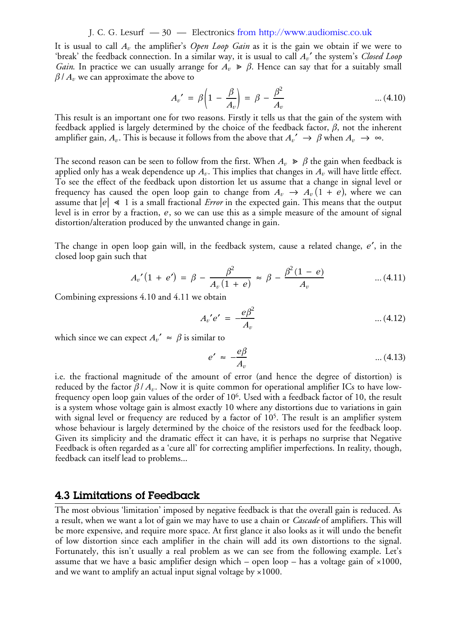#### J. C. G. Lesurf — 30 — Electronics from http://www.audiomisc.co.uk

It is usual to call  $A_v$  the amplifier's *Open Loop Gain* as it is the gain we obtain if we were to 'break' the feedback connection. In a similar way, it is usual to call  $A_\nu$ ' the system's *Closed Loop Gain*. In practice we can usually arrange for  $A_v \ge \beta$ . Hence can say that for a suitably small  $\beta$  /  $A_v$  we can approximate the above to

$$
A_v' = \beta \left( 1 - \frac{\beta}{A_v} \right) = \beta - \frac{\beta^2}{A_v} \qquad \qquad \dots (4.10)
$$

This result is an important one for two reasons. Firstly it tells us that the gain of the system with feedback applied is largely determined by the choice of the feedback factor, *β*, not the inherent amplifier gain,  $A_v$ . This is because it follows from the above that  $A_v' \to \beta$  when  $A_v \to \infty$ .

The second reason can be seen to follow from the first. When  $A_v$   $\geqslant$   $\beta$  the gain when feedback is applied only has a weak dependence up  $A_v.$  This implies that changes in  $A_v$  will have little effect. To see the effect of the feedback upon distortion let us assume that a change in signal level or frequency has caused the open loop gain to change from  $A_v$   $\rightarrow$   $A_v (1$  +  $e)$ , where we can assume that  $|e| \ll 1$  is a small fractional *Error* in the expected gain. This means that the output level is in error by a fraction,  $e$ , so we can use this as a simple measure of the amount of signal distortion/alteration produced by the unwanted change in gain.

The change in open loop gain will, in the feedback system, cause a related change, *e'*, in the closed loop gain such that

$$
A_v'(1 + e') = \beta - \frac{\beta^2}{A_v(1 + e)} \approx \beta - \frac{\beta^2(1 - e)}{A_v} \qquad \dots (4.11)
$$

Combining expressions 4.10 and 4.11 we obtain

$$
A_v' e' = -\frac{e\beta^2}{A_v} \qquad \qquad \dots (4.12)
$$

which since we can expect  $A_v' \approx \beta$  is similar to

$$
e' \approx -\frac{e\beta}{A_v} \tag{4.13}
$$

i.e. the fractional magnitude of the amount of error (and hence the degree of distortion) is reduced by the factor  $\beta / A_v$ . Now it is quite common for operational amplifier ICs to have lowfrequency open loop gain values of the order of  $10^6$ . Used with a feedback factor of  $10,$  the result is a system whose voltage gain is almost exactly 10 where any distortions due to variations in gain with signal level or frequency are reduced by a factor of  $10^5$ . The result is an amplifier system whose behaviour is largely determined by the choice of the resistors used for the feedback loop. Given its simplicity and the dramatic effect it can have, it is perhaps no surprise that Negative Feedback is often regarded as a 'cure all' for correcting amplifier imperfections. In reality, though, feedback can itself lead to problems...

## **4.3 Limitations of Feedback**

The most obvious 'limitation' imposed by negative feedback is that the overall gain is reduced. As a result, when we want a lot of gain we may have to use a chain or *Cascade* of amplifiers. This will be more expensive, and require more space. At first glance it also looks as it will undo the benefit of low distortion since each amplifier in the chain will add its own distortions to the signal. Fortunately, this isn't usually a real problem as we can see from the following example. Let's assume that we have a basic amplifier design which – open loop – has a voltage gain of  $\times 1000$ , and we want to amplify an actual input signal voltage by  $\times 1000$ .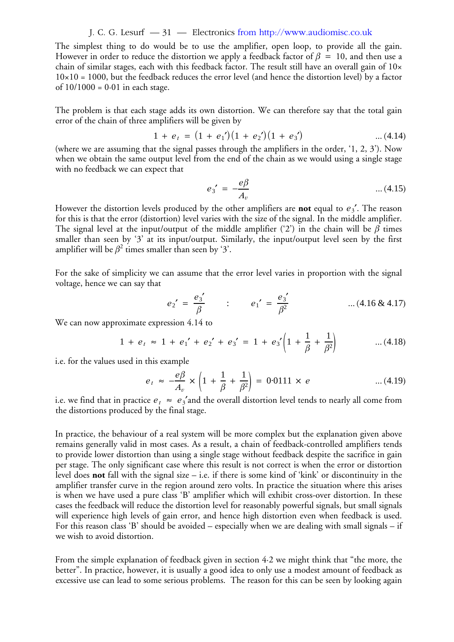#### J. C. G. Lesurf — 31 — Electronics from http://www.audiomisc.co.uk

The simplest thing to do would be to use the amplifier, open loop, to provide all the gain. However in order to reduce the distortion we apply a feedback factor of  $\beta~=~10,$  and then use a chain of similar stages, each with this feedback factor. The result still have an overall gain of 10×  $10\times10 = 1000$ , but the feedback reduces the error level (and hence the distortion level) by a factor of  $10/1000 = 0.01$  in each stage.

The problem is that each stage adds its own distortion. We can therefore say that the total gain error of the chain of three amplifiers will be given by

$$
1 + e_t = (1 + e_1')(1 + e_2')(1 + e_3')
$$
 ... (4.14)

(where we are assuming that the signal passes through the amplifiers in the order, '1, 2, 3'). Now when we obtain the same output level from the end of the chain as we would using a single stage with no feedback we can expect that

$$
e_3' = -\frac{e\beta}{A_v} \qquad \qquad \dots (4.15)
$$

However the distortion levels produced by the other amplifiers are **not** equal to  $e_3'$ . The reason for this is that the error (distortion) level varies with the size of the signal. In the middle amplifier. The signal level at the input/output of the middle amplifier ('2') in the chain will be  $\beta$  times smaller than seen by '3' at its input/output. Similarly, the input/output level seen by the first amplifier will be  $\beta^2$  times smaller than seen by '3'.

For the sake of simplicity we can assume that the error level varies in proportion with the signal voltage, hence we can say that

$$
e_2' = \frac{e_3'}{\beta}
$$
 :  $e_1' = \frac{e_3'}{\beta^2}$  ... (4.16 & 4.17)

We can now approximate expression 4.14 to

$$
1 + e_t \approx 1 + e_1' + e_2' + e_3' = 1 + e_3' \left(1 + \frac{1}{\beta} + \frac{1}{\beta^2}\right) \qquad \dots (4.18)
$$

i.e. for the values used in this example

$$
e_t \approx -\frac{e\beta}{A_v} \times \left(1 + \frac{1}{\beta} + \frac{1}{\beta^2}\right) = 0.0111 \times e \qquad \qquad \dots (4.19)
$$

i.e. we find that in practice  $e_t \approx e_3$ 'and the overall distortion level tends to nearly all come from the distortions produced by the final stage.

In practice, the behaviour of a real system will be more complex but the explanation given above remains generally valid in most cases. As a result, a chain of feedback-controlled amplifiers tends to provide lower distortion than using a single stage without feedback despite the sacrifice in gain per stage. The only significant case where this result is not correct is when the error or distortion level does **not** fall with the signal size – i.e. if there is some kind of 'kink' or discontinuity in the amplifier transfer curve in the region around zero volts. In practice the situation where this arises is when we have used a pure class 'B' amplifier which will exhibit cross-over distortion. In these cases the feedback will reduce the distortion level for reasonably powerful signals, but small signals will experience high levels of gain error, and hence high distortion even when feedback is used. For this reason class 'B' should be avoided – especially when we are dealing with small signals – if we wish to avoid distortion.

From the simple explanation of feedback given in section 4·2 we might think that "the more, the better". In practice, however, it is usually a good idea to only use a modest amount of feedback as excessive use can lead to some serious problems. The reason for this can be seen by looking again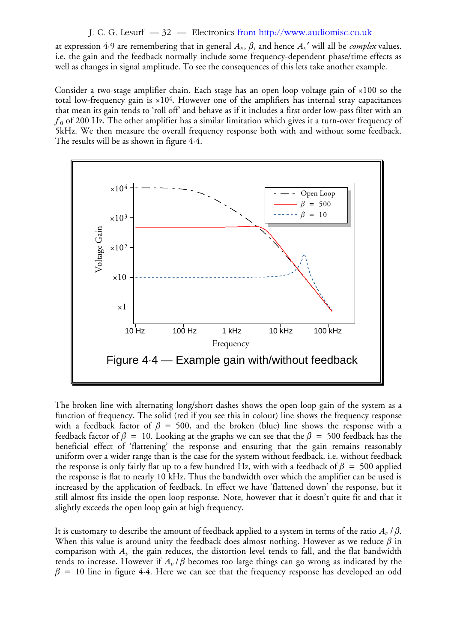### J. C. G. Lesurf — 32 — Electronics from http://www.audiomisc.co.uk

at expression 4·9 are remembering that in general  $A_\nu,$   $\beta,$  and hence  ${A_\nu}'$  will all be *complex* values. i.e. the gain and the feedback normally include some frequency-dependent phase/time effects as well as changes in signal amplitude. To see the consequences of this lets take another example.

Consider a two-stage amplifier chain. Each stage has an open loop voltage gain of ×100 so the total low-frequency gain is  $\times 10^4$ . However one of the amplifiers has internal stray capacitances that mean its gain tends to 'roll off' and behave as if it includes a first order low-pass filter with an  $f_{\rm 0}$  of 200 Hz. The other amplifier has a similar limitation which gives it a turn-over frequency of 5kHz. We then measure the overall frequency response both with and without some feedback. The results will be as shown in figure 4·4.



The broken line with alternating long/short dashes shows the open loop gain of the system as a function of frequency. The solid (red if you see this in colour) line shows the frequency response with a feedback factor of  $\beta = 500$ , and the broken (blue) line shows the response with a feedback factor of  $\beta = 10$ . Looking at the graphs we can see that the  $\beta = 500$  feedback has the beneficial effect of 'flattening' the response and ensuring that the gain remains reasonably uniform over a wider range than is the case for the system without feedback. i.e. without feedback the response is only fairly flat up to a few hundred Hz, with with a feedback of  $\beta~=~$  500 applied the response is flat to nearly 10 kHz. Thus the bandwidth over which the amplifier can be used is increased by the application of feedback. In effect we have 'flattened down' the response, but it still almost fits inside the open loop response. Note, however that it doesn't quite fit and that it slightly exceeds the open loop gain at high frequency.

It is customary to describe the amount of feedback applied to a system in terms of the ratio  $A_v$  /  $\beta.$ When this value is around unity the feedback does almost nothing. However as we reduce  $\beta$  in comparison with  $A_v$  the gain reduces, the distortion level tends to fall, and the flat bandwidth tends to increase. However if  $A_v$  /  $\beta$  becomes too large things can go wrong as indicated by the  $\beta$  = 10 line in figure 4·4. Here we can see that the frequency response has developed an odd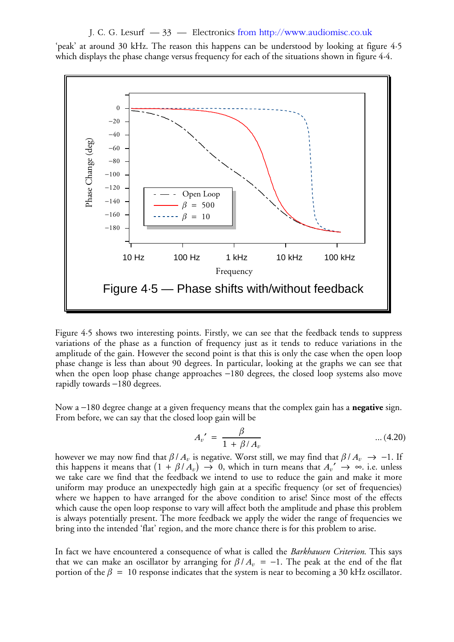J. C. G. Lesurf — 33 — Electronics from http://www.audiomisc.co.uk

'peak' at around 30 kHz. The reason this happens can be understood by looking at figure 4·5 which displays the phase change versus frequency for each of the situations shown in figure 4·4.



Figure 4·5 shows two interesting points. Firstly, we can see that the feedback tends to suppress variations of the phase as a function of frequency just as it tends to reduce variations in the amplitude of the gain. However the second point is that this is only the case when the open loop phase change is less than about 90 degrees. In particular, looking at the graphs we can see that when the open loop phase change approaches −180 degrees, the closed loop systems also move rapidly towards -180 degrees.

Now a –180 degree change at a given frequency means that the complex gain has a **negative** sign. From before, we can say that the closed loop gain will be

$$
A_v' = \frac{\beta}{1 + \beta / A_v} \qquad \qquad \dots (4.20)
$$

however we may now find that  $\beta$  /  $A_v$  is negative. Worst still, we may find that  $\beta$  /  $A_v$   $\;\rightarrow$   $\;-1.$  If this happens it means that  $(1 + \beta/A_v) \rightarrow 0$ , which in turn means that  ${A_v}' \rightarrow \infty$ . i.e. unless we take care we find that the feedback we intend to use to reduce the gain and make it more uniform may produce an unexpectedly high gain at a specific frequency (or set of frequencies) where we happen to have arranged for the above condition to arise! Since most of the effects which cause the open loop response to vary will affect both the amplitude and phase this problem is always potentially present. The more feedback we apply the wider the range of frequencies we bring into the intended 'flat' region, and the more chance there is for this problem to arise.

In fact we have encountered a consequence of what is called the *Barkhausen Criterion*. This says that we can make an oscillator by arranging for  $\beta / A_v = -1$ . The peak at the end of the flat portion of the  $\beta = 10$  response indicates that the system is near to becoming a 30 kHz oscillator.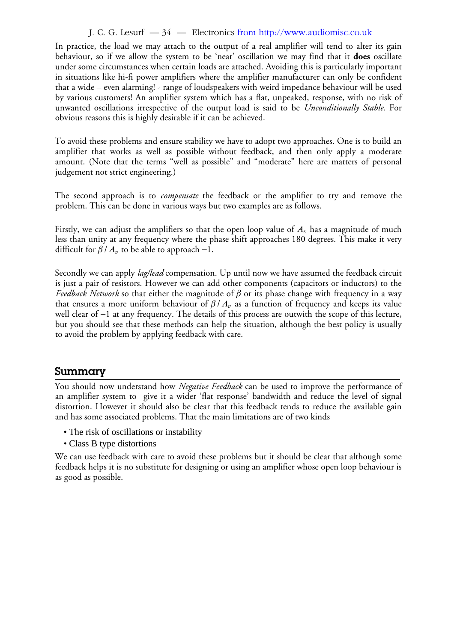## J. C. G. Lesurf — 34 — Electronics from http://www.audiomisc.co.uk

In practice, the load we may attach to the output of a real amplifier will tend to alter its gain behaviour, so if we allow the system to be 'near' oscillation we may find that it **does** oscillate under some circumstances when certain loads are attached. Avoiding this is particularly important in situations like hi-fi power amplifiers where the amplifier manufacturer can only be confident that a wide – even alarming! - range of loudspeakers with weird impedance behaviour will be used by various customers! An amplifier system which has a flat, unpeaked, response, with no risk of unwanted oscillations irrespective of the output load is said to be *Unconditionally Stable*. For obvious reasons this is highly desirable if it can be achieved.

To avoid these problems and ensure stability we have to adopt two approaches. One is to build an amplifier that works as well as possible without feedback, and then only apply a moderate amount. (Note that the terms "well as possible" and "moderate" here are matters of personal judgement not strict engineering.)

The second approach is to *compensate* the feedback or the amplifier to try and remove the problem. This can be done in various ways but two examples are as follows.

Firstly, we can adjust the amplifiers so that the open loop value of  $A_v$  has a magnitude of much less than unity at any frequency where the phase shift approaches 180 degrees. This make it very difficult for  $\beta / A_v$  to be able to approach -1.

Secondly we can apply *lag/lead* compensation. Up until now we have assumed the feedback circuit is just a pair of resistors. However we can add other components (capacitors or inductors) to the *Feedback Network* so that either the magnitude of  $\beta$  or its phase change with frequency in a way that ensures a more uniform behaviour of  $\beta / A_v$  as a function of frequency and keeps its value well clear of −1 at any frequency. The details of this process are outwith the scope of this lecture, but you should see that these methods can help the situation, although the best policy is usually to avoid the problem by applying feedback with care.

## **Summary**

You should now understand how *Negative Feedback* can be used to improve the performance of an amplifier system to give it a wider 'flat response' bandwidth and reduce the level of signal distortion. However it should also be clear that this feedback tends to reduce the available gain and has some associated problems. That the main limitations are of two kinds

- The risk of oscillations or instability
- Class B type distortions

We can use feedback with care to avoid these problems but it should be clear that although some feedback helps it is no substitute for designing or using an amplifier whose open loop behaviour is as good as possible.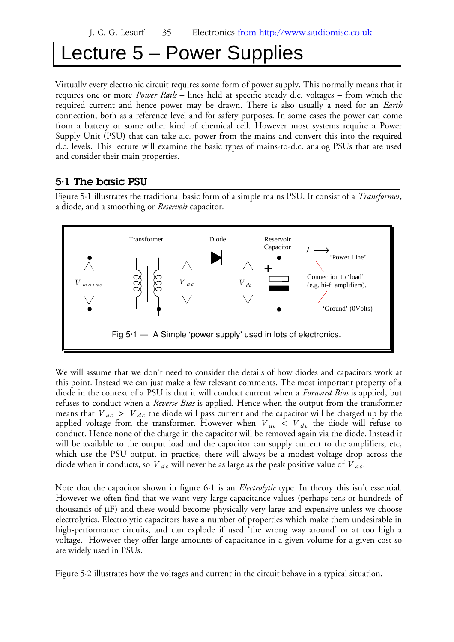## Lecture 5 – Power Supplies

Virtually every electronic circuit requires some form of power supply. This normally means that it requires one or more *Power Rails* – lines held at specific steady d.c. voltages – from which the required current and hence power may be drawn. There is also usually a need for an *Earth* connection, both as a reference level and for safety purposes. In some cases the power can come from a battery or some other kind of chemical cell. However most systems require a Power Supply Unit (PSU) that can take a.c. power from the mains and convert this into the required d.c. levels. This lecture will examine the basic types of mains-to-d.c. analog PSUs that are used and consider their main properties.

## **5·1 The basic PSU**

Figure 5·1 illustrates the traditional basic form of a simple mains PSU. It consist of a *Transformer*, a diode, and a smoothing or *Reservoir* capacitor.



We will assume that we don't need to consider the details of how diodes and capacitors work at this point. Instead we can just make a few relevant comments. The most important property of a diode in the context of a PSU is that it will conduct current when a *Forward Bias* is applied, but refuses to conduct when a *Reverse Bias* is applied. Hence when the output from the transformer means that  $V_{ac} > V_{dc}$  the diode will pass current and the capacitor will be charged up by the applied voltage from the transformer. However when  $V_{ac}$  <  $V_{dc}$  the diode will refuse to conduct. Hence none of the charge in the capacitor will be removed again via the diode. Instead it will be available to the output load and the capacitor can supply current to the amplifiers, etc, which use the PSU output. in practice, there will always be a modest voltage drop across the diode when it conducts, so  $V_{dc}$  will never be as large as the peak positive value of  $V_{ac}$ .

Note that the capacitor shown in figure 6·1 is an *Electrolytic* type. In theory this isn't essential. However we often find that we want very large capacitance values (perhaps tens or hundreds of thousands of  $\mu$ F) and these would become physically very large and expensive unless we choose electrolytics. Electrolytic capacitors have a number of properties which make them undesirable in high-performance circuits, and can explode if used 'the wrong way around' or at too high a voltage. However they offer large amounts of capacitance in a given volume for a given cost so are widely used in PSUs.

Figure 5·2 illustrates how the voltages and current in the circuit behave in a typical situation.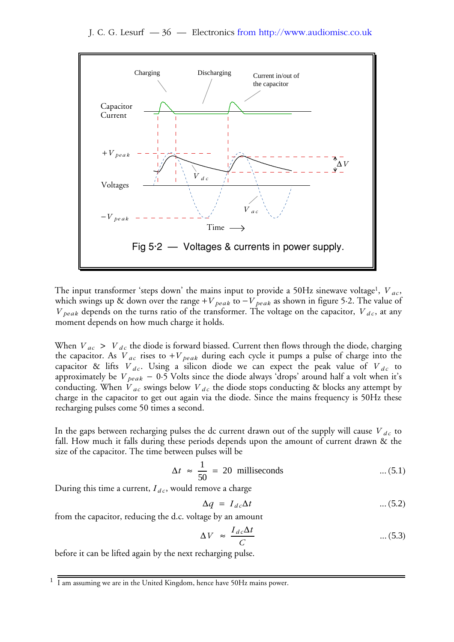

The input transformer 'steps down' the mains input to provide a 50Hz sinewave voltage<sup>1</sup>,  $\overline{V}_{ac}$ , which swings up & down over the range +  $V_{\ peak}$  to  $-V_{\ peak}$  as shown in figure 5·2. The value of  $V_{peak}$  depends on the turns ratio of the transformer. The voltage on the capacitor,  $V_{dc}$ , at any moment depends on how much charge it holds.

When  $V_{ac}$  >  $V_{dc}$  the diode is forward biassed. Current then flows through the diode, charging the capacitor. As  $V_{ac}$  rises to  $+V_{peak}$  during each cycle it pumps a pulse of charge into the capacitor & lifts  $V_{dc}$ . Using a silicon diode we can expect the peak value of  $V_{dc}$  to approximately be *V<sub> peak</sub>* − 0·5 Volts since the diode always 'drops' around half a volt when it's conducting. When  $V_{ac}$  swings below  $V_{dc}$  the diode stops conducting & blocks any attempt by charge in the capacitor to get out again via the diode. Since the mains frequency is 50Hz these recharging pulses come 50 times a second.

In the gaps between recharging pulses the dc current drawn out of the supply will cause  $\overline{V}_{dc}$  to fall. How much it falls during these periods depends upon the amount of current drawn & the size of the capacitor. The time between pulses will be

$$
\Delta t \approx \frac{1}{50} = 20 \text{ milliseconds} \qquad \dots (5.1)
$$

During this time a current,  ${I}_{dc}$ , would remove a charge

$$
\Delta q = I_{dc} \Delta t \tag{5.2}
$$

from the capacitor, reducing the d.c. voltage by an amount

$$
\Delta V \approx \frac{I_{dc}\Delta t}{C} \qquad \qquad \dots (5.3)
$$

before it can be lifted again by the next recharging pulse.

<sup>&</sup>lt;sup>1</sup> I am assuming we are in the United Kingdom, hence have 50Hz mains power.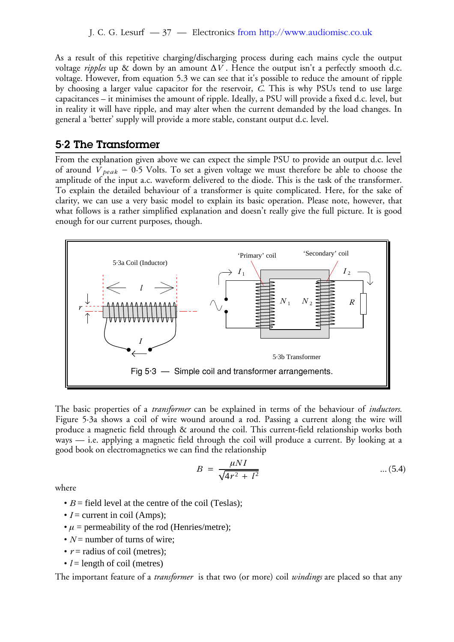As a result of this repetitive charging/discharging process during each mains cycle the output voltage *ripples* up & down by an amount  $\Delta V$  . Hence the output isn't a perfectly smooth d.c. voltage. However, from equation 5.3 we can see that it's possible to reduce the amount of ripple by choosing a larger value capacitor for the reservoir, *C*. This is why PSUs tend to use large capacitances – it minimises the amount of ripple. Ideally, a PSU will provide a fixed d.c. level, but in reality it will have ripple, and may alter when the current demanded by the load changes. In general a 'better' supply will provide a more stable, constant output d.c. level.

## **5·2 The Transformer**

From the explanation given above we can expect the simple PSU to provide an output d.c. level of around *V*<sub>peak</sub> − 0⋅5 Volts. To set a given voltage we must therefore be able to choose the amplitude of the input a.c. waveform delivered to the diode. This is the task of the transformer. To explain the detailed behaviour of a transformer is quite complicated. Here, for the sake of clarity, we can use a very basic model to explain its basic operation. Please note, however, that what follows is a rather simplified explanation and doesn't really give the full picture. It is good enough for our current purposes, though.



The basic properties of a *transformer* can be explained in terms of the behaviour of *inductors*. Figure 5·3a shows a coil of wire wound around a rod. Passing a current along the wire will produce a magnetic field through & around the coil. This current-field relationship works both ways — i.e. applying a magnetic field through the coil will produce a current. By looking at a good book on electromagnetics we can find the relationship

$$
B = \frac{\mu NI}{\sqrt{4r^2 + l^2}} \tag{5.4}
$$

where

- $B =$  field level at the centre of the coil (Teslas);
- $I =$  current in coil (Amps);
- $\mu$  = permeability of the rod (Henries/metre);
- $N =$  number of turns of wire;
- $r =$  radius of coil (metres);
- $\bullet$  *l* = length of coil (metres)

The important feature of a *transformer* is that two (or more) coil *windings* are placed so that any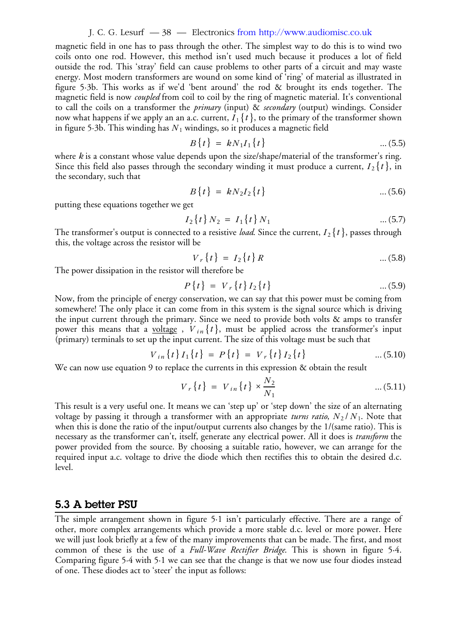#### J. C. G. Lesurf — 38 — Electronics from http://www.audiomisc.co.uk

magnetic field in one has to pass through the other. The simplest way to do this is to wind two coils onto one rod. However, this method isn't used much because it produces a lot of field outside the rod. This 'stray' field can cause problems to other parts of a circuit and may waste energy. Most modern transformers are wound on some kind of 'ring' of material as illustrated in figure 5·3b. This works as if we'd 'bent around' the rod & brought its ends together. The magnetic field is now *coupled* from coil to coil by the ring of magnetic material. It's conventional to call the coils on a transformer the *primary* (input) & *secondary* (output) windings. Consider now what happens if we apply an an a.c. current,  $I_1\{t\},$  to the primary of the transformer shown in figure 5·3b. This winding has  $N_{\rm 1}$  windings, so it produces a magnetic field

$$
B\{t\} = kN_1I_1\{t\} \qquad \qquad \dots (5.5)
$$

where *k* is a constant whose value depends upon the size/shape/material of the transformer's ring. Since this field also passes through the secondary winding it must produce a current,  $I_2\{t\}$ , in the secondary, such that

$$
B\{t\} = kN_2I_2\{t\} \tag{5.6}
$$

putting these equations together we get

$$
I_2\{t\} N_2 = I_1\{t\} N_1 \qquad \qquad \dots (5.7)
$$

The transformer's output is connected to a resistive *load*. Since the current,  $I_2\{t\}$ , passes through this, the voltage across the resistor will be

$$
V_r\{t\} = I_2\{t\}R
$$
 ... (5.8)

The power dissipation in the resistor will therefore be

$$
P\{t\} = V_r\{t\}I_2\{t\} \tag{5.9}
$$

Now, from the principle of energy conservation, we can say that this power must be coming from somewhere! The only place it can come from in this system is the signal source which is driving the input current through the primary. Since we need to provide both volts & amps to transfer power this means that a <u>voltage</u> ,  ${V}_{in}\{t\}$ , must be applied across the transformer's input (primary) terminals to set up the input current. The size of this voltage must be such that

$$
V_{in}\{t\}I_1\{t\} = P\{t\} = V_r\{t\}I_2\{t\} \qquad \qquad \dots (5.10)
$$

We can now use equation 9 to replace the currents in this expression & obtain the result

$$
V_r\{t\} = V_{in}\{t\} \times \frac{N_2}{N_1} \tag{5.11}
$$

This result is a very useful one. It means we can 'step up' or 'step down' the size of an alternating voltage by passing it through a transformer with an appropriate *turns ratio*,  $N_{2}/\sqrt{N_{1}}.$  Note that when this is done the ratio of the input/output currents also changes by the 1/(same ratio). This is necessary as the transformer can't, itself, generate any electrical power. All it does is *transform* the power provided from the source. By choosing a suitable ratio, however, we can arrange for the required input a.c. voltage to drive the diode which then rectifies this to obtain the desired d.c. level.

### **5.3 A better PSU**

The simple arrangement shown in figure 5·1 isn't particularly effective. There are a range of other, more complex arrangements which provide a more stable d.c. level or more power. Here we will just look briefly at a few of the many improvements that can be made. The first, and most common of these is the use of a *Full-Wave Rectifier Bridge*. This is shown in figure 5·4. Comparing figure 5·4 with 5·1 we can see that the change is that we now use four diodes instead of one. These diodes act to 'steer' the input as follows: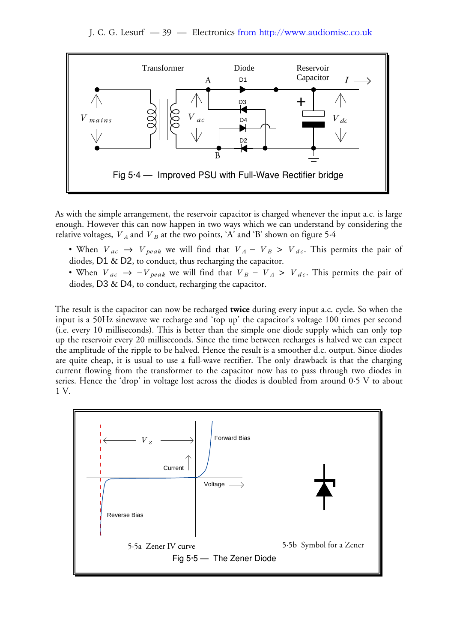

As with the simple arrangement, the reservoir capacitor is charged whenever the input a.c. is large enough. However this can now happen in two ways which we can understand by considering the relative voltages,  $V_A$  and  $V_B$  at the two points, 'A' and 'B' shown on figure 5.4

- When  $V_{ac} \rightarrow V_{peak}$  we will find that  $V_A V_B > V_{dc}$ . This permits the pair of diodes, D1 & D2, to conduct, thus recharging the capacitor.
- When  $V_{ac} \rightarrow -V_{peak}$  we will find that  $V_B V_A > V_{dc}$ . This permits the pair of diodes, D3 & D4, to conduct, recharging the capacitor.

The result is the capacitor can now be recharged **twice** during every input a.c. cycle. So when the input is a 50Hz sinewave we recharge and 'top up' the capacitor's voltage 100 times per second (i.e. every 10 milliseconds). This is better than the simple one diode supply which can only top up the reservoir every 20 milliseconds. Since the time between recharges is halved we can expect the amplitude of the ripple to be halved. Hence the result is a smoother d.c. output. Since diodes are quite cheap, it is usual to use a full-wave rectifier. The only drawback is that the charging current flowing from the transformer to the capacitor now has to pass through two diodes in series. Hence the 'drop' in voltage lost across the diodes is doubled from around 0·5 V to about 1 V.

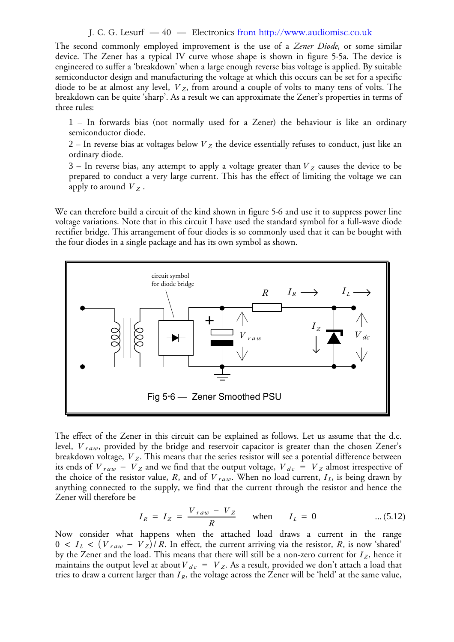#### J. C. G. Lesurf — 40 — Electronics from http://www.audiomisc.co.uk

The second commonly employed improvement is the use of a *Zener Diode*, or some similar device. The Zener has a typical IV curve whose shape is shown in figure 5·5a. The device is engineered to suffer a 'breakdown' when a large enough reverse bias voltage is applied. By suitable semiconductor design and manufacturing the voltage at which this occurs can be set for a specific diode to be at almost any level,  $V_z$ , from around a couple of volts to many tens of volts. The breakdown can be quite 'sharp'. As a result we can approximate the Zener's properties in terms of three rules:

1 – In forwards bias (not normally used for a Zener) the behaviour is like an ordinary semiconductor diode.

2 – In reverse bias at voltages below  $\overline{V}_Z$  the device essentially refuses to conduct, just like an ordinary diode.

 $3$  – In reverse bias, any attempt to apply a voltage greater than  $V_Z$  causes the device to be prepared to conduct a very large current. This has the effect of limiting the voltage we can apply to around  $V_Z$  .

We can therefore build a circuit of the kind shown in figure 5·6 and use it to suppress power line voltage variations. Note that in this circuit I have used the standard symbol for a full-wave diode rectifier bridge. This arrangement of four diodes is so commonly used that it can be bought with the four diodes in a single package and has its own symbol as shown.



The effect of the Zener in this circuit can be explained as follows. Let us assume that the d.c. level,  $\emph{V}\thinspace_{raw}$ , provided by the bridge and reservoir capacitor is greater than the chosen Zener's breakdown voltage,  $\boldsymbol{V}_{\boldsymbol{Z}}.$  This means that the series resistor will see a potential difference between its ends of  $V_{raw} - V_{Z}$  and we find that the output voltage,  $V_{dc} = V_{Z}$  almost irrespective of the choice of the resistor value, R, and of  $V_{raw}$ . When no load current,  $I_L$ , is being drawn by anything connected to the supply, we find that the current through the resistor and hence the Zener will therefore be

$$
I_R = I_Z = \frac{V_{raw} - V_Z}{R}
$$
 when  $I_L = 0$  ... (5.12)

Now consider what happens when the attached load draws a current in the range  $0 < I_L < (V_{raw} - V_Z)/R$ . In effect, the current arriving via the resistor, R, is now 'shared' by the Zener and the load. This means that there will still be a non-zero current for  $I_Z$ , hence it maintains the output level at about  $V_{dc} = V_Z$ . As a result, provided we don't attach a load that tries to draw a current larger than  $I_R$ , the voltage across the Zener will be 'held' at the same value,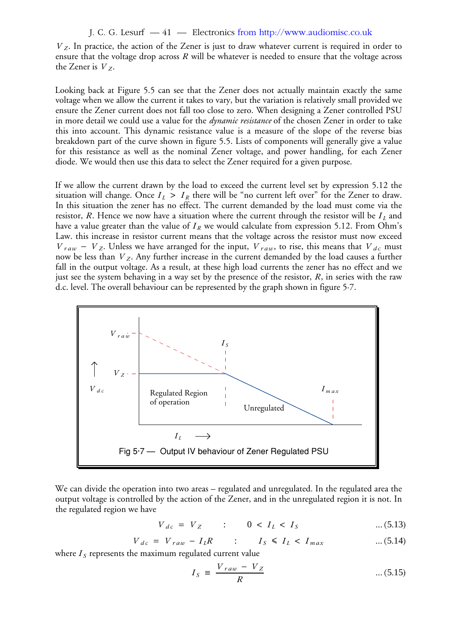J. C. G. Lesurf — 41 — Electronics from http://www.audiomisc.co.uk

. In practice, the action of the Zener is just to draw whatever current is required in order to *V <sup>Z</sup>* ensure that the voltage drop across  $R$  will be whatever is needed to ensure that the voltage across the Zener is  $V_Z$ .

Looking back at Figure 5.5 can see that the Zener does not actually maintain exactly the same voltage when we allow the current it takes to vary, but the variation is relatively small provided we ensure the Zener current does not fall too close to zero. When designing a Zener controlled PSU in more detail we could use a value for the *dynamic resistance* of the chosen Zener in order to take this into account. This dynamic resistance value is a measure of the slope of the reverse bias breakdown part of the curve shown in figure 5.5. Lists of components will generally give a value for this resistance as well as the nominal Zener voltage, and power handling, for each Zener diode. We would then use this data to select the Zener required for a given purpose.

If we allow the current drawn by the load to exceed the current level set by expression 5.12 the situation will change. Once  $I_L > I_R$  there will be "no current left over" for the Zener to draw. In this situation the zener has no effect. The current demanded by the load must come via the resistor, R. Hence we now have a situation where the current through the resistor will be  $I_L$  and have a value greater than the value of  $I_R$  we would calculate from expression 5.12. From Ohm's Law. this increase in resistor current means that the voltage across the resistor must now exceed  $V_{raw} - V_{Z}$ . Unless we have arranged for the input,  $V_{raw}$ , to rise, this means that  $V_{dc}$  must now be less than  $V_Z$ . Any further increase in the current demanded by the load causes a further fall in the output voltage. As a result, at these high load currents the zener has no effect and we just see the system behaving in a way set by the presence of the resistor,  $R$ , in series with the raw d.c. level. The overall behaviour can be represented by the graph shown in figure 5·7.



We can divide the operation into two areas – regulated and unregulated. In the regulated area the output voltage is controlled by the action of the Zener, and in the unregulated region it is not. In the regulated region we have

$$
V_{dc} = V_Z \qquad : \qquad 0 < I_L < I_S \qquad \qquad \dots (5.13)
$$

$$
V_{dc} = V_{raw} - I_L R \qquad : \qquad I_S \leq I_L < I_{max} \qquad \qquad \dots (5.14)
$$

where  $I_{\mathcal{S}}$  represents the maximum regulated current value

$$
I_S \equiv \frac{V_{raw} - V_Z}{R} \qquad \qquad \dots (5.15)
$$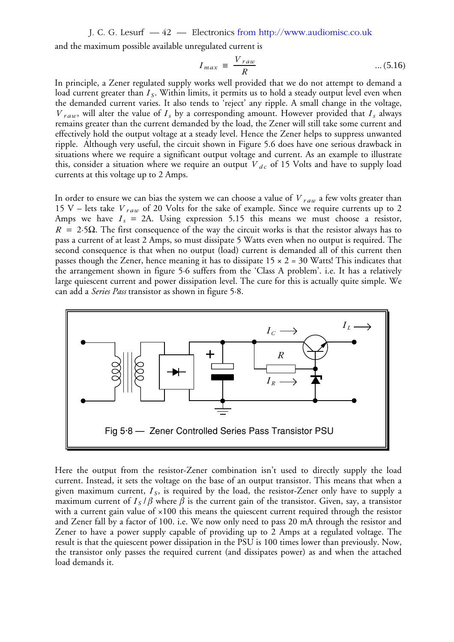J. C. G. Lesurf — 42 — Electronics from http://www.audiomisc.co.uk

and the maximum possible available unregulated current is

$$
I_{max} \equiv \frac{V_{raw}}{R} \qquad \qquad \dots (5.16)
$$

In principle, a Zener regulated supply works well provided that we do not attempt to demand a load current greater than  $I_{\mathcal{S}}$ . Within limits, it permits us to hold a steady output level even when the demanded current varies. It also tends to 'reject' any ripple. A small change in the voltage,  $V_{raw}$ , will alter the value of  $I_s$  by a corresponding amount. However provided that  $I_s$  always remains greater than the current demanded by the load, the Zener will still take some current and effectively hold the output voltage at a steady level. Hence the Zener helps to suppress unwanted ripple. Although very useful, the circuit shown in Figure 5.6 does have one serious drawback in situations where we require a significant output voltage and current. As an example to illustrate this, consider a situation where we require an output  $V_{dc}$  of 15 Volts and have to supply load currents at this voltage up to 2 Amps.

In order to ensure we can bias the system we can choose a value of  ${V}_{raw}$  a few volts greater than 15 V – lets take  $V_{raw}$  of 20 Volts for the sake of example. Since we require currents up to 2 Amps we have  $I_s = 2A$ . Using expression 5.15 this means we must choose a resistor,  $R = 2.5\Omega$ . The first consequence of the way the circuit works is that the resistor always has to pass a current of at least 2 Amps, so must dissipate 5 Watts even when no output is required. The second consequence is that when no output (load) current is demanded all of this current then passes though the Zener, hence meaning it has to dissipate  $15 \times 2 = 30$  Watts! This indicates that the arrangement shown in figure 5·6 suffers from the 'Class A problem'. i.e. It has a relatively large quiescent current and power dissipation level. The cure for this is actually quite simple. We can add a *Series Pass* transistor as shown in figure 5·8.



Here the output from the resistor-Zener combination isn't used to directly supply the load current. Instead, it sets the voltage on the base of an output transistor. This means that when a given maximum current,  $I_S$ , is required by the load, the resistor-Zener only have to supply a maximum current of  $I_s/\beta$  where  $\beta$  is the current gain of the transistor. Given, say, a transistor with a current gain value of  $\times 100$  this means the quiescent current required through the resistor and Zener fall by a factor of 100. i.e. We now only need to pass 20 mA through the resistor and Zener to have a power supply capable of providing up to 2 Amps at a regulated voltage. The result is that the quiescent power dissipation in the PSU is 100 times lower than previously. Now, the transistor only passes the required current (and dissipates power) as and when the attached load demands it.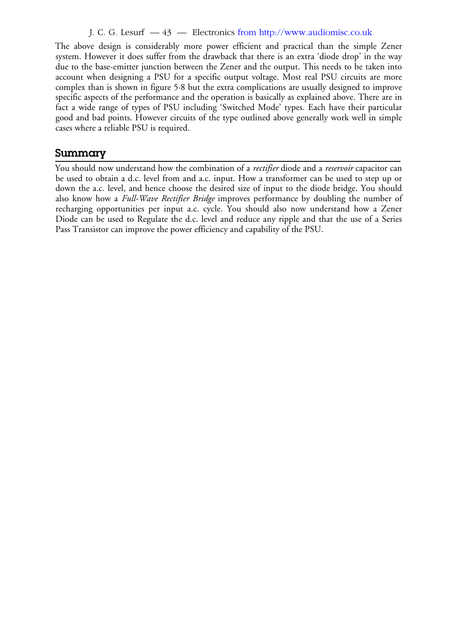#### J. C. G. Lesurf — 43 — Electronics from http://www.audiomisc.co.uk

The above design is considerably more power efficient and practical than the simple Zener system. However it does suffer from the drawback that there is an extra 'diode drop' in the way due to the base-emitter junction between the Zener and the output. This needs to be taken into account when designing a PSU for a specific output voltage. Most real PSU circuits are more complex than is shown in figure 5·8 but the extra complications are usually designed to improve specific aspects of the performance and the operation is basically as explained above. There are in fact a wide range of types of PSU including 'Switched Mode' types. Each have their particular good and bad points. However circuits of the type outlined above generally work well in simple cases where a reliable PSU is required.

## **Summary**

You should now understand how the combination of a *rectifier* diode and a *reservoir* capacitor can be used to obtain a d.c. level from and a.c. input. How a transformer can be used to step up or down the a.c. level, and hence choose the desired size of input to the diode bridge. You should also know how a *Full-Wave Rectifier Bridge* improves performance by doubling the number of recharging opportunities per input a.c. cycle. You should also now understand how a Zener Diode can be used to Regulate the d.c. level and reduce any ripple and that the use of a Series Pass Transistor can improve the power efficiency and capability of the PSU.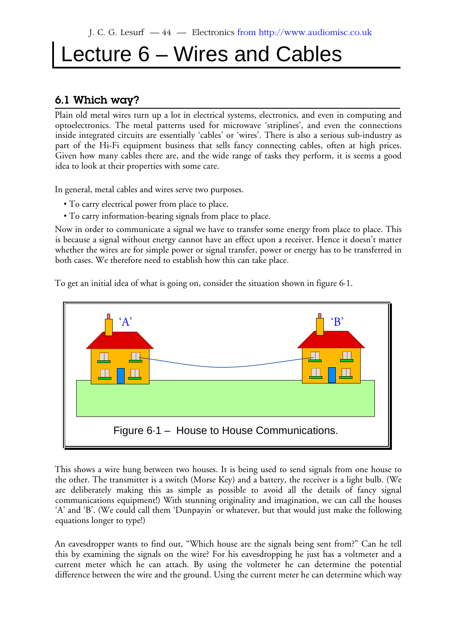# Lecture 6 – Wires and Cables

# **6.1 Which way?**

Plain old metal wires turn up a lot in electrical systems, electronics, and even in computing and optoelectronics. The metal patterns used for microwave 'striplines', and even the connections inside integrated circuits are essentially 'cables' or 'wires'. There is also a serious sub-industry as part of the Hi-Fi equipment business that sells fancy connecting cables, often at high prices. Given how many cables there are, and the wide range of tasks they perform, it is seems a good idea to look at their properties with some care.

In general, metal cables and wires serve two purposes.

- To carry electrical power from place to place.
- To carry information-bearing signals from place to place.

Now in order to communicate a signal we have to transfer some energy from place to place. This is because a signal without energy cannot have an effect upon a receiver. Hence it doesn't matter whether the wires are for simple power or signal transfer, power or energy has to be transferred in both cases. We therefore need to establish how this can take place.

To get an initial idea of what is going on, consider the situation shown in figure 6·1.



This shows a wire hung between two houses. It is being used to send signals from one house to the other. The transmitter is a switch (Morse Key) and a battery, the receiver is a light bulb. (We are deliberately making this as simple as possible to avoid all the details of fancy signal communications equipment!) With stunning originality and imagination, we can call the houses 'A' and 'B'. (We could call them 'Dunpayin' or whatever, but that would just make the following equations longer to type!)

An eavesdropper wants to find out, "Which house are the signals being sent from?" Can he tell this by examining the signals on the wire? For his eavesdropping he just has a voltmeter and a current meter which he can attach. By using the voltmeter he can determine the potential difference between the wire and the ground. Using the current meter he can determine which way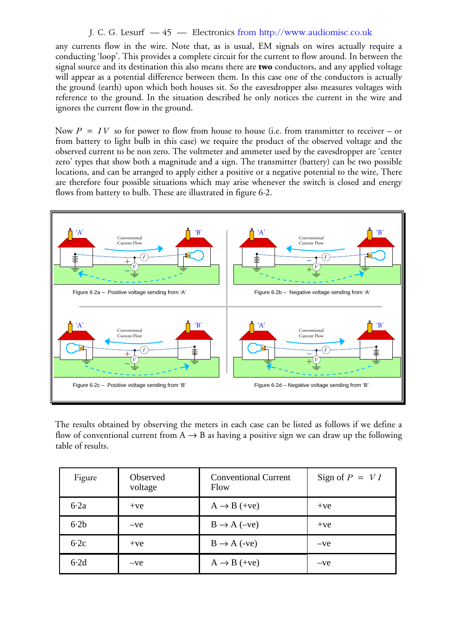#### J. C. G. Lesurf — 45 — Electronics from http://www.audiomisc.co.uk

any currents flow in the wire. Note that, as is usual, EM signals on wires actually require a conducting 'loop'. This provides a complete circuit for the current to flow around. In between the signal source and its destination this also means there are **two** conductors, and any applied voltage will appear as a potential difference between them. In this case one of the conductors is actually the ground (earth) upon which both houses sit. So the eavesdropper also measures voltages with reference to the ground. In the situation described he only notices the current in the wire and ignores the current flow in the ground.

Now  $P = IV$  so for power to flow from house to house (i.e. from transmitter to receiver – or from battery to light bulb in this case) we require the product of the observed voltage and the observed current to be non zero. The voltmeter and ammeter used by the eavesdropper are 'center zero' types that show both a magnitude and a sign. The transmitter (battery) can be two possible locations, and can be arranged to apply either a positive or a negative potential to the wire, There are therefore four possible situations which may arise whenever the switch is closed and energy flows from battery to bulb. These are illustrated in figure 6·2.



The results obtained by observing the meters in each case can be listed as follows if we define a flow of conventional current from  $A \rightarrow B$  as having a positive sign we can draw up the following table of results.

| Figure | <b>Observed</b><br>voltage | <b>Conventional Current</b><br>Flow | Sign of $P = VI$ |
|--------|----------------------------|-------------------------------------|------------------|
| 6.2a   | $+ve$                      | $A \rightarrow B$ (+ve)             | $+ve$            |
| $6-2b$ | $-ve$                      | $B \rightarrow A$ (-ve)             | $+ve$            |
| 6.2c   | $+ve$                      | $B \rightarrow A$ (-ve)             | $-ve$            |
| 6.2d   | $-ve$                      | $A \rightarrow B$ (+ve)             | $-ve$            |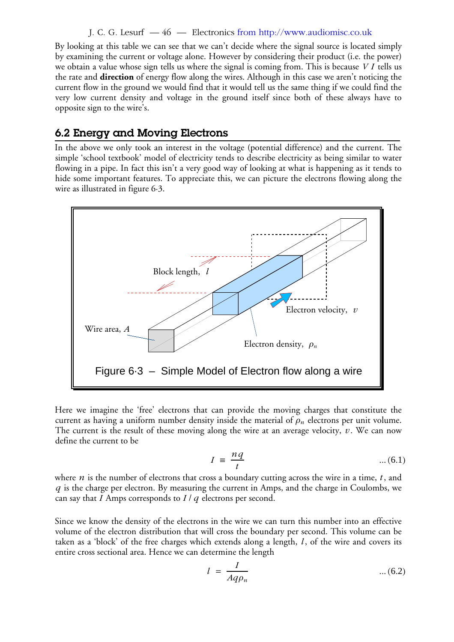#### J. C. G. Lesurf — 46 — Electronics from http://www.audiomisc.co.uk

By looking at this table we can see that we can't decide where the signal source is located simply by examining the current or voltage alone. However by considering their product (i.e. the power) we obtain a value whose sign tells us where the signal is coming from. This is because  $\emph{VI}$  tells us the rate and **direction** of energy flow along the wires. Although in this case we aren't noticing the current flow in the ground we would find that it would tell us the same thing if we could find the very low current density and voltage in the ground itself since both of these always have to opposite sign to the wire's.

## **6.2 Energy and Moving Electrons**

In the above we only took an interest in the voltage (potential difference) and the current. The simple 'school textbook' model of electricity tends to describe electricity as being similar to water flowing in a pipe. In fact this isn't a very good way of looking at what is happening as it tends to hide some important features. To appreciate this, we can picture the electrons flowing along the wire as illustrated in figure 6·3.



Here we imagine the 'free' electrons that can provide the moving charges that constitute the current as having a uniform number density inside the material of  $\rho_n$  electrons per unit volume. The current is the result of these moving along the wire at an average velocity,  $v.$  We can now define the current to be

$$
I = \frac{nq}{t} \qquad \qquad \dots (6.1)
$$

where  $n$  is the number of electrons that cross a boundary cutting across the wire in a time,  $t$  , and is the charge per electron. By measuring the current in Amps, and the charge in Coulombs, we *q* can say that I Amps corresponds to I  $/q$  electrons per second.

Since we know the density of the electrons in the wire we can turn this number into an effective volume of the electron distribution that will cross the boundary per second. This volume can be taken as a 'block' of the free charges which extends along a length, *l*, of the wire and covers its entire cross sectional area. Hence we can determine the length

$$
l = \frac{I}{Aq\rho_n} \tag{6.2}
$$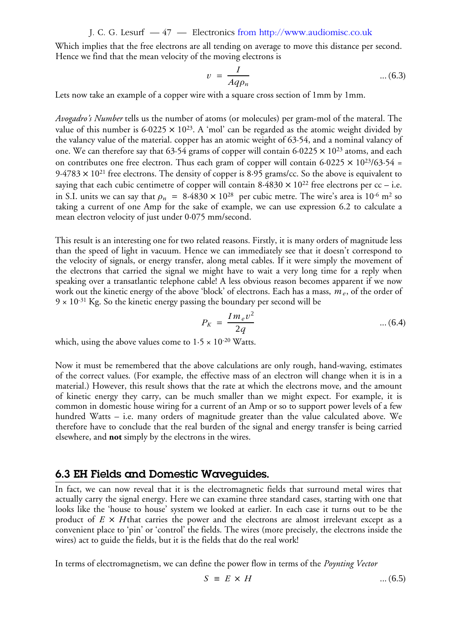J. C. G. Lesurf — 47 — Electronics from http://www.audiomisc.co.uk

Which implies that the free electrons are all tending on average to move this distance per second. Hence we find that the mean velocity of the moving electrons is

$$
v = \frac{I}{Aq\rho_n} \tag{6.3}
$$

Lets now take an example of a copper wire with a square cross section of 1mm by 1mm.

*Avogadro's Number* tells us the number of atoms (or molecules) per gram-mol of the materal. The value of this number is  $6.0225 \times 10^{23}$ . A 'mol' can be regarded as the atomic weight divided by the valancy value of the material. copper has an atomic weight of 63·54, and a nominal valancy of one. We can therefore say that 63.54 grams of copper will contain 6.0225  $\times$  10<sup>23</sup> atoms, and each on contributes one free electron. Thus each gram of copper will contain 6.0225  $\times$  10<sup>23</sup>/63.54 =  $9.4783 \times 10^{21}$  free electrons. The density of copper is 8.95 grams/cc. So the above is equivalent to saying that each cubic centimetre of copper will contain  $8.4830 \times 10^{22}$  free electrons per cc – i.e. in S.I. units we can say that  $\rho_n = 8.4830 \times 10^{28}$  per cubic metre. The wire's area is 10<sup>-6</sup> m<sup>2</sup> so taking a current of one Amp for the sake of example, we can use expression 6.2 to calculate a mean electron velocity of just under 0·075 mm/second.

This result is an interesting one for two related reasons. Firstly, it is many orders of magnitude less than the speed of light in vacuum. Hence we can immediately see that it doesn't correspond to the velocity of signals, or energy transfer, along metal cables. If it were simply the movement of the electrons that carried the signal we might have to wait a very long time for a reply when speaking over a transatlantic telephone cable! A less obvious reason becomes apparent if we now work out the kinetic energy of the above 'block' of electrons. Each has a mass,  $m_{\it e}$ , of the order of  $9 \times 10^{-31}$  Kg. So the kinetic energy passing the boundary per second will be

$$
P_K = \frac{Im_e v^2}{2q} \qquad \qquad \dots (6.4)
$$

which, using the above values come to  $1.5 \times 10^{-20}$  Watts.

Now it must be remembered that the above calculations are only rough, hand-waving, estimates of the correct values. (For example, the effective mass of an electron will change when it is in a material.) However, this result shows that the rate at which the electrons move, and the amount of kinetic energy they carry, can be much smaller than we might expect. For example, it is common in domestic house wiring for a current of an Amp or so to support power levels of a few hundred Watts – i.e. many orders of magnitude greater than the value calculated above. We therefore have to conclude that the real burden of the signal and energy transfer is being carried elsewhere, and **not** simply by the electrons in the wires.

## **6.3 EH Fields and Domestic Waveguides.**

In fact, we can now reveal that it is the electromagnetic fields that surround metal wires that actually carry the signal energy. Here we can examine three standard cases, starting with one that looks like the 'house to house' system we looked at earlier. In each case it turns out to be the product of  $E \times H$ that carries the power and the electrons are almost irrelevant except as a convenient place to 'pin' or 'control' the fields. The wires (more precisely, the electrons inside the wires) act to guide the fields, but it is the fields that do the real work!

In terms of electromagnetism, we can define the power flow in terms of the *Poynting Vector*

$$
S \equiv E \times H \tag{6.5}
$$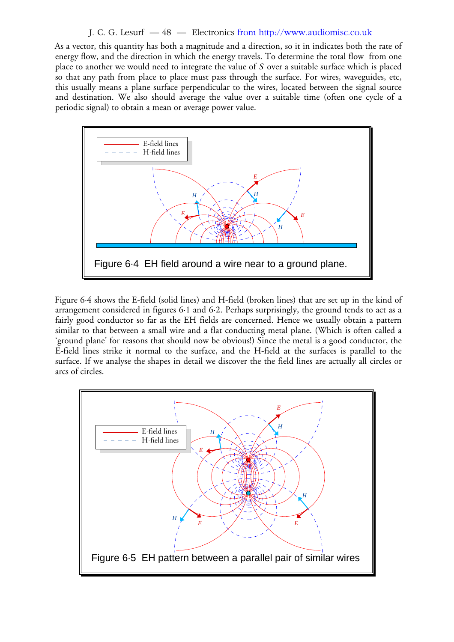#### J. C. G. Lesurf — 48 — Electronics from http://www.audiomisc.co.uk

As a vector, this quantity has both a magnitude and a direction, so it in indicates both the rate of energy flow, and the direction in which the energy travels. To determine the total flow from one place to another we would need to integrate the value of  $S$  over a suitable surface which is placed so that any path from place to place must pass through the surface. For wires, waveguides, etc, this usually means a plane surface perpendicular to the wires, located between the signal source and destination. We also should average the value over a suitable time (often one cycle of a periodic signal) to obtain a mean or average power value.



Figure 6·4 shows the E-field (solid lines) and H-field (broken lines) that are set up in the kind of arrangement considered in figures 6·1 and 6·2. Perhaps surprisingly, the ground tends to act as a fairly good conductor so far as the EH fields are concerned. Hence we usually obtain a pattern similar to that between a small wire and a flat conducting metal plane. (Which is often called a 'ground plane' for reasons that should now be obvious!) Since the metal is a good conductor, the E-field lines strike it normal to the surface, and the H-field at the surfaces is parallel to the surface. If we analyse the shapes in detail we discover the the field lines are actually all circles or arcs of circles.

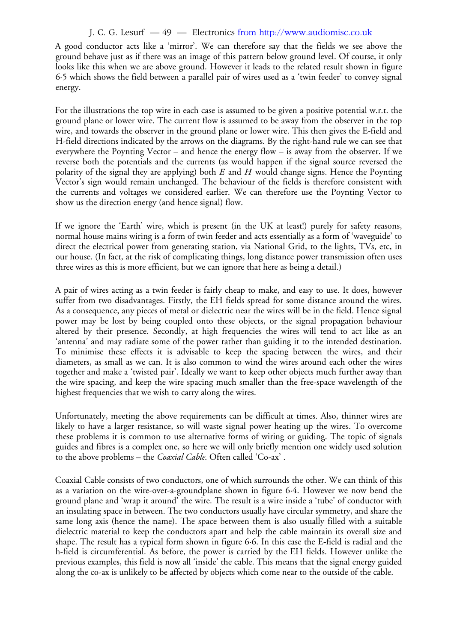#### J. C. G. Lesurf — 49 — Electronics from http://www.audiomisc.co.uk

A good conductor acts like a 'mirror'. We can therefore say that the fields we see above the ground behave just as if there was an image of this pattern below ground level. Of course, it only looks like this when we are above ground. However it leads to the related result shown in figure 6·5 which shows the field between a parallel pair of wires used as a 'twin feeder' to convey signal energy.

For the illustrations the top wire in each case is assumed to be given a positive potential w.r.t. the ground plane or lower wire. The current flow is assumed to be away from the observer in the top wire, and towards the observer in the ground plane or lower wire. This then gives the E-field and H-field directions indicated by the arrows on the diagrams. By the right-hand rule we can see that everywhere the Poynting Vector – and hence the energy flow – is away from the observer. If we reverse both the potentials and the currents (as would happen if the signal source reversed the polarity of the signal they are applying) both  $E$  and  $H$  would change signs. Hence the Poynting Vector's sign would remain unchanged. The behaviour of the fields is therefore consistent with the currents and voltages we considered earlier. We can therefore use the Poynting Vector to show us the direction energy (and hence signal) flow.

If we ignore the 'Earth' wire, which is present (in the UK at least!) purely for safety reasons, normal house mains wiring is a form of twin feeder and acts essentially as a form of 'waveguide' to direct the electrical power from generating station, via National Grid, to the lights, TVs, etc, in our house. (In fact, at the risk of complicating things, long distance power transmission often uses three wires as this is more efficient, but we can ignore that here as being a detail.)

A pair of wires acting as a twin feeder is fairly cheap to make, and easy to use. It does, however suffer from two disadvantages. Firstly, the EH fields spread for some distance around the wires. As a consequence, any pieces of metal or dielectric near the wires will be in the field. Hence signal power may be lost by being coupled onto these objects, or the signal propagation behaviour altered by their presence. Secondly, at high frequencies the wires will tend to act like as an 'antenna' and may radiate some of the power rather than guiding it to the intended destination. To minimise these effects it is advisable to keep the spacing between the wires, and their diameters, as small as we can. It is also common to wind the wires around each other the wires together and make a 'twisted pair'. Ideally we want to keep other objects much further away than the wire spacing, and keep the wire spacing much smaller than the free-space wavelength of the highest frequencies that we wish to carry along the wires.

Unfortunately, meeting the above requirements can be difficult at times. Also, thinner wires are likely to have a larger resistance, so will waste signal power heating up the wires. To overcome these problems it is common to use alternative forms of wiring or guiding. The topic of signals guides and fibres is a complex one, so here we will only briefly mention one widely used solution to the above problems – the *Coaxial Cable*. Often called 'Co-ax' .

Coaxial Cable consists of two conductors, one of which surrounds the other. We can think of this as a variation on the wire-over-a-groundplane shown in figure 6·4. However we now bend the ground plane and 'wrap it around' the wire. The result is a wire inside a 'tube' of conductor with an insulating space in between. The two conductors usually have circular symmetry, and share the same long axis (hence the name). The space between them is also usually filled with a suitable dielectric material to keep the conductors apart and help the cable maintain its overall size and shape. The result has a typical form shown in figure 6·6. In this case the E-field is radial and the h-field is circumferential. As before, the power is carried by the EH fields. However unlike the previous examples, this field is now all 'inside' the cable. This means that the signal energy guided along the co-ax is unlikely to be affected by objects which come near to the outside of the cable.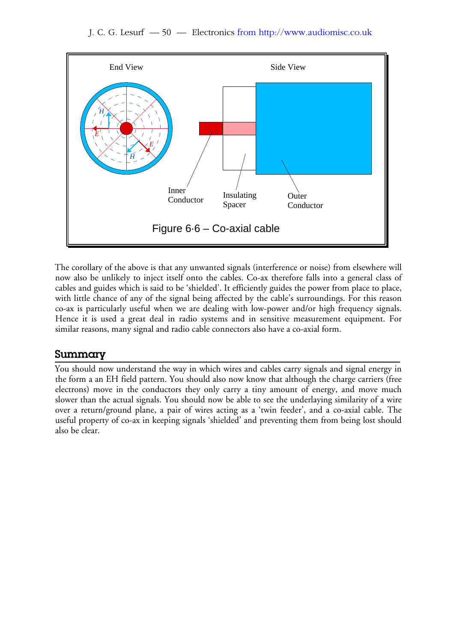

The corollary of the above is that any unwanted signals (interference or noise) from elsewhere will now also be unlikely to inject itself onto the cables. Co-ax therefore falls into a general class of cables and guides which is said to be 'shielded'. It efficiently guides the power from place to place, with little chance of any of the signal being affected by the cable's surroundings. For this reason co-ax is particularly useful when we are dealing with low-power and/or high frequency signals. Hence it is used a great deal in radio systems and in sensitive measurement equipment. For similar reasons, many signal and radio cable connectors also have a co-axial form.

# **Summary**

You should now understand the way in which wires and cables carry signals and signal energy in the form a an EH field pattern. You should also now know that although the charge carriers (free electrons) move in the conductors they only carry a tiny amount of energy, and move much slower than the actual signals. You should now be able to see the underlaying similarity of a wire over a return/ground plane, a pair of wires acting as a 'twin feeder', and a co-axial cable. The useful property of co-ax in keeping signals 'shielded' and preventing them from being lost should also be clear.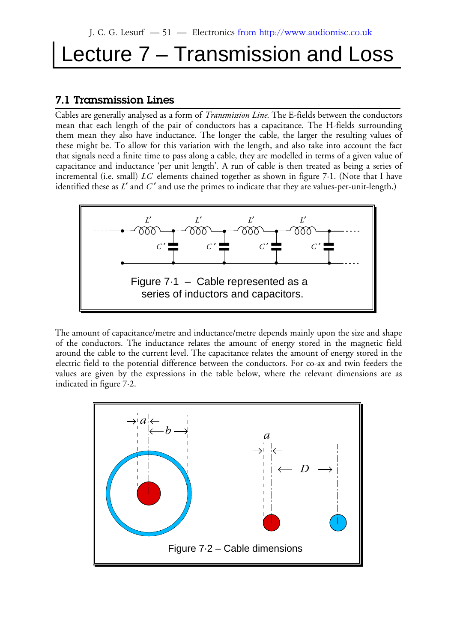# Lecture 7 – Transmission and Loss

# **7.1 Transmission Lines**

Cables are generally analysed as a form of *Transmission Line*. The E-fields between the conductors mean that each length of the pair of conductors has a capacitance. The H-fields surrounding them mean they also have inductance. The longer the cable, the larger the resulting values of these might be. To allow for this variation with the length, and also take into account the fact that signals need a finite time to pass along a cable, they are modelled in terms of a given value of capacitance and inductance 'per unit length'. A run of cable is then treated as being a series of incremental (i.e. small)  $LC$  elements chained together as shown in figure 7·1. (Note that I have identified these as  $L'$  and  $C'$  and use the primes to indicate that they are values-per-unit-length.)



The amount of capacitance/metre and inductance/metre depends mainly upon the size and shape of the conductors. The inductance relates the amount of energy stored in the magnetic field around the cable to the current level. The capacitance relates the amount of energy stored in the electric field to the potential difference between the conductors. For co-ax and twin feeders the values are given by the expressions in the table below, where the relevant dimensions are as indicated in figure 7·2.

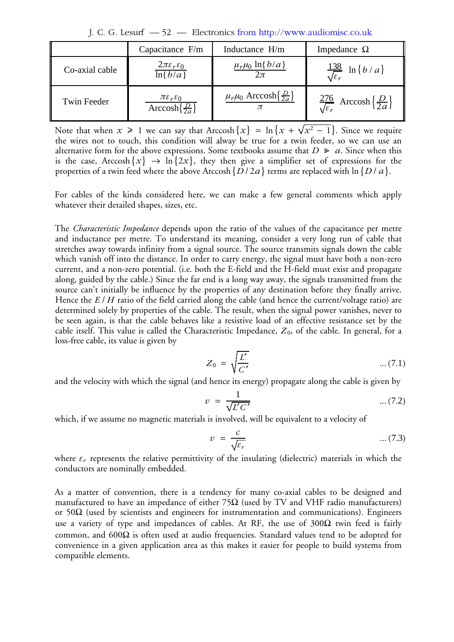J. C. G. Lesurf — 52 — Electronics from http://www.audiomisc.co.uk

|                | Capacitance F/m                                                                             | Inductance H/m                                | Impedance $\Omega$                                                       |
|----------------|---------------------------------------------------------------------------------------------|-----------------------------------------------|--------------------------------------------------------------------------|
| Co-axial cable | $2\pi\varepsilon_r\varepsilon_0$<br>$\ln\{b/a\}$                                            | $\mu_r\mu_0$ ln{ $b/a$ }<br>$2\pi$            | $rac{138}{\sqrt{\varepsilon_r}} \ln\left\{b/a\right\}$                   |
| Twin Feeder    | $\pi \varepsilon_r \varepsilon_0$<br>$\overline{\text{Arccosh}\left\{\frac{D}{2a}\right\}}$ | $\mu_r\mu_0$ Arccosh $\{\frac{D}{2a}\}\$<br>π | $\frac{276}{\sqrt{\varepsilon_r}}$ Arccosh $\left\{\frac{D}{2a}\right\}$ |

Note that when  $x \geqslant 1$  we can say that Arccosh $\{x\} = \ln\{x + \sqrt{x^2 - 1}\}$ . Since we require the wires not to touch, this condition will alway be true for a twin feeder, so we can use an alternative form for the above expressions. Some textbooks assume that  $D \ge a$ . Since when this is the case, Arccosh $\{x\} \rightarrow \ln\{2x\}$ , they then give a simplifier set of expressions for the properties of a twin feed where the above Arccosh  $\{D$  / 2 $a\}$  terms are replaced with ln  $\{D$  /  $a\}$ .

For cables of the kinds considered here, we can make a few general comments which apply whatever their detailed shapes, sizes, etc.

The *Characteristic Impedance* depends upon the ratio of the values of the capacitance per metre and inductance per metre. To understand its meaning, consider a very long run of cable that stretches away towards infinity from a signal source. The source transmits signals down the cable which vanish off into the distance. In order to carry energy, the signal must have both a non-zero current, and a non-zero potential. (i.e. both the E-field and the H-field must exist and propagate along, guided by the cable.) Since the far end is a long way away, the signals transmitted from the source can't initially be influence by the properties of any destination before they finally arrive. Hence the E / H ratio of the field carried along the cable (and hence the current/voltage ratio) are determined solely by properties of the cable. The result, when the signal power vanishes, never to be seen again, is that the cable behaves like a resistive load of an effective resistance set by the cable itself. This value is called the Characteristic Impedance,  $Z_{0}$ , of the cable. In general, for a loss-free cable, its value is given by

$$
Z_0 = \sqrt{\frac{L'}{C'}} \qquad \qquad \dots (7.1)
$$

and the velocity with which the signal (and hence its energy) propagate along the cable is given by

$$
v = \frac{1}{\sqrt{L'C'}} \tag{7.2}
$$

which, if we assume no magnetic materials is involved, will be equivalent to a velocity of

$$
v = \frac{c}{\sqrt{\varepsilon_r}} \tag{7.3}
$$

where  $\varepsilon_r$  represents the relative permittivity of the insulating (dielectric) materials in which the conductors are nominally embedded.

As a matter of convention, there is a tendency for many co-axial cables to be designed and manufactured to have an impedance of either 75 $\Omega$  (used by TV and VHF radio manufacturers) or 50 $\Omega$  (used by scientists and engineers for instrumentation and communications). Engineers use a variety of type and impedances of cables. At RF, the use of  $300\Omega$  twin feed is fairly common, and 600Ω is often used at audio frequencies. Standard values tend to be adopted for convenience in a given application area as this makes it easier for people to build systems from compatible elements.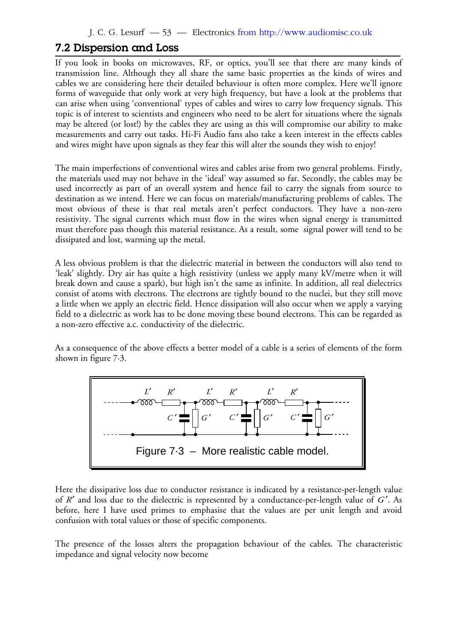## **7.2 Dispersion and Loss**

If you look in books on microwaves, RF, or optics, you'll see that there are many kinds of transmission line. Although they all share the same basic properties as the kinds of wires and cables we are considering here their detailed behaviour is often more complex. Here we'll ignore forms of waveguide that only work at very high frequency, but have a look at the problems that can arise when using 'conventional' types of cables and wires to carry low frequency signals. This topic is of interest to scientists and engineers who need to be alert for situations where the signals may be altered (or lost!) by the cables they are using as this will compromise our ability to make measurements and carry out tasks. Hi-Fi Audio fans also take a keen interest in the effects cables and wires might have upon signals as they fear this will alter the sounds they wish to enjoy!

The main imperfections of conventional wires and cables arise from two general problems. Firstly, the materials used may not behave in the 'ideal' way assumed so far. Secondly, the cables may be used incorrectly as part of an overall system and hence fail to carry the signals from source to destination as we intend. Here we can focus on materials/manufacturing problems of cables. The most obvious of these is that real metals aren't perfect conductors. They have a non-zero resistivity. The signal currents which must flow in the wires when signal energy is transmitted must therefore pass though this material resistance. As a result, some signal power will tend to be dissipated and lost, warming up the metal.

A less obvious problem is that the dielectric material in between the conductors will also tend to 'leak' slightly. Dry air has quite a high resistivity (unless we apply many kV/metre when it will break down and cause a spark), but high isn't the same as infinite. In addition, all real dielectrics consist of atoms with electrons. The electrons are tightly bound to the nuclei, but they still move a little when we apply an electric field. Hence dissipation will also occur when we apply a varying field to a dielectric as work has to be done moving these bound electrons. This can be regarded as a non-zero effective a.c. conductivity of the dielectric.

As a consequence of the above effects a better model of a cable is a series of elements of the form shown in figure 7·3.



Here the dissipative loss due to conductor resistance is indicated by a resistance-per-length value of  $R'$  and loss due to the dielectric is represented by a conductance-per-length value of  $G'$ . As before, here I have used primes to emphasise that the values are per unit length and avoid confusion with total values or those of specific components.

The presence of the losses alters the propagation behaviour of the cables. The characteristic impedance and signal velocity now become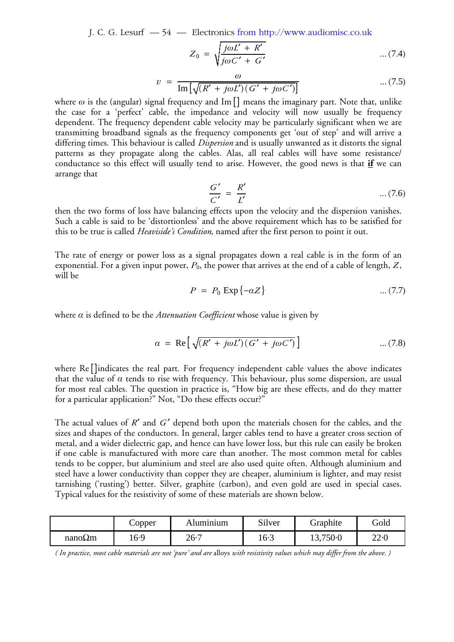J. C. G. Lesurf — 54 — Electronics from http://www.audiomisc.co.uk

$$
Z_0 = \sqrt{\frac{j\omega L' + R'}{j\omega C' + G'}}
$$
 ... (7.4)

$$
v = \frac{\omega}{\text{Im}\left[\sqrt{(R' + j\omega L')(G' + j\omega C')}\right]} \tag{7.5}
$$

where  $ω$  is the (angular) signal frequency and Im [] means the imaginary part. Note that, unlike the case for a 'perfect' cable, the impedance and velocity will now usually be frequency dependent. The frequency dependent cable velocity may be particularly significant when we are transmitting broadband signals as the frequency components get 'out of step' and will arrive a differing times. This behaviour is called *Dispersion* and is usually unwanted as it distorts the signal patterns as they propagate along the cables. Alas, all real cables will have some resistance/ conductance so this effect will usually tend to arise. However, the good news is that **if** we can arrange that

*G* ′ *C* ′ = *R*′ *L*′ ... (7.6)

then the two forms of loss have balancing effects upon the velocity and the dispersion vanishes. Such a cable is said to be 'distortionless' and the above requirement which has to be satisfied for this to be true is called *Heaviside's Condition*, named after the first person to point it out.

The rate of energy or power loss as a signal propagates down a real cable is in the form of an exponential. For a given input power,  $P_0$ , the power that arrives at the end of a cable of length,  $Z,$ will be

$$
P = P_0 \operatorname{Exp} \{-\alpha Z\} \tag{7.7}
$$

where  $\alpha$  is defined to be the *Attenuation Coefficient* whose value is given by

$$
\alpha = \text{Re}\left[\sqrt{(R' + j\omega L')(G' + j\omega C')}\right] \tag{7.8}
$$

where Re[]indicates the real part. For frequency independent cable values the above indicates that the value of  $\alpha$  tends to rise with frequency. This behaviour, plus some dispersion, are usual for most real cables. The question in practice is, "How big are these effects, and do they matter for a particular application?" Not, "Do these effects occur?"

The actual values of  $R'$  and  $G'$  depend both upon the materials chosen for the cables, and the sizes and shapes of the conductors. In general, larger cables tend to have a greater cross section of metal, and a wider dielectric gap, and hence can have lower loss, but this rule can easily be broken if one cable is manufactured with more care than another. The most common metal for cables tends to be copper, but aluminium and steel are also used quite often. Although aluminium and steel have a lower conductivity than copper they are cheaper, aluminium is lighter, and may resist tarnishing ('rusting') better. Silver, graphite (carbon), and even gold are used in special cases. Typical values for the resistivity of some of these materials are shown below.

|                | Copper | Alumınıum | $\sim$ 1<br>Silver | Graphite | Gold     |
|----------------|--------|-----------|--------------------|----------|----------|
| $nano\Omega$ m | 16.9   | 26.7      | $16-3$             | 13,750.0 | $22 - C$ |

*( In practice, most cable materials are not 'pure' and are* alloys *with resistivity values which may differ from the above. )*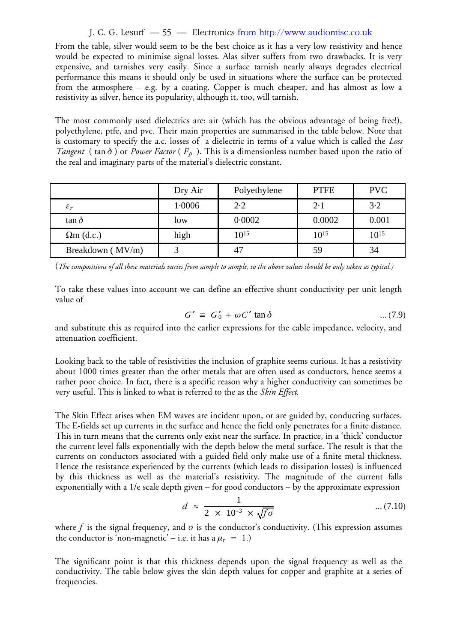#### J. C. G. Lesurf — 55 — Electronics from http://www.audiomisc.co.uk

From the table, silver would seem to be the best choice as it has a very low resistivity and hence would be expected to minimise signal losses. Alas silver suffers from two drawbacks. It is very expensive, and tarnishes very easily. Since a surface tarnish nearly always degrades electrical performance this means it should only be used in situations where the surface can be protected from the atmosphere – e.g. by a coating. Copper is much cheaper, and has almost as low a resistivity as silver, hence its popularity, although it, too, will tarnish.

The most commonly used dielectrics are: air (which has the obvious advantage of being free!), polyethylene, ptfe, and pvc. Their main properties are summarised in the table below. Note that is customary to specify the a.c. losses of a dielectric in terms of a value which is called the *Loss Tangent* ( $\tan \delta$ ) or *Power Factor* ( $F_p$ ). This is a dimensionless number based upon the ratio of the real and imaginary parts of the material's dielectric constant.

|                   | Dry Air | Polyethylene | <b>PTFE</b> | <b>PVC</b> |
|-------------------|---------|--------------|-------------|------------|
| $\varepsilon_r$   | 1.0006  | 2.2          | $2 \cdot 1$ | $3-2$      |
| $\tan \delta$     | low     | 0.0002       | 0.0002      | 0.001      |
| $\Omega$ m (d.c.) | high    | $10^{15}$    | $10^{15}$   | $10^{15}$  |
| Breakdown (MV/m)  |         | 47           | 59          | 34         |

(*The compositions of all these materials varies from sample to sample, so the above values should be only taken as typical.)*

To take these values into account we can define an effective shunt conductivity per unit length value of

$$
G' \equiv G'_0 + \omega C' \tan \delta \qquad \qquad \dots (7.9)
$$

and substitute this as required into the earlier expressions for the cable impedance, velocity, and attenuation coefficient.

Looking back to the table of resistivities the inclusion of graphite seems curious. It has a resistivity about 1000 times greater than the other metals that are often used as conductors, hence seems a rather poor choice. In fact, there is a specific reason why a higher conductivity can sometimes be very useful. This is linked to what is referred to the as the *Skin Effect*.

The Skin Effect arises when EM waves are incident upon, or are guided by, conducting surfaces. The E-fields set up currents in the surface and hence the field only penetrates for a finite distance. This in turn means that the currents only exist near the surface. In practice, in a 'thick' conductor the current level falls exponentially with the depth below the metal surface. The result is that the currents on conductors associated with a guided field only make use of a finite metal thickness. Hence the resistance experienced by the currents (which leads to dissipation losses) is influenced by this thickness as well as the material's resistivity. The magnitude of the current falls exponentially with a 1/e scale depth given – for good conductors – by the approximate expression

$$
d \approx \frac{1}{2 \times 10^{-3} \times \sqrt{f \sigma}}
$$
 ... (7.10)

where  $f$  is the signal frequency, and  $\sigma$  is the conductor's conductivity. (This expression assumes the conductor is 'non-magnetic' – i.e. it has a  $\mu_r = 1$ .)

The significant point is that this thickness depends upon the signal frequency as well as the conductivity. The table below gives the skin depth values for copper and graphite at a series of frequencies.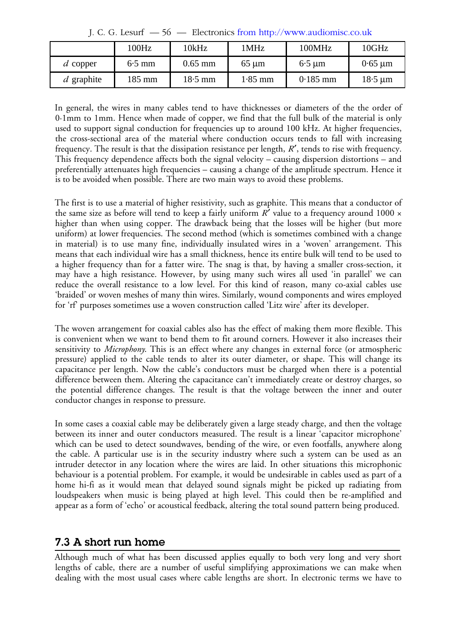|              | 100Hz    | 10kHz     | 1MHz       | 100MHz      | 10GHz        |
|--------------|----------|-----------|------------|-------------|--------------|
| $d$ copper   | $6.5$ mm | $0.65$ mm | $65 \mu m$ | $6.5 \mu m$ | $0.65 \mu m$ |
| $d$ graphite | 185 mm   | $18.5$ mm | $1.85$ mm  | $0.185$ mm  | $18.5 \mu m$ |

J. C. G. Lesurf — 56 — Electronics from http://www.audiomisc.co.uk

In general, the wires in many cables tend to have thicknesses or diameters of the the order of 0·1mm to 1mm. Hence when made of copper, we find that the full bulk of the material is only used to support signal conduction for frequencies up to around 100 kHz. At higher frequencies, the cross-sectional area of the material where conduction occurs tends to fall with increasing frequency. The result is that the dissipation resistance per length,  $R'$ , tends to rise with frequency. This frequency dependence affects both the signal velocity – causing dispersion distortions – and preferentially attenuates high frequencies – causing a change of the amplitude spectrum. Hence it is to be avoided when possible. There are two main ways to avoid these problems.

The first is to use a material of higher resistivity, such as graphite. This means that a conductor of the same size as before will tend to keep a fairly uniform  $R'$  value to a frequency around 1000  $\times$ higher than when using copper. The drawback being that the losses will be higher (but more uniform) at lower frequencies. The second method (which is sometimes combined with a change in material) is to use many fine, individually insulated wires in a 'woven' arrangement. This means that each individual wire has a small thickness, hence its entire bulk will tend to be used to a higher frequency than for a fatter wire. The snag is that, by having a smaller cross-section, it may have a high resistance. However, by using many such wires all used 'in parallel' we can reduce the overall resistance to a low level. For this kind of reason, many co-axial cables use 'braided' or woven meshes of many thin wires. Similarly, wound components and wires employed for 'rf' purposes sometimes use a woven construction called 'Litz wire' after its developer.

The woven arrangement for coaxial cables also has the effect of making them more flexible. This is convenient when we want to bend them to fit around corners. However it also increases their sensitivity to *Microphony*. This is an effect where any changes in external force (or atmospheric pressure) applied to the cable tends to alter its outer diameter, or shape. This will change its capacitance per length. Now the cable's conductors must be charged when there is a potential difference between them. Altering the capacitance can't immediately create or destroy charges, so the potential difference changes. The result is that the voltage between the inner and outer conductor changes in response to pressure.

In some cases a coaxial cable may be deliberately given a large steady charge, and then the voltage between its inner and outer conductors measured. The result is a linear 'capacitor microphone' which can be used to detect soundwaves, bending of the wire, or even footfalls, anywhere along the cable. A particular use is in the security industry where such a system can be used as an intruder detector in any location where the wires are laid. In other situations this microphonic behaviour is a potential problem. For example, it would be undesirable in cables used as part of a home hi-fi as it would mean that delayed sound signals might be picked up radiating from loudspeakers when music is being played at high level. This could then be re-amplified and appear as a form of 'echo' or acoustical feedback, altering the total sound pattern being produced.

# **7.3 A short run home**

Although much of what has been discussed applies equally to both very long and very short lengths of cable, there are a number of useful simplifying approximations we can make when dealing with the most usual cases where cable lengths are short. In electronic terms we have to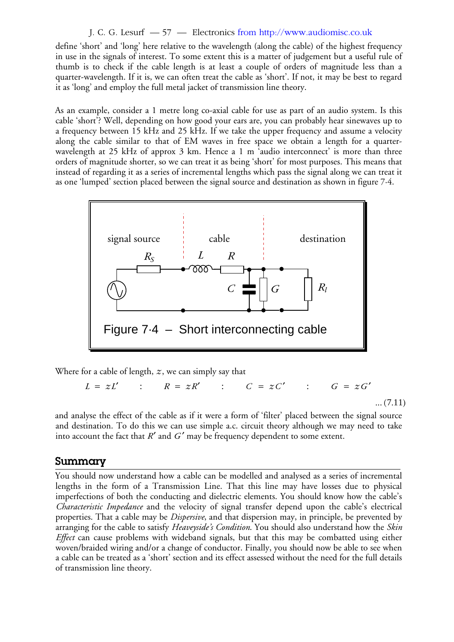#### J. C. G. Lesurf — 57 — Electronics from http://www.audiomisc.co.uk

define 'short' and 'long' here relative to the wavelength (along the cable) of the highest frequency in use in the signals of interest. To some extent this is a matter of judgement but a useful rule of thumb is to check if the cable length is at least a couple of orders of magnitude less than a quarter-wavelength. If it is, we can often treat the cable as 'short'. If not, it may be best to regard it as 'long' and employ the full metal jacket of transmission line theory.

As an example, consider a 1 metre long co-axial cable for use as part of an audio system. Is this cable 'short'? Well, depending on how good your ears are, you can probably hear sinewaves up to a frequency between 15 kHz and 25 kHz. If we take the upper frequency and assume a velocity along the cable similar to that of EM waves in free space we obtain a length for a quarterwavelength at 25 kHz of approx 3 km. Hence a 1 m 'audio interconnect' is more than three orders of magnitude shorter, so we can treat it as being 'short' for most purposes. This means that instead of regarding it as a series of incremental lengths which pass the signal along we can treat it as one 'lumped' section placed between the signal source and destination as shown in figure 7·4.



Where for a cable of length, *z*, we can simply say that

$$
L = zL' \qquad : \qquad R = zR' \qquad : \qquad C = zC' \qquad : \qquad G = zG' \qquad \qquad \dots (7.11)
$$

and analyse the effect of the cable as if it were a form of 'filter' placed between the signal source and destination. To do this we can use simple a.c. circuit theory although we may need to take into account the fact that  $R'$  and  $G'$  may be frequency dependent to some extent.

## **Summary**

You should now understand how a cable can be modelled and analysed as a series of incremental lengths in the form of a Transmission Line. That this line may have losses due to physical imperfections of both the conducting and dielectric elements. You should know how the cable's *Characteristic Impedance* and the velocity of signal transfer depend upon the cable's electrical properties. That a cable may be *Dispersive*, and that dispersion may, in principle, be prevented by arranging for the cable to satisfy *Heaveyside's Condition*. You should also understand how the *Skin Effect* can cause problems with wideband signals, but that this may be combatted using either woven/braided wiring and/or a change of conductor. Finally, you should now be able to see when a cable can be treated as a 'short' section and its effect assessed without the need for the full details of transmission line theory.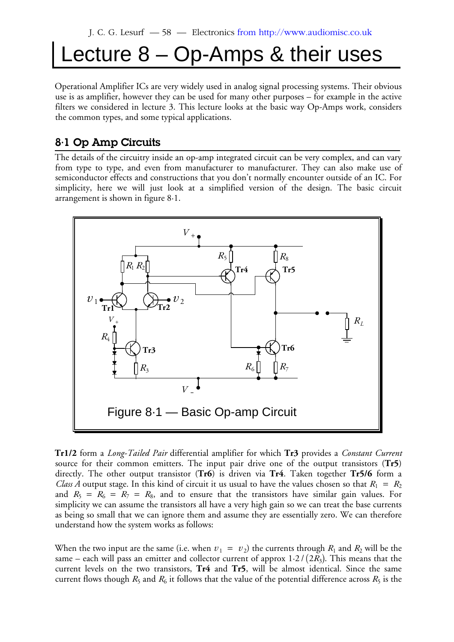# Lecture 8 – Op-Amps & their uses

Operational Amplifier ICs are very widely used in analog signal processing systems. Their obvious use is as amplifier, however they can be used for many other purposes – for example in the active filters we considered in lecture 3. This lecture looks at the basic way Op-Amps work, considers the common types, and some typical applications.

# **8·1 Op Amp Circuits**

The details of the circuitry inside an op-amp integrated circuit can be very complex, and can vary from type to type, and even from manufacturer to manufacturer. They can also make use of semiconductor effects and constructions that you don't normally encounter outside of an IC. For simplicity, here we will just look at a simplified version of the design. The basic circuit arrangement is shown in figure 8·1.



**Tr1/2** form a *Long-Tailed Pair* differential amplifier for which **Tr3** provides a *Constant Current* source for their common emitters. The input pair drive one of the output transistors (**Tr5**) directly. The other output transistor (**Tr6**) is driven via **Tr4**. Taken together **Tr5/6** form a *Class A* output stage. In this kind of circuit it us usual to have the values chosen so that  $R_1 = R_2$ and  $R_5 = R_6 = R_7 = R_8$ , and to ensure that the transistors have similar gain values. For simplicity we can assume the transistors all have a very high gain so we can treat the base currents as being so small that we can ignore them and assume they are essentially zero. We can therefore understand how the system works as follows:

When the two input are the same (i.e. when  $v_1 = v_2$ ) the currents through  $R_1$  and  $R_2$  will be the same – each will pass an emitter and collector current of approx  $1\!\cdot\!2$  /  $(2R_3)$ . This means that the current levels on the two transistors, **Tr4** and **Tr5**, will be almost identical. Since the same current flows though  $R_5$  and  $R_6$  it follows that the value of the potential difference across  $R_5$  is the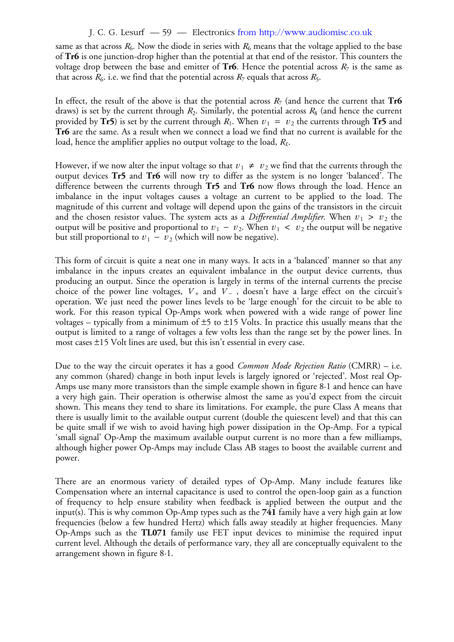#### J. C. G. Lesurf — 59 — Electronics from http://www.audiomisc.co.uk

same as that across  $R_6$ . Now the diode in series with  $R_6$  means that the voltage applied to the base of **Tr6** is one junction-drop higher than the potential at that end of the resistor. This counters the voltage drop between the base and emitter of  ${\rm Tr6}.$  Hence the potential across  $R_7$  is the same as that across  $R_6$ , i.e. we find that the potential across  $R_7$  equals that across  $R_5$ .

In effect, the result of the above is that the potential across  $R_7$  (and hence the current that  $\textbf{Tr6}$ draws) is set by the current through  $R_2$ . Similarly, the potential across  $R_8$  (and hence the current provided by **Tr5**) is set by the current through  $R_1$ . When  $v_1 = v_2$  the currents through **Tr5** and **Tr6** are the same. As a result when we connect a load we find that no current is available for the load, hence the amplifier applies no output voltage to the load,  $R_L$ .

However, if we now alter the input voltage so that  $v_1 \neq v_2$  we find that the currents through the output devices **Tr5** and **Tr6** will now try to differ as the system is no longer 'balanced'. The difference between the currents through **Tr5** and **Tr6** now flows through the load. Hence an imbalance in the input voltages causes a voltage an current to be applied to the load. The magnitude of this current and voltage will depend upon the gains of the transistors in the circuit and the chosen resistor values. The system acts as a *Differential Amplifier*. When  $v_1 > v_2$  the output will be positive and proportional to  $v_1 - v_2$ . When  $v_1 < v_2$  the output will be negative but still proportional to  $v_1 - v_2$  (which will now be negative).

This form of circuit is quite a neat one in many ways. It acts in a 'balanced' manner so that any imbalance in the inputs creates an equivalent imbalance in the output device currents, thus producing an output. Since the operation is largely in terms of the internal currents the precise choice of the power line voltages,  $V_+$  and  $V_-$  , doesn't have a large effect on the circuit's operation. We just need the power lines levels to be 'large enough' for the circuit to be able to work. For this reason typical Op-Amps work when powered with a wide range of power line voltages – typically from a minimum of  $\pm$ 5 to  $\pm$ 15 Volts. In practice this usually means that the output is limited to a range of voltages a few volts less than the range set by the power lines. In most cases  $\pm 15$  Volt lines are used, but this isn't essential in every case.

Due to the way the circuit operates it has a good *Common Mode Rejection Ratio* (CMRR) – i.e. any common (shared) change in both input levels is largely ignored or 'rejected'. Most real Op-Amps use many more transistors than the simple example shown in figure 8·1 and hence can have a very high gain. Their operation is otherwise almost the same as you'd expect from the circuit shown. This means they tend to share its limitations. For example, the pure Class A means that there is usually limit to the available output current (double the quiescent level) and that this can be quite small if we wish to avoid having high power dissipation in the Op-Amp. For a typical 'small signal' Op-Amp the maximum available output current is no more than a few milliamps, although higher power Op-Amps may include Class AB stages to boost the available current and power.

There are an enormous variety of detailed types of Op-Amp. Many include features like Compensation where an internal capacitance is used to control the open-loop gain as a function of frequency to help ensure stability when feedback is applied between the output and the input(s). This is why common Op-Amp types such as the **741** family have a very high gain at low frequencies (below a few hundred Hertz) which falls away steadily at higher frequencies. Many Op-Amps such as the **TL071** family use FET input devices to minimise the required input current level. Although the details of performance vary, they all are conceptually equivalent to the arrangement shown in figure 8·1.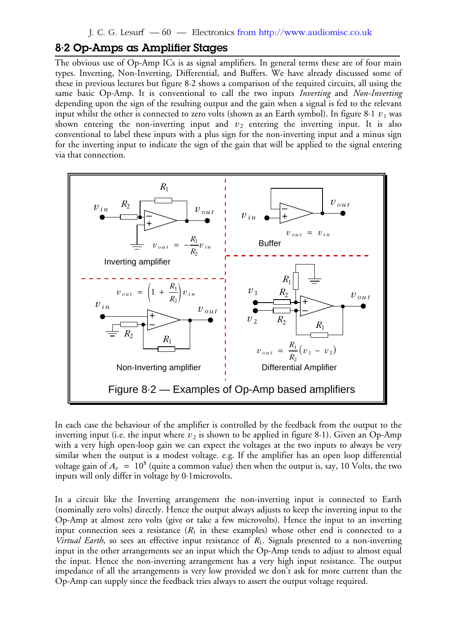## **8·2 Op-Amps as Amplifier Stages**

The obvious use of Op-Amp ICs is as signal amplifiers. In general terms these are of four main types. Inverting, Non-Inverting, Differential, and Buffers. We have already discussed some of these in previous lectures but figure 8·2 shows a comparison of the required circuits, all using the same basic Op-Amp. It is conventional to call the two inputs *Inverting* and *Non-Inverting* depending upon the sign of the resulting output and the gain when a signal is fed to the relevant input whilst the other is connected to zero volts (shown as an Earth symbol). In figure 8 $\cdot$ 1  $\,v_{\,1}$  was shown entering the non-inverting input and  $v_2$  entering the inverting input. It is also conventional to label these inputs with a plus sign for the non-inverting input and a minus sign for the inverting input to indicate the sign of the gain that will be applied to the signal entering via that connection.



In each case the behaviour of the amplifier is controlled by the feedback from the output to the inverting input (i.e. the input where  $v_2$  is shown to be applied in figure 8·1). Given an Op-Amp with a very high open-loop gain we can expect the voltages at the two inputs to always be very similar when the output is a modest voltage. e.g. If the amplifier has an open loop differential voltage gain of  $A_v\ =\ 10^8$  (quite a common value) then when the output is, say, 10 Volts, the two inputs will only differ in voltage by 0·1microvolts.

In a circuit like the Inverting arrangement the non-inverting input is connected to Earth (nominally zero volts) directly. Hence the output always adjusts to keep the inverting input to the Op-Amp at almost zero volts (give or take a few microvolts). Hence the input to an inverting input connection sees a resistance  $(R_1$  in these examples) whose other end is connected to a *Virtual Earth*, so sees an effective input resistance of R<sub>1</sub>. Signals presented to a non-inverting input in the other arrangements see an input which the Op-Amp tends to adjust to almost equal the input. Hence the non-inverting arrangement has a very high input resistance. The output impedance of all the arrangements is very low provided we don't ask for more current than the Op-Amp can supply since the feedback tries always to assert the output voltage required.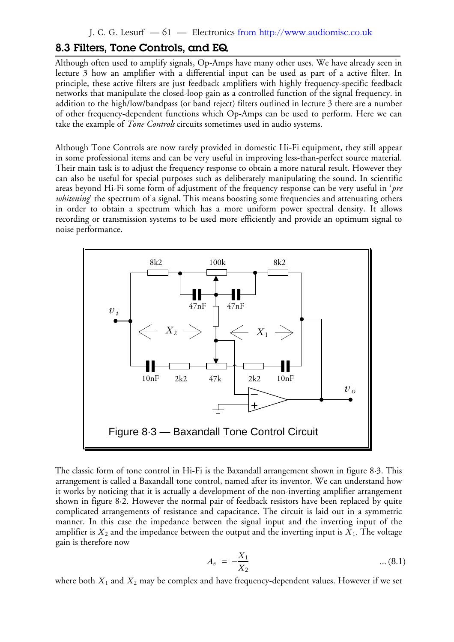## **8.3 Filters, Tone Controls, and EQ**

Although often used to amplify signals, Op-Amps have many other uses. We have already seen in lecture 3 how an amplifier with a differential input can be used as part of a active filter. In principle, these active filters are just feedback amplifiers with highly frequency-specific feedback networks that manipulate the closed-loop gain as a controlled function of the signal frequency. in addition to the high/low/bandpass (or band reject) filters outlined in lecture 3 there are a number of other frequency-dependent functions which Op-Amps can be used to perform. Here we can take the example of *Tone Controls* circuits sometimes used in audio systems.

Although Tone Controls are now rarely provided in domestic Hi-Fi equipment, they still appear in some professional items and can be very useful in improving less-than-perfect source material. Their main task is to adjust the frequency response to obtain a more natural result. However they can also be useful for special purposes such as deliberately manipulating the sound. In scientific areas beyond Hi-Fi some form of adjustment of the frequency response can be very useful in '*pre whitening*' the spectrum of a signal. This means boosting some frequencies and attenuating others in order to obtain a spectrum which has a more uniform power spectral density. It allows recording or transmission systems to be used more efficiently and provide an optimum signal to noise performance.



The classic form of tone control in Hi-Fi is the Baxandall arrangement shown in figure 8·3. This arrangement is called a Baxandall tone control, named after its inventor. We can understand how it works by noticing that it is actually a development of the non-inverting amplifier arrangement shown in figure 8·2. However the normal pair of feedback resistors have been replaced by quite complicated arrangements of resistance and capacitance. The circuit is laid out in a symmetric manner. In this case the impedance between the signal input and the inverting input of the amplifier is  $X_2$  and the impedance between the output and the inverting input is  $X_1.$  The voltage gain is therefore now

$$
A_v = -\frac{X_1}{X_2} \tag{8.1}
$$

where both  $X_1$  and  $X_2$  may be complex and have frequency-dependent values. However if we set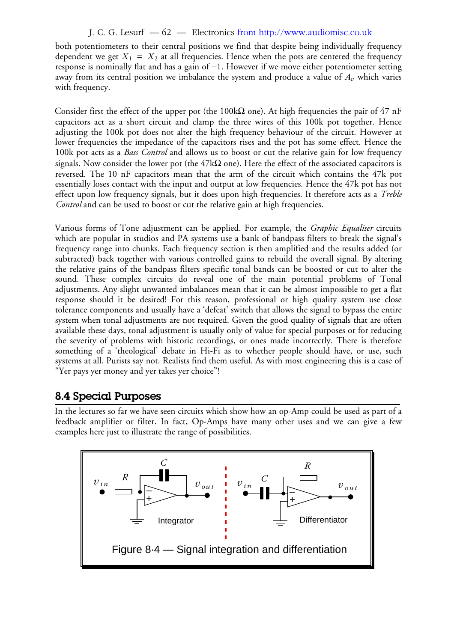### J. C. G. Lesurf — 62 — Electronics from http://www.audiomisc.co.uk

both potentiometers to their central positions we find that despite being individually frequency dependent we get  $X_1 = X_2$  at all frequencies. Hence when the pots are centered the frequency response is nominally flat and has a gain of -1. However if we move either potentiometer setting away from its central position we imbalance the system and produce a value of  $A_v$  which varies with frequency.

Consider first the effect of the upper pot (the 100k $\Omega$  one). At high frequencies the pair of 47 nF capacitors act as a short circuit and clamp the three wires of this 100k pot together. Hence adjusting the 100k pot does not alter the high frequency behaviour of the circuit. However at lower frequencies the impedance of the capacitors rises and the pot has some effect. Hence the 100k pot acts as a *Bass Control* and allows us to boost or cut the relative gain for low frequency signals. Now consider the lower pot (the 47k $\Omega$  one). Here the effect of the associated capacitors is reversed. The 10 nF capacitors mean that the arm of the circuit which contains the 47k pot essentially loses contact with the input and output at low frequencies. Hence the 47k pot has not effect upon low frequency signals, but it does upon high frequencies. It therefore acts as a *Treble Control* and can be used to boost or cut the relative gain at high frequencies.

Various forms of Tone adjustment can be applied. For example, the *Graphic Equaliser* circuits which are popular in studios and PA systems use a bank of bandpass filters to break the signal's frequency range into chunks. Each frequency section is then amplified and the results added (or subtracted) back together with various controlled gains to rebuild the overall signal. By altering the relative gains of the bandpass filters specific tonal bands can be boosted or cut to alter the sound. These complex circuits do reveal one of the main potential problems of Tonal adjustments. Any slight unwanted imbalances mean that it can be almost impossible to get a flat response should it be desired! For this reason, professional or high quality system use close tolerance components and usually have a 'defeat' switch that allows the signal to bypass the entire system when tonal adjustments are not required. Given the good quality of signals that are often available these days, tonal adjustment is usually only of value for special purposes or for reducing the severity of problems with historic recordings, or ones made incorrectly. There is therefore something of a 'theological' debate in Hi-Fi as to whether people should have, or use, such systems at all. Purists say not. Realists find them useful. As with most engineering this is a case of "Yer pays yer money and yer takes yer choice"!

## **8.4 Special Purposes**

In the lectures so far we have seen circuits which show how an op-Amp could be used as part of a feedback amplifier or filter. In fact, Op-Amps have many other uses and we can give a few examples here just to illustrate the range of possibilities.

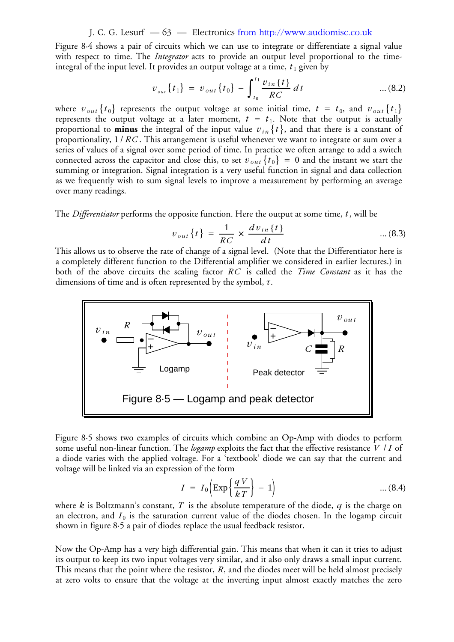#### J. C. G. Lesurf — 63 — Electronics from http://www.audiomisc.co.uk

Figure 8·4 shows a pair of circuits which we can use to integrate or differentiate a signal value with respect to time. The *Integrator* acts to provide an output level proportional to the timeintegral of the input level. It provides an output voltage at a time,  $t_1$  given by

$$
v_{_{out}}\{t_1\} = v_{_{out}}\{t_0\} - \int_{t_0}^{t_1} \frac{v_{in}\{t\}}{RC} dt \qquad \qquad \dots (8.2)
$$

where  $v_{out}$  { $t_0$ } represents the output voltage at some initial time,  $t = t_0$ , and  $v_{out}$  { $t_1$ } represents the output voltage at a later moment,  $t = t_1$ . Note that the output is actually proportional to **minus** the integral of the input value  $v_{in}$  {*t* }, and that there is a constant of proportionality,  $1/\mathit{RC}$  . This arrangement is useful whenever we want to integrate or sum over a series of values of a signal over some period of time. In practice we often arrange to add a switch connected across the capacitor and close this, to set  $v_{out}$  { $t_0$ } = 0 and the instant we start the summing or integration. Signal integration is a very useful function in signal and data collection as we frequently wish to sum signal levels to improve a measurement by performing an average over many readings.

The *Differentiator* performs the opposite function. Here the output at some time, *t* , will be

$$
v_{out}\{t\} = \frac{1}{RC} \times \frac{dv_{in}\{t\}}{dt}
$$
...(8.3)

This allows us to observe the rate of change of a signal level. (Note that the Differentiator here is a completely different function to the Differential amplifier we considered in earlier lectures.) in both of the above circuits the scaling factor RC is called the *Time Constant* as it has the dimensions of time and is often represented by the symbol, τ.



Figure 8·5 shows two examples of circuits which combine an Op-Amp with diodes to perform some useful non-linear function. The *logamp* exploits the fact that the effective resistance *V | I* of a diode varies with the applied voltage. For a 'textbook' diode we can say that the current and voltage will be linked via an expression of the form

$$
I = I_0 \left( \exp\left\{ \frac{qV}{kT} \right\} - 1 \right) \tag{8.4}
$$

where  $k$  is Boltzmann's constant,  $T$  is the absolute temperature of the diode,  $q$  is the charge on an electron, and  $I_0$  is the saturation current value of the diodes chosen. In the logamp circuit shown in figure 8·5 a pair of diodes replace the usual feedback resistor.

Now the Op-Amp has a very high differential gain. This means that when it can it tries to adjust its output to keep its two input voltages very similar, and it also only draws a small input current. This means that the point where the resistor,  $R$ , and the diodes meet will be held almost precisely at zero volts to ensure that the voltage at the inverting input almost exactly matches the zero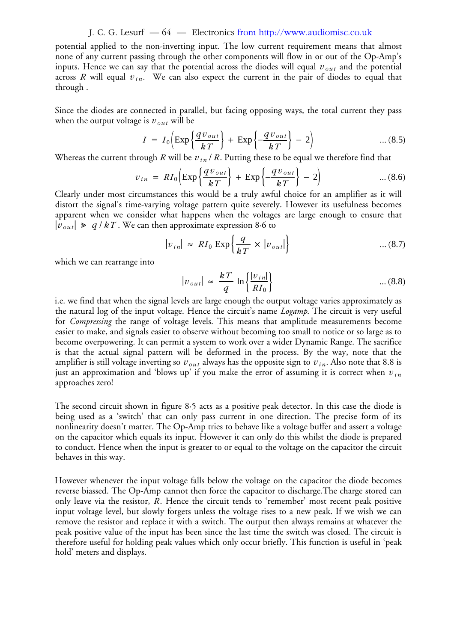#### J. C. G. Lesurf — 64 — Electronics from http://www.audiomisc.co.uk

potential applied to the non-inverting input. The low current requirement means that almost none of any current passing through the other components will flow in or out of the Op-Amp's inputs. Hence we can say that the potential across the diodes will equal  $v_{\mathit{out}}$  and the potential across R will equal  $v_{\mathit{in}}$ . We can also expect the current in the pair of diodes to equal that through .

Since the diodes are connected in parallel, but facing opposing ways, the total current they pass when the output voltage is  $\overline{v}_{\mathit{out}}$  will be

$$
I = I_0 \left( \exp\left\{ \frac{q v_{out}}{kT} \right\} + \exp\left\{ -\frac{q v_{out}}{kT} \right\} - 2 \right) \tag{8.5}
$$

Whereas the current through *R* will be  $v_{in}$  / *R*. Putting these to be equal we therefore find that

$$
v_{in} = RI_0 \left( \exp\left\{ \frac{qv_{out}}{kT} \right\} + \exp\left\{ -\frac{qv_{out}}{kT} \right\} - 2 \right) \tag{8.6}
$$

Clearly under most circumstances this would be a truly awful choice for an amplifier as it will distort the signal's time-varying voltage pattern quite severely. However its usefulness becomes apparent when we consider what happens when the voltages are large enough to ensure that  $|v_{out}| \geq q/kT$ . We can then approximate expression 8.6 to

$$
|v_{in}| \approx R I_0 \exp\left\{\frac{q}{kT} \times |v_{out}|\right\} \tag{8.7}
$$

which we can rearrange into

$$
|v_{out}| \approx \frac{kT}{q} \ln \left\{ \frac{|v_{in}|}{R I_0} \right\} \tag{8.8}
$$

i.e. we find that when the signal levels are large enough the output voltage varies approximately as the natural log of the input voltage. Hence the circuit's name *Logamp*. The circuit is very useful for *Compressing* the range of voltage levels. This means that amplitude measurements become easier to make, and signals easier to observe without becoming too small to notice or so large as to become overpowering. It can permit a system to work over a wider Dynamic Range. The sacrifice is that the actual signal pattern will be deformed in the process. By the way, note that the amplifier is still voltage inverting so  $v_{\mathit{out}}$  always has the opposite sign to  $v_{\mathit{in}}.$  Also note that 8.8 is just an approximation and 'blows up' if you make the error of assuming it is correct when  $v_{\mathit{in}}$ approaches zero!

The second circuit shown in figure 8·5 acts as a positive peak detector. In this case the diode is being used as a 'switch' that can only pass current in one direction. The precise form of its nonlinearity doesn't matter. The Op-Amp tries to behave like a voltage buffer and assert a voltage on the capacitor which equals its input. However it can only do this whilst the diode is prepared to conduct. Hence when the input is greater to or equal to the voltage on the capacitor the circuit behaves in this way.

However whenever the input voltage falls below the voltage on the capacitor the diode becomes reverse biassed. The Op-Amp cannot then force the capacitor to discharge.The charge stored can only leave via the resistor, R. Hence the circuit tends to 'remember' most recent peak positive input voltage level, but slowly forgets unless the voltage rises to a new peak. If we wish we can remove the resistor and replace it with a switch. The output then always remains at whatever the peak positive value of the input has been since the last time the switch was closed. The circuit is therefore useful for holding peak values which only occur briefly. This function is useful in 'peak hold' meters and displays.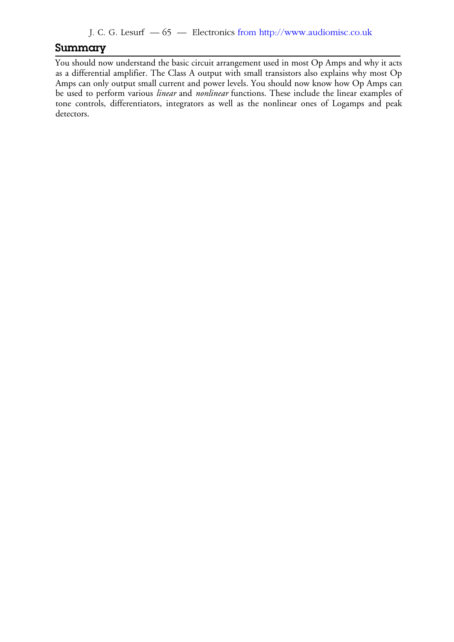## **Summary**

You should now understand the basic circuit arrangement used in most Op Amps and why it acts as a differential amplifier. The Class A output with small transistors also explains why most Op Amps can only output small current and power levels. You should now know how Op Amps can be used to perform various *linear* and *nonlinear* functions. These include the linear examples of tone controls, differentiators, integrators as well as the nonlinear ones of Logamps and peak detectors.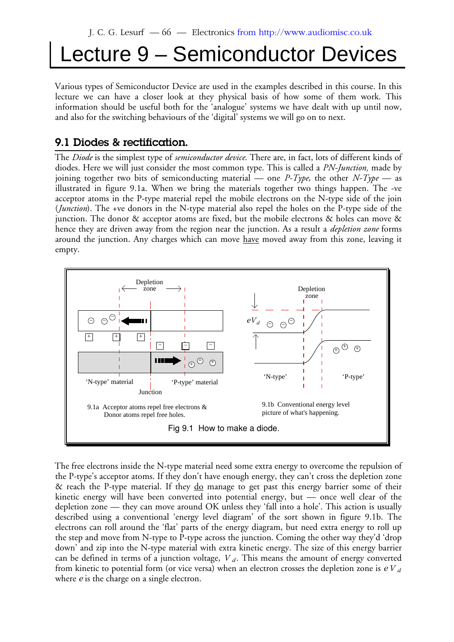# Lecture 9 – Semiconductor Devices

Various types of Semiconductor Device are used in the examples described in this course. In this lecture we can have a closer look at they physical basis of how some of them work. This information should be useful both for the 'analogue' systems we have dealt with up until now, and also for the switching behaviours of the 'digital' systems we will go on to next.

# **9.1 Diodes & rectification.**

The *Diode* is the simplest type of *semiconductor device*. There are, in fact, lots of different kinds of diodes. Here we will just consider the most common type. This is called a *PN-Junction,* made by joining together two bits of semiconducting material — one *P-Type*, the other *N-Type* — as illustrated in figure 9.1a. When we bring the materials together two things happen. The -ve acceptor atoms in the P-type material repel the mobile electrons on the N-type side of the join (*Junction*). The +ve donors in the N-type material also repel the holes on the P-type side of the junction. The donor & acceptor atoms are fixed, but the mobile electrons & holes can move & hence they are driven away from the region near the junction. As a result a *depletion zone* forms around the junction. Any charges which can move have moved away from this zone, leaving it empty.



The free electrons inside the N-type material need some extra energy to overcome the repulsion of the P-type's acceptor atoms. If they don't have enough energy, they can't cross the depletion zone & reach the P-type material. If they  $\underline{do}$  manage to get past this energy barrier some of their kinetic energy will have been converted into potential energy, but — once well clear of the depletion zone — they can move around OK unless they 'fall into a hole'. This action is usually described using a conventional 'energy level diagram' of the sort shown in figure 9.1b. The electrons can roll around the 'flat' parts of the energy diagram, but need extra energy to roll up the step and move from N-type to P-type across the junction. Coming the other way they'd 'drop down' and zip into the N-type material with extra kinetic energy. The size of this energy barrier can be defined in terms of a junction voltage,  $V_d$ . This means the amount of energy converted from kinetic to potential form (or vice versa) when an electron crosses the depletion zone is  $\emph{eV}_{d}$ where *e* is the charge on a single electron.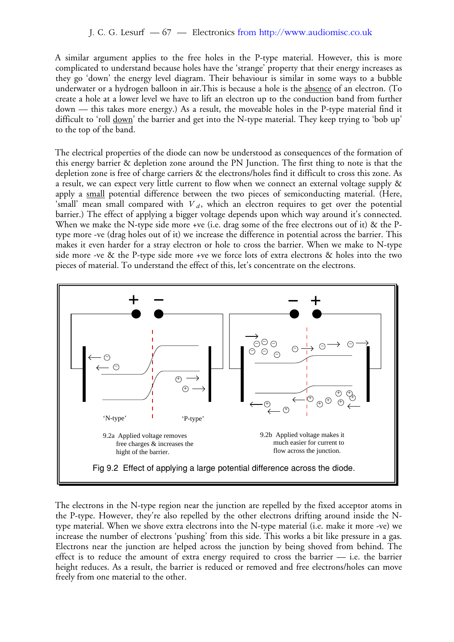A similar argument applies to the free holes in the P-type material. However, this is more complicated to understand because holes have the 'strange' property that their energy increases as they go 'down' the energy level diagram. Their behaviour is similar in some ways to a bubble underwater or a hydrogen balloon in air.This is because a hole is the absence of an electron. (To create a hole at a lower level we have to lift an electron up to the conduction band from further down — this takes more energy.) As a result, the moveable holes in the P-type material find it difficult to 'roll down' the barrier and get into the N-type material. They keep trying to 'bob up' to the top of the band.

The electrical properties of the diode can now be understood as consequences of the formation of this energy barrier & depletion zone around the PN Junction. The first thing to note is that the depletion zone is free of charge carriers & the electrons/holes find it difficult to cross this zone. As a result, we can expect very little current to flow when we connect an external voltage supply & apply a small potential difference between the two pieces of semiconducting material. (Here, 'small' mean small compared with  $V_d$ , which an electron requires to get over the potential barrier.) The effect of applying a bigger voltage depends upon which way around it's connected. When we make the N-type side more +ve (i.e. drag some of the free electrons out of it) & the Ptype more -ve (drag holes out of it) we increase the difference in potential across the barrier. This makes it even harder for a stray electron or hole to cross the barrier. When we make to N-type side more -ve & the P-type side more +ve we force lots of extra electrons & holes into the two pieces of material. To understand the effect of this, let's concentrate on the electrons.



The electrons in the N-type region near the junction are repelled by the fixed acceptor atoms in the P-type. However, they're also repelled by the other electrons drifting around inside the Ntype material. When we shove extra electrons into the N-type material (i.e. make it more -ve) we increase the number of electrons 'pushing' from this side. This works a bit like pressure in a gas. Electrons near the junction are helped across the junction by being shoved from behind. The effect is to reduce the amount of extra energy required to cross the barrier — i.e. the barrier height reduces. As a result, the barrier is reduced or removed and free electrons/holes can move freely from one material to the other.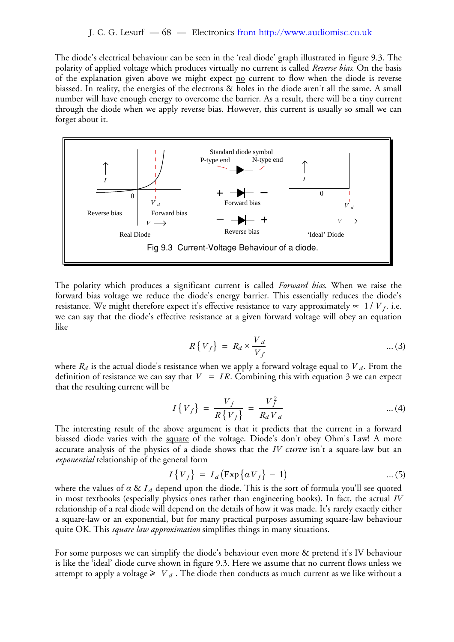The diode's electrical behaviour can be seen in the 'real diode' graph illustrated in figure 9.3. The polarity of applied voltage which produces virtually no current is called *Reverse bias*. On the basis of the explanation given above we might expect  $\underline{no}$  current to flow when the diode is reverse biassed. In reality, the energies of the electrons & holes in the diode aren't all the same. A small number will have enough energy to overcome the barrier. As a result, there will be a tiny current through the diode when we apply reverse bias. However, this current is usually so small we can forget about it.



The polarity which produces a significant current is called *Forward bias*. When we raise the forward bias voltage we reduce the diode's energy barrier. This essentially reduces the diode's resistance. We might therefore expect it's effective resistance to vary approximately  $\in$  1/ $V_f$ . i.e. we can say that the diode's effective resistance at a given forward voltage will obey an equation like

$$
R\{V_f\} = R_d \times \frac{V_d}{V_f} \tag{3}
$$

where  $R_d$  is the actual diode's resistance when we apply a forward voltage equal to  $\overline{V}_d.$  From the definition of resistance we can say that  $V = IR$ . Combining this with equation 3 we can expect that the resulting current will be

$$
I\{V_f\} = \frac{V_f}{R\{V_f\}} = \frac{V_f^2}{R_d V_d} \qquad \qquad \dots (4)
$$

The interesting result of the above argument is that it predicts that the current in a forward biassed diode varies with the square of the voltage. Diode's don't obey Ohm's Law! A more accurate analysis of the physics of a diode shows that the *IV curve* isn't a square-law but an *exponential* relationship of the general form

$$
I\{V_f\} = I_d \left( \exp\left\{ \alpha V_f \right\} - 1 \right) \tag{5}
$$

where the values of  $\alpha$  &  $I_d$  depend upon the diode. This is the sort of formula you'll see quoted in most textbooks (especially physics ones rather than engineering books). In fact, the actual *IV* relationship of a real diode will depend on the details of how it was made. It's rarely exactly either a square-law or an exponential, but for many practical purposes assuming square-law behaviour quite OK. This *square law approximation* simplifies things in many situations.

For some purposes we can simplify the diode's behaviour even more & pretend it's IV behaviour is like the 'ideal' diode curve shown in figure 9.3. Here we assume that no current flows unless we attempt to apply a voltage  $\geq V_d$ . The diode then conducts as much current as we like without a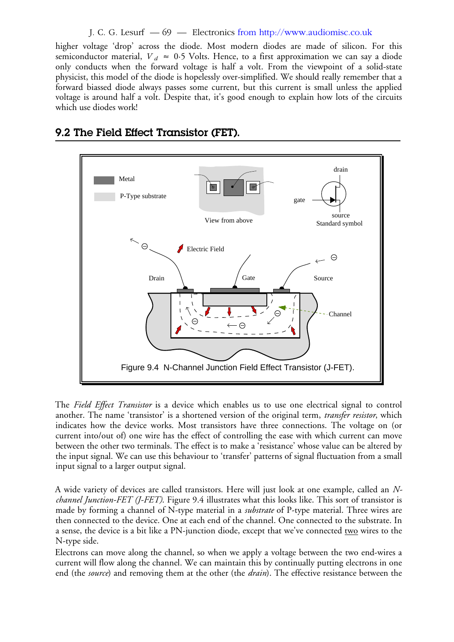J. C. G. Lesurf — 69 — Electronics from http://www.audiomisc.co.uk

higher voltage 'drop' across the diode. Most modern diodes are made of silicon. For this semiconductor material,  $V_d \approx 0.5$  Volts. Hence, to a first approximation we can say a diode only conducts when the forward voltage is half a volt. From the viewpoint of a solid-state physicist, this model of the diode is hopelessly over-simplified. We should really remember that a forward biassed diode always passes some current, but this current is small unless the applied voltage is around half a volt. Despite that, it's good enough to explain how lots of the circuits which use diodes work!



# **9.2 The Field Effect Transistor (FET).**

The *Field Effect Transistor* is a device which enables us to use one electrical signal to control another. The name 'transistor' is a shortened version of the original term, *transfer resistor*, which indicates how the device works. Most transistors have three connections. The voltage on (or current into/out of) one wire has the effect of controlling the ease with which current can move between the other two terminals. The effect is to make a 'resistance' whose value can be altered by the input signal. We can use this behaviour to 'transfer' patterns of signal fluctuation from a small input signal to a larger output signal.

A wide variety of devices are called transistors. Here will just look at one example, called an *Nchannel Junction-FET (J-FET)*. Figure 9.4 illustrates what this looks like. This sort of transistor is made by forming a channel of N-type material in a *substrate* of P-type material. Three wires are then connected to the device. One at each end of the channel. One connected to the substrate. In a sense, the device is a bit like a PN-junction diode, except that we've connected two wires to the N-type side.

Electrons can move along the channel, so when we apply a voltage between the two end-wires a current will flow along the channel. We can maintain this by continually putting electrons in one end (the *source*) and removing them at the other (the *drain*). The effective resistance between the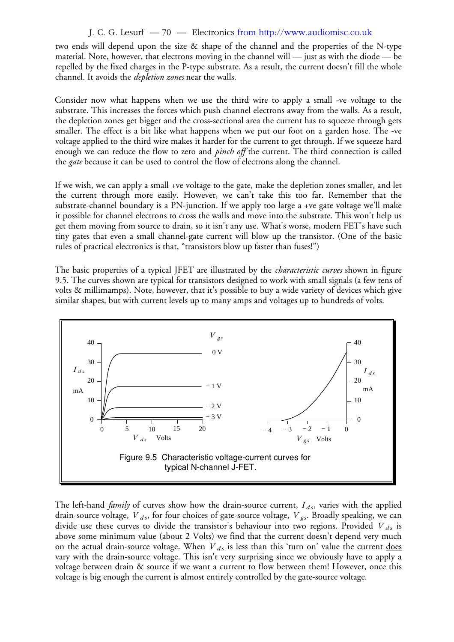#### J. C. G. Lesurf — 70 — Electronics from http://www.audiomisc.co.uk

two ends will depend upon the size & shape of the channel and the properties of the N-type material. Note, however, that electrons moving in the channel will — just as with the diode — be repelled by the fixed charges in the P-type substrate. As a result, the current doesn't fill the whole channel. It avoids the *depletion zones* near the walls.

Consider now what happens when we use the third wire to apply a small -ve voltage to the substrate. This increases the forces which push channel electrons away from the walls. As a result, the depletion zones get bigger and the cross-sectional area the current has to squeeze through gets smaller. The effect is a bit like what happens when we put our foot on a garden hose. The -ve voltage applied to the third wire makes it harder for the current to get through. If we squeeze hard enough we can reduce the flow to zero and *pinch off* the current. The third connection is called the *gate* because it can be used to control the flow of electrons along the channel.

If we wish, we can apply a small +ve voltage to the gate, make the depletion zones smaller, and let the current through more easily. However, we can't take this too far. Remember that the substrate-channel boundary is a PN-junction. If we apply too large a +ve gate voltage we'll make it possible for channel electrons to cross the walls and move into the substrate. This won't help us get them moving from source to drain, so it isn't any use. What's worse, modern FET's have such tiny gates that even a small channel-gate current will blow up the transistor. (One of the basic rules of practical electronics is that, "transistors blow up faster than fuses!")

The basic properties of a typical JFET are illustrated by the *characteristic curves* shown in figure 9.5. The curves shown are typical for transistors designed to work with small signals (a few tens of volts & millimamps). Note, however, that it's possible to buy a wide variety of devices which give similar shapes, but with current levels up to many amps and voltages up to hundreds of volts.



The left-hand *family* of curves show how the drain-source current,  $I_{ds}$ , varies with the applied drain-source voltage,  $V$ <sub>ds</sub>, for four choices of gate-source voltage,  $V$ <sub>gs</sub>. Broadly speaking, we can divide use these curves to divide the transistor's behaviour into two regions. Provided V<sub>ds</sub> is above some minimum value (about 2 Volts) we find that the current doesn't depend very much on the actual drain-source voltage. When  $V_{ds}$  is less than this 'turn on' value the current <u>does</u> vary with the drain-source voltage. This isn't very surprising since we obviously have to apply a voltage between drain & source if we want a current to flow between them! However, once this voltage is big enough the current is almost entirely controlled by the gate-source voltage.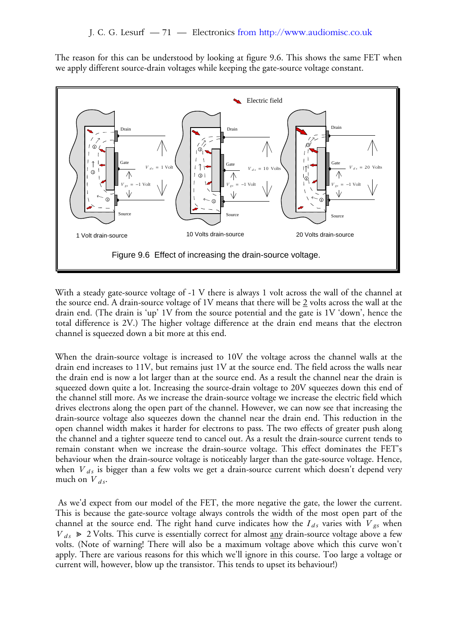The reason for this can be understood by looking at figure 9.6. This shows the same FET when we apply different source-drain voltages while keeping the gate-source voltage constant.



With a steady gate-source voltage of -1 V there is always 1 volt across the wall of the channel at the source end. A drain-source voltage of 1V means that there will be 2 volts across the wall at the drain end. (The drain is 'up' 1V from the source potential and the gate is 1V 'down', hence the total difference is 2V.) The higher voltage difference at the drain end means that the electron channel is squeezed down a bit more at this end.

When the drain-source voltage is increased to 10V the voltage across the channel walls at the drain end increases to 11V, but remains just 1V at the source end. The field across the walls near the drain end is now a lot larger than at the source end. As a result the channel near the drain is squeezed down quite a lot. Increasing the source-drain voltage to 20V squeezes down this end of the channel still more. As we increase the drain-source voltage we increase the electric field which drives electrons along the open part of the channel. However, we can now see that increasing the drain-source voltage also squeezes down the channel near the drain end. This reduction in the open channel width makes it harder for electrons to pass. The two effects of greater push along the channel and a tighter squeeze tend to cancel out. As a result the drain-source current tends to remain constant when we increase the drain-source voltage. This effect dominates the FET's behaviour when the drain-source voltage is noticeably larger than the gate-source voltage. Hence, when  $\emph{V}_{ds}$  is bigger than a few volts we get a drain-source current which doesn't depend very much on  $V_{ds}$ .

 As we'd expect from our model of the FET, the more negative the gate, the lower the current. This is because the gate-source voltage always controls the width of the most open part of the channel at the source end. The right hand curve indicates how the  $I_{ds}$  varies with  $V_{gs}$  when  $V_{ds} \ge 2$  Volts. This curve is essentially correct for almost <u>any</u> drain-source voltage above a few volts. (Note of warning! There will also be a maximum voltage above which this curve won't apply. There are various reasons for this which we'll ignore in this course. Too large a voltage or current will, however, blow up the transistor. This tends to upset its behaviour!)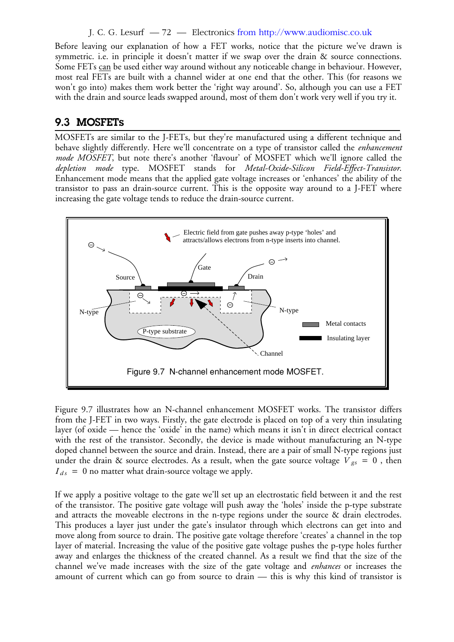J. C. G. Lesurf — 72 — Electronics from http://www.audiomisc.co.uk

Before leaving our explanation of how a FET works, notice that the picture we've drawn is symmetric. i.e. in principle it doesn't matter if we swap over the drain & source connections. Some FETs can be used either way around without any noticeable change in behaviour. However, most real FETs are built with a channel wider at one end that the other. This (for reasons we won't go into) makes them work better the 'right way around'. So, although you can use a FET with the drain and source leads swapped around, most of them don't work very well if you try it.

## **9.3 MOSFETs**

MOSFETs are similar to the J-FETs, but they're manufactured using a different technique and behave slightly differently. Here we'll concentrate on a type of transistor called the *enhancement mode MOSFET*, but note there's another 'flavour' of MOSFET which we'll ignore called the *depletion mode* type. MOSFET stands for *Metal-Oxide-Silicon Field-Effect-Transistor*. Enhancement mode means that the applied gate voltage increases or 'enhances' the ability of the transistor to pass an drain-source current. This is the opposite way around to a J-FET where increasing the gate voltage tends to reduce the drain-source current.



Figure 9.7 illustrates how an N-channel enhancement MOSFET works. The transistor differs from the J-FET in two ways. Firstly, the gate electrode is placed on top of a very thin insulating layer (of oxide — hence the 'oxide' in the name) which means it isn't in direct electrical contact with the rest of the transistor. Secondly, the device is made without manufacturing an N-type doped channel between the source and drain. Instead, there are a pair of small N-type regions just under the drain & source electrodes. As a result, when the gate source voltage  $V_{gs} = 0$ , then  $I_{ds} = 0$  no matter what drain-source voltage we apply.

If we apply a positive voltage to the gate we'll set up an electrostatic field between it and the rest of the transistor. The positive gate voltage will push away the 'holes' inside the p-type substrate and attracts the moveable electrons in the n-type regions under the source & drain electrodes. This produces a layer just under the gate's insulator through which electrons can get into and move along from source to drain. The positive gate voltage therefore 'creates' a channel in the top layer of material. Increasing the value of the positive gate voltage pushes the p-type holes further away and enlarges the thickness of the created channel. As a result we find that the size of the channel we've made increases with the size of the gate voltage and *enhances* or increases the amount of current which can go from source to drain — this is why this kind of transistor is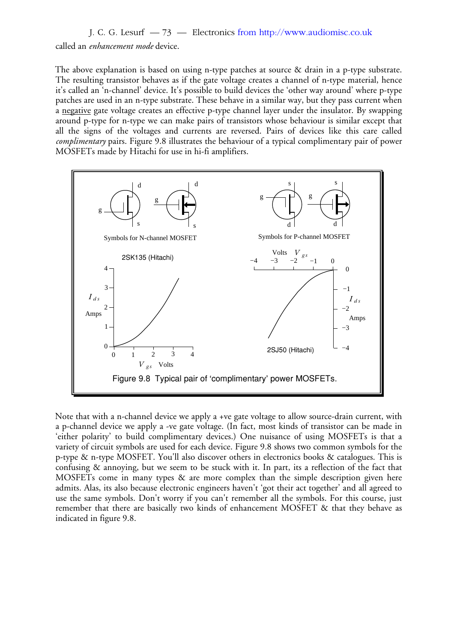J. C. G. Lesurf — 73 — Electronics from http://www.audiomisc.co.uk

called an *enhancement mode* device.

The above explanation is based on using n-type patches at source & drain in a p-type substrate. The resulting transistor behaves as if the gate voltage creates a channel of n-type material, hence it's called an 'n-channel' device. It's possible to build devices the 'other way around' where p-type patches are used in an n-type substrate. These behave in a similar way, but they pass current when a negative gate voltage creates an effective p-type channel layer under the insulator. By swapping around p-type for n-type we can make pairs of transistors whose behaviour is similar except that all the signs of the voltages and currents are reversed. Pairs of devices like this care called *complimentary* pairs. Figure 9.8 illustrates the behaviour of a typical complimentary pair of power MOSFETs made by Hitachi for use in hi-fi amplifiers.



Note that with a n-channel device we apply a +ve gate voltage to allow source-drain current, with a p-channel device we apply a -ve gate voltage. (In fact, most kinds of transistor can be made in 'either polarity' to build complimentary devices.) One nuisance of using MOSFETs is that a variety of circuit symbols are used for each device. Figure 9.8 shows two common symbols for the p-type & n-type MOSFET. You'll also discover others in electronics books & catalogues. This is confusing & annoying, but we seem to be stuck with it. In part, its a reflection of the fact that MOSFETs come in many types & are more complex than the simple description given here admits. Alas, its also because electronic engineers haven't 'got their act together' and all agreed to use the same symbols. Don't worry if you can't remember all the symbols. For this course, just remember that there are basically two kinds of enhancement MOSFET & that they behave as indicated in figure 9.8.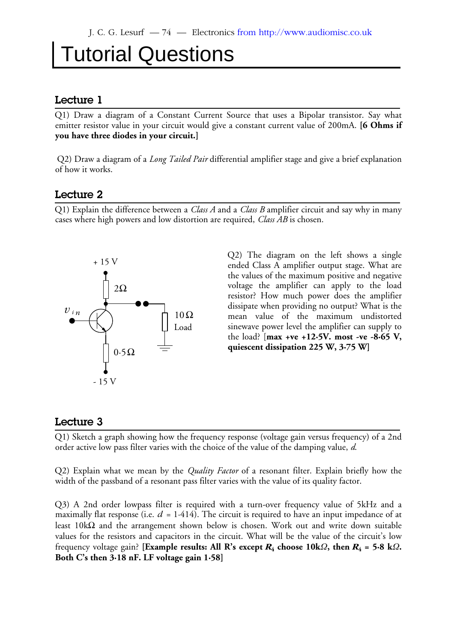# Tutorial Questions

#### **Lecture 1**

Q1) Draw a diagram of a Constant Current Source that uses a Bipolar transistor. Say what emitter resistor value in your circuit would give a constant current value of 200mA. **[6 Ohms if you have three diodes in your circuit.]**

 Q2) Draw a diagram of a *Long Tailed Pair* differential amplifier stage and give a brief explanation of how it works.

#### **Lecture 2**

Q1) Explain the difference between a *Class A* and a *Class B* amplifier circuit and say why in many cases where high powers and low distortion are required, *Class AB* is chosen.



Q2) The diagram on the left shows a single ended Class A amplifier output stage. What are the values of the maximum positive and negative voltage the amplifier can apply to the load resistor? How much power does the amplifier dissipate when providing no output? What is the mean value of the maximum undistorted sinewave power level the amplifier can supply to the load? [**max +ve +12·5V. most -ve -8·65 V, quiescent dissipation 225 W, 3·75 W]**

#### **Lecture 3**

Q1) Sketch a graph showing how the frequency response (voltage gain versus frequency) of a 2nd order active low pass filter varies with the choice of the value of the damping value, *d*.

Q2) Explain what we mean by the *Quality Factor* of a resonant filter. Explain briefly how the width of the passband of a resonant pass filter varies with the value of its quality factor.

Q3) A 2nd order lowpass filter is required with a turn-over frequency value of 5kHz and a maximally flat response (i.e.  $d$  = 1·414). The circuit is required to have an input impedance of at least 10kΩ and the arrangement shown below is chosen. Work out and write down suitable values for the resistors and capacitors in the circuit. What will be the value of the circuit's low frequency voltage gain? **[Example results: All R's except**  $R_4$  **choose 10k***Ω***, then**  $R_4$  **= 5·8 k***Ω***. Both C's then 3·18 nF. LF voltage gain 1·58]**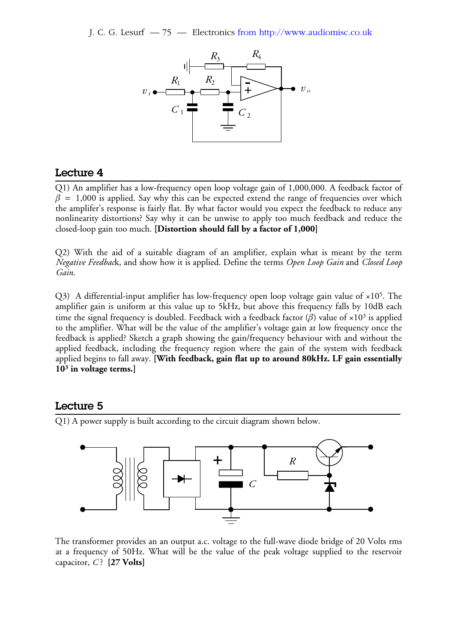J. C. G. Lesurf — 75 — Electronics from http://www.audiomisc.co.uk



#### **Lecture 4**

Q1) An amplifier has a low-frequency open loop voltage gain of 1,000,000. A feedback factor of  $\beta$  = 1,000 is applied. Say why this can be expected extend the range of frequencies over which the amplifer's response is fairly flat. By what factor would you expect the feedback to reduce any nonlinearity distortions? Say why it can be unwise to apply too much feedback and reduce the closed-loop gain too much. **[Distortion should fall by a factor of 1,000]**

Q2) With the aid of a suitable diagram of an amplifier, explain what is meant by the term *Negative Feedbac*k, and show how it is applied. Define the terms *Open Loop Gain* and *Closed Loop Gain*.

Q3) A differential-input amplifier has low-frequency open loop voltage gain value of  $\times 10^5$ . The amplifier gain is uniform at this value up to 5kHz, but above this frequency falls by 10dB each time the signal frequency is doubled. Feedback with a feedback factor (β) value of ×10<sup>3</sup> is applied to the amplifier. What will be the value of the amplifier's voltage gain at low frequency once the feedback is applied? Sketch a graph showing the gain/frequency behaviour with and without the applied feedback, including the frequency region where the gain of the system with feedback applied begins to fall away. **[With feedback, gain flat up to around 80kHz. LF gain essentially 10<sup>3</sup> in voltage terms.]**

#### **Lecture 5**

Q1) A power supply is built according to the circuit diagram shown below.



The transformer provides an an output a.c. voltage to the full-wave diode bridge of 20 Volts rms at a frequency of 50Hz. What will be the value of the peak voltage supplied to the reservoir capacitor, *C* ? **[27 Volts]**